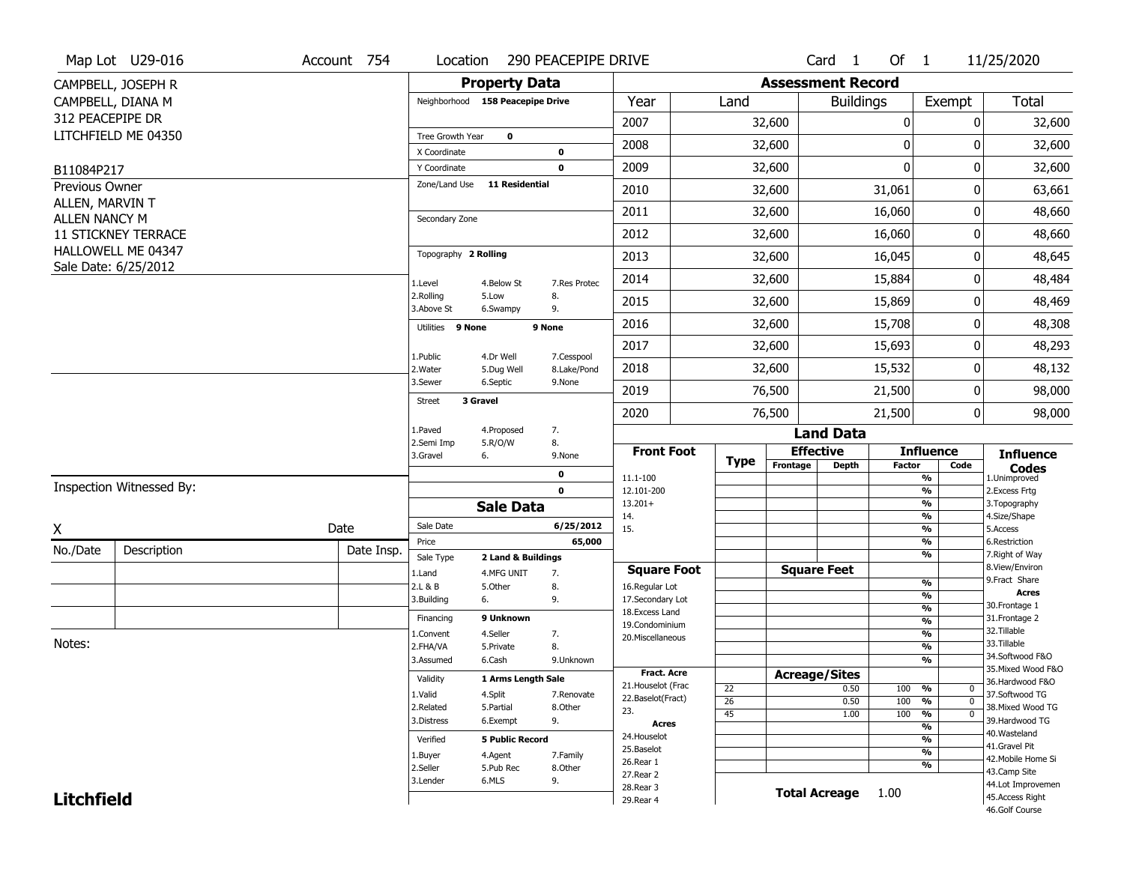|                                   | Map Lot U29-016                                   | Account 754 | Location                      |                                  | 290 PEACEPIPE DRIVE       |                         |                 |          | Card <sub>1</sub>        | Of $1$        |                                | 11/25/2020                        |
|-----------------------------------|---------------------------------------------------|-------------|-------------------------------|----------------------------------|---------------------------|-------------------------|-----------------|----------|--------------------------|---------------|--------------------------------|-----------------------------------|
|                                   | CAMPBELL, JOSEPH R                                |             |                               | <b>Property Data</b>             |                           |                         |                 |          | <b>Assessment Record</b> |               |                                |                                   |
|                                   | CAMPBELL, DIANA M                                 |             |                               | Neighborhood 158 Peacepipe Drive |                           | Year                    | Land            |          | <b>Buildings</b>         |               | Exempt                         | Total                             |
| 312 PEACEPIPE DR                  |                                                   |             |                               |                                  |                           | 2007                    |                 | 32,600   |                          | 0             | 0                              | 32,600                            |
|                                   | LITCHFIELD ME 04350                               |             | Tree Growth Year              | $\mathbf 0$                      |                           | 2008                    |                 | 32,600   |                          | $\mathbf 0$   | 0                              | 32,600                            |
|                                   |                                                   |             | X Coordinate                  |                                  | 0                         |                         |                 |          |                          | $\mathbf{0}$  |                                |                                   |
| B11084P217                        |                                                   |             | Y Coordinate<br>Zone/Land Use | <b>11 Residential</b>            | $\mathbf 0$               | 2009                    |                 | 32,600   |                          |               | 0                              | 32,600                            |
| Previous Owner<br>ALLEN, MARVIN T |                                                   |             |                               |                                  |                           | 2010                    |                 | 32,600   |                          | 31,061        | 0                              | 63,661                            |
| <b>ALLEN NANCY M</b>              |                                                   |             | Secondary Zone                |                                  |                           | 2011                    |                 | 32,600   |                          | 16,060        | 0                              | 48,660                            |
|                                   | <b>11 STICKNEY TERRACE</b>                        |             |                               |                                  |                           | 2012                    |                 | 32,600   |                          | 16,060        | 0                              | 48,660                            |
|                                   | <b>HALLOWELL ME 04347</b><br>Sale Date: 6/25/2012 |             | Topography 2 Rolling          |                                  |                           | 2013                    |                 | 32,600   |                          | 16,045        | 0                              | 48,645                            |
|                                   |                                                   |             | 1.Level                       | 4.Below St                       | 7.Res Protec              | 2014                    |                 | 32,600   |                          | 15,884        | 0                              | 48,484                            |
|                                   |                                                   |             | 2.Rolling<br>3.Above St       | 5.Low<br>6.Swampy                | 8.<br>9.                  | 2015                    |                 | 32,600   |                          | 15,869        | 0                              | 48,469                            |
|                                   |                                                   |             | Utilities 9 None              |                                  | 9 None                    | 2016                    |                 | 32,600   |                          | 15,708        | 0                              | 48,308                            |
|                                   |                                                   |             |                               |                                  |                           | 2017                    |                 | 32,600   |                          | 15,693        | 0                              | 48,293                            |
|                                   |                                                   |             | 1.Public<br>2. Water          | 4.Dr Well<br>5.Dug Well          | 7.Cesspool<br>8.Lake/Pond | 2018                    |                 | 32,600   |                          | 15,532        | 0                              | 48,132                            |
|                                   |                                                   |             | 3.Sewer                       | 6.Septic                         | 9.None                    | 2019                    |                 | 76,500   |                          | 21,500        | 0                              | 98,000                            |
|                                   |                                                   |             | <b>Street</b>                 | 3 Gravel                         |                           | 2020                    |                 | 76,500   |                          | 21,500        | $\overline{0}$                 | 98,000                            |
|                                   |                                                   |             | 1.Paved                       | 4.Proposed                       | 7.                        |                         |                 |          | <b>Land Data</b>         |               |                                |                                   |
|                                   |                                                   |             | 2.Semi Imp<br>3.Gravel        | 5.R/O/W<br>6.                    | 8.<br>9.None              | <b>Front Foot</b>       | <b>Type</b>     |          | <b>Effective</b>         |               | <b>Influence</b>               | <b>Influence</b>                  |
|                                   |                                                   |             |                               |                                  | 0                         | 11.1-100                |                 | Frontage | <b>Depth</b>             | <b>Factor</b> | Code<br>%                      | <b>Codes</b><br>1.Unimproved      |
|                                   | Inspection Witnessed By:                          |             |                               |                                  | $\mathbf 0$               | 12.101-200              |                 |          |                          |               | %                              | 2. Excess Frtg                    |
|                                   |                                                   |             |                               | <b>Sale Data</b>                 |                           | $13.201+$<br>14.        |                 |          |                          |               | %<br>%                         | 3. Topography<br>4.Size/Shape     |
| X                                 |                                                   | Date        | Sale Date                     |                                  | 6/25/2012                 | 15.                     |                 |          |                          |               | %                              | 5.Access                          |
| No./Date                          | Description                                       | Date Insp.  | Price                         |                                  | 65,000                    |                         |                 |          |                          |               | %                              | 6.Restriction                     |
|                                   |                                                   |             | Sale Type                     | 2 Land & Buildings               |                           | <b>Square Foot</b>      |                 |          | <b>Square Feet</b>       |               | %                              | 7. Right of Way<br>8.View/Environ |
|                                   |                                                   |             | 1.Land<br>2.L & B             | 4.MFG UNIT<br>5.Other            | 7.<br>8.                  | 16.Regular Lot          |                 |          |                          |               | %                              | 9.Fract Share                     |
|                                   |                                                   |             | 3.Building                    | 6.                               | 9.                        | 17.Secondary Lot        |                 |          |                          |               | $\overline{\frac{9}{6}}$       | <b>Acres</b>                      |
|                                   |                                                   |             | Financing                     | 9 Unknown                        |                           | 18. Excess Land         |                 |          |                          |               | $\frac{9}{6}$                  | 30.Frontage 1<br>31. Frontage 2   |
|                                   |                                                   |             | 1.Convent                     | 4.Seller                         | 7.                        | 19.Condominium          |                 |          |                          |               | $\frac{9}{6}$<br>$\frac{9}{6}$ | 32.Tillable                       |
| Notes:                            |                                                   |             | 2.FHA/VA                      | 5.Private                        | 8.                        | 20.Miscellaneous        |                 |          |                          |               | $\overline{\frac{9}{6}}$       | 33.Tillable                       |
|                                   |                                                   |             | 3.Assumed                     | 6.Cash                           | 9.Unknown                 |                         |                 |          |                          |               | $\overline{\frac{9}{6}}$       | 34.Softwood F&O                   |
|                                   |                                                   |             |                               |                                  |                           | <b>Fract. Acre</b>      |                 |          | <b>Acreage/Sites</b>     |               |                                | 35. Mixed Wood F&O                |
|                                   |                                                   |             | Validity                      | 1 Arms Length Sale               |                           | 21. Houselot (Frac      | 22              |          | 0.50                     | 100           | %<br>$\mathbf 0$               | 36.Hardwood F&O                   |
|                                   |                                                   |             | 1.Valid                       | 4.Split                          | 7.Renovate                | 22.Baselot(Fract)       | $\overline{26}$ |          | 0.50                     | 100           | %<br>$\mathbf 0$               | 37.Softwood TG                    |
|                                   |                                                   |             | 2.Related                     | 5.Partial                        | 8.Other                   | 23.                     | 45              |          | 1.00                     | 100           | %<br>$\mathbf 0$               | 38. Mixed Wood TG                 |
|                                   |                                                   |             | 3.Distress                    | 6.Exempt                         | 9.                        | <b>Acres</b>            |                 |          |                          |               | %                              | 39.Hardwood TG<br>40. Wasteland   |
|                                   |                                                   |             | Verified                      | <b>5 Public Record</b>           |                           | 24. Houselot            |                 |          |                          |               | %                              | 41.Gravel Pit                     |
|                                   |                                                   |             | 1.Buyer                       | 4.Agent                          | 7.Family                  | 25.Baselot              |                 |          |                          |               | $\frac{9}{6}$                  | 42. Mobile Home Si                |
|                                   |                                                   |             | 2.Seller                      | 5.Pub Rec                        | 8.Other                   | 26.Rear 1               |                 |          |                          |               | %                              | 43.Camp Site                      |
|                                   |                                                   |             |                               |                                  |                           |                         |                 |          |                          |               |                                |                                   |
|                                   |                                                   |             | 3.Lender                      | 6.MLS                            | 9.                        | 27.Rear 2               |                 |          |                          |               |                                | 44.Lot Improvemen                 |
| <b>Litchfield</b>                 |                                                   |             |                               |                                  |                           | 28.Rear 3<br>29. Rear 4 |                 |          | <b>Total Acreage</b>     | 1.00          |                                | 45.Access Right<br>46.Golf Course |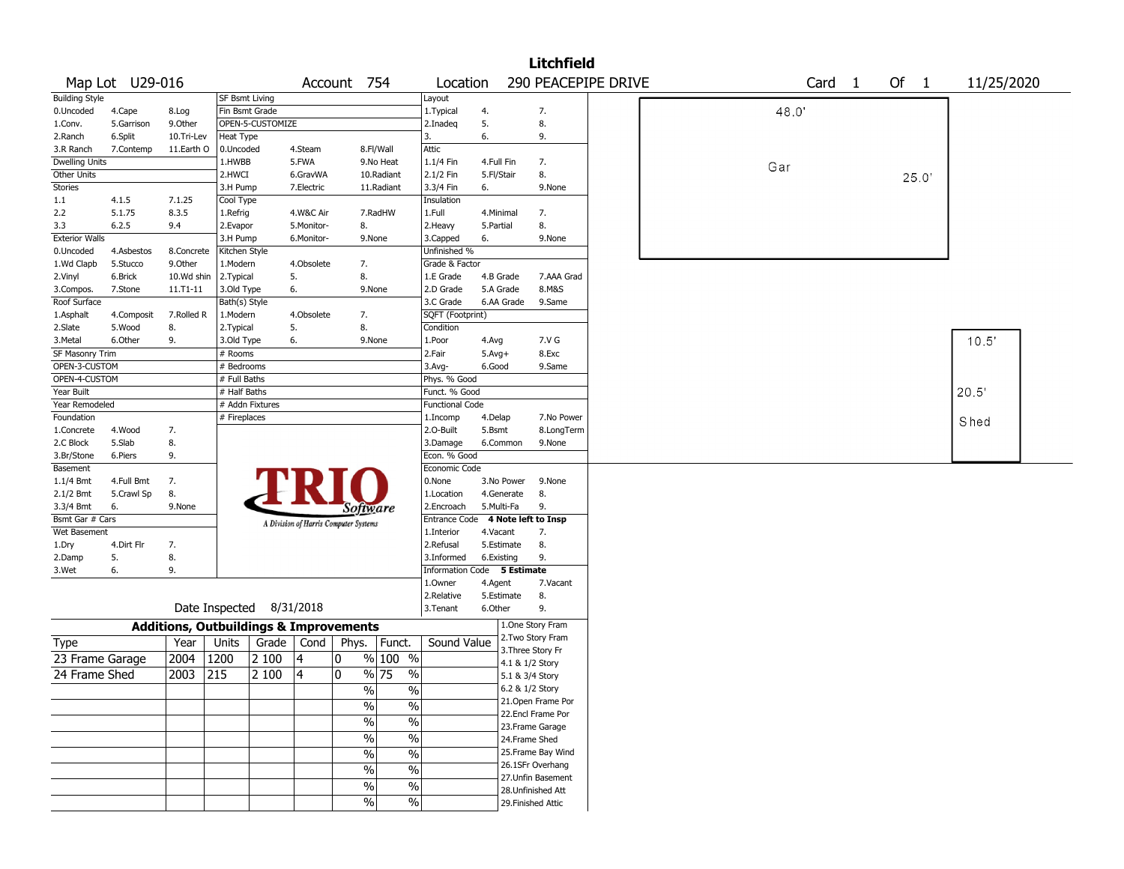|                              |                  |                                                   |                       |                          |            |                                                                                    |                                                                                                                              |                                   |            |                    | <b>Litchfield</b>    |                     |  |      |                   |        |      |            |  |
|------------------------------|------------------|---------------------------------------------------|-----------------------|--------------------------|------------|------------------------------------------------------------------------------------|------------------------------------------------------------------------------------------------------------------------------|-----------------------------------|------------|--------------------|----------------------|---------------------|--|------|-------------------|--------|------|------------|--|
|                              | Map Lot U29-016  |                                                   |                       |                          |            | Account 754                                                                        |                                                                                                                              | Location                          |            |                    |                      | 290 PEACEPIPE DRIVE |  |      | Card <sub>1</sub> | Of $1$ |      | 11/25/2020 |  |
| <b>Building Style</b>        |                  |                                                   | <b>SF Bsmt Living</b> |                          |            |                                                                                    |                                                                                                                              | Layout                            |            |                    |                      |                     |  |      |                   |        |      |            |  |
| 0.Uncoded                    | 4.Cape           | 8.Log                                             | Fin Bsmt Grade        |                          |            |                                                                                    |                                                                                                                              | 1.Typical                         | 4.         |                    | 7.                   |                     |  | 48.0 |                   |        |      |            |  |
| 1.Conv.                      | 5.Garrison       | 9.0ther                                           |                       | OPEN-5-CUSTOMIZE         |            |                                                                                    |                                                                                                                              | 2.Inadeg                          | 5.         |                    | 8.                   |                     |  |      |                   |        |      |            |  |
| 2.Ranch                      | 6.Split          | 10.Tri-Lev                                        | Heat Type             |                          |            |                                                                                    |                                                                                                                              | 3.                                | 6.         |                    | 9.                   |                     |  |      |                   |        |      |            |  |
| 3.R Ranch                    | 7.Contemp        | 11.Earth O                                        | 0.Uncoded             |                          | 4.Steam    |                                                                                    | 8.Fl/Wall                                                                                                                    | Attic                             |            |                    |                      |                     |  |      |                   |        |      |            |  |
| <b>Dwelling Units</b>        |                  |                                                   | 1.HWBB                |                          | 5.FWA      |                                                                                    | 9.No Heat                                                                                                                    | 1.1/4 Fin                         | 4.Full Fin |                    | 7.                   |                     |  | Gar  |                   |        |      |            |  |
| Other Units                  |                  |                                                   | 2.HWCI                |                          | 6.GravWA   |                                                                                    | 10.Radiant                                                                                                                   | 2.1/2 Fin                         | 5.Fl/Stair |                    | 8.                   |                     |  |      |                   |        | 25.0 |            |  |
| Stories                      |                  |                                                   | 3.H Pump              |                          | 7.Electric |                                                                                    | 11.Radiant                                                                                                                   | 3.3/4 Fin                         | 6.         |                    | 9.None               |                     |  |      |                   |        |      |            |  |
| 1.1                          | 4.1.5            | 7.1.25                                            | Cool Type             |                          |            |                                                                                    |                                                                                                                              | Insulation                        |            |                    |                      |                     |  |      |                   |        |      |            |  |
| 2.2                          | 5.1.75           | 8.3.5                                             | 1.Refrig              |                          | 4.W&C Air  |                                                                                    | 7.RadHW                                                                                                                      | 1.Full                            | 4.Minimal  |                    | 7.                   |                     |  |      |                   |        |      |            |  |
| 3.3                          | 6.2.5            | 9.4                                               | 2.Evapor              |                          | 5.Monitor- | 8.                                                                                 |                                                                                                                              | 2.Heavy                           | 5.Partial  |                    | 8.                   |                     |  |      |                   |        |      |            |  |
| <b>Exterior Walls</b>        |                  |                                                   | 3.H Pump              |                          | 6.Monitor- |                                                                                    | 9.None                                                                                                                       | 3.Capped                          | 6.         |                    | 9.None               |                     |  |      |                   |        |      |            |  |
| 0.Uncoded                    | 4.Asbestos       | 8.Concrete                                        | Kitchen Style         |                          |            |                                                                                    |                                                                                                                              | Unfinished %                      |            |                    |                      |                     |  |      |                   |        |      |            |  |
| 1.Wd Clapb                   | 5.Stucco         | 9.0ther                                           | 1.Modern              |                          | 4.Obsolete | 7.                                                                                 |                                                                                                                              | Grade & Factor                    |            |                    |                      |                     |  |      |                   |        |      |            |  |
| 2.Vinyl                      | 6.Brick          | 10.Wd shin                                        | 2.Typical             |                          | 5.         | 8.                                                                                 |                                                                                                                              | 1.E Grade                         | 4.B Grade  |                    | 7.AAA Grad           |                     |  |      |                   |        |      |            |  |
| 3.Compos.                    | 7.Stone          | 11.T1-11                                          | 3.Old Type            |                          | 6.         |                                                                                    | 9.None                                                                                                                       | 2.D Grade                         | 5.A Grade  |                    | 8.M&S                |                     |  |      |                   |        |      |            |  |
| Roof Surface                 |                  |                                                   | Bath(s) Style         |                          |            |                                                                                    |                                                                                                                              | 3.C Grade                         | 6.AA Grade |                    | 9.Same               |                     |  |      |                   |        |      |            |  |
| 1.Asphalt                    | 4.Composit       | 7.Rolled R                                        | 1.Modern              |                          | 4.Obsolete | 7.                                                                                 |                                                                                                                              | SQFT (Footprint)                  |            |                    |                      |                     |  |      |                   |        |      |            |  |
| 2.Slate                      | 5.Wood           | 8.                                                | 2.Typical             |                          | 5.         | 8.                                                                                 |                                                                                                                              | Condition                         |            |                    |                      |                     |  |      |                   |        |      |            |  |
| 3.Metal                      | 6.Other          | 9.                                                | 3.Old Type            |                          | 6.         |                                                                                    | 9.None                                                                                                                       | 1.Poor                            | 4.Avg      |                    | 7.V G                |                     |  |      |                   |        |      | 10.5'      |  |
| <b>SF Masonry Trim</b>       |                  |                                                   | # Rooms               |                          |            |                                                                                    |                                                                                                                              | 2.Fair                            | $5.Avg+$   |                    | 8.Exc                |                     |  |      |                   |        |      |            |  |
| OPEN-3-CUSTOM                |                  |                                                   | # Bedrooms            |                          |            |                                                                                    |                                                                                                                              | $3.$ Avg-                         | 6.Good     |                    | 9.Same               |                     |  |      |                   |        |      |            |  |
| OPEN-4-CUSTOM                |                  |                                                   | # Full Baths          |                          |            |                                                                                    |                                                                                                                              | Phys. % Good                      |            |                    |                      |                     |  |      |                   |        |      |            |  |
| Year Built                   |                  |                                                   | # Half Baths          | # Addn Fixtures          |            |                                                                                    |                                                                                                                              | Funct. % Good                     |            |                    |                      |                     |  |      |                   |        |      | 20.5'      |  |
| Year Remodeled<br>Foundation |                  |                                                   |                       |                          |            |                                                                                    |                                                                                                                              | <b>Functional Code</b>            |            |                    |                      |                     |  |      |                   |        |      |            |  |
|                              |                  |                                                   | # Fireplaces          |                          |            |                                                                                    |                                                                                                                              | 1.Incomp                          | 4.Delap    |                    | 7.No Power           |                     |  |      |                   |        |      | Shed       |  |
| 1.Concrete                   | 4.Wood<br>5.Slab | 7.<br>8.                                          |                       |                          |            |                                                                                    |                                                                                                                              | 2.O-Built                         | 5.Bsmt     |                    | 8.LongTerm<br>9.None |                     |  |      |                   |        |      |            |  |
| 2.C Block                    |                  | 9.                                                |                       |                          |            |                                                                                    |                                                                                                                              | 3.Damage<br>Econ. % Good          | 6.Common   |                    |                      |                     |  |      |                   |        |      |            |  |
| 3.Br/Stone<br>Basement       | 6.Piers          |                                                   |                       |                          |            |                                                                                    |                                                                                                                              | Economic Code                     |            |                    |                      |                     |  |      |                   |        |      |            |  |
| $1.1/4$ Bmt                  | 4.Full Bmt       | 7.                                                |                       |                          |            |                                                                                    |                                                                                                                              | 0.None                            | 3.No Power |                    | 9.None               |                     |  |      |                   |        |      |            |  |
| 2.1/2 Bmt                    | 5.Crawl Sp       | 8.                                                |                       |                          |            |                                                                                    |                                                                                                                              | 1.Location                        | 4.Generate |                    | 8.                   |                     |  |      |                   |        |      |            |  |
| 3.3/4 Bmt                    | 6.               | 9.None                                            |                       |                          |            |                                                                                    |                                                                                                                              | 2.Encroach                        | 5.Multi-Fa |                    | 9.                   |                     |  |      |                   |        |      |            |  |
| Bsmt Gar # Cars              |                  |                                                   |                       |                          |            | Software                                                                           |                                                                                                                              | Entrance Code 4 Note left to Insp |            |                    |                      |                     |  |      |                   |        |      |            |  |
| Wet Basement                 |                  |                                                   |                       |                          |            | A Division of Harris Computer Systems                                              |                                                                                                                              | 1.Interior                        | 4.Vacant   |                    | 7.                   |                     |  |      |                   |        |      |            |  |
| 1.Dry                        | 4.Dirt Flr       | 7.                                                |                       |                          |            |                                                                                    |                                                                                                                              | 2.Refusal                         | 5.Estimate |                    | 8.                   |                     |  |      |                   |        |      |            |  |
| 2.Damp                       | 5.               | 8.                                                |                       |                          |            |                                                                                    |                                                                                                                              | 3.Informed                        | 6.Existing |                    | 9.                   |                     |  |      |                   |        |      |            |  |
| 3.Wet                        | 6.               | 9.                                                |                       |                          |            |                                                                                    |                                                                                                                              | Information Code 5 Estimate       |            |                    |                      |                     |  |      |                   |        |      |            |  |
|                              |                  |                                                   |                       |                          |            |                                                                                    |                                                                                                                              | 1.Owner                           | 4.Agent    |                    | 7.Vacant             |                     |  |      |                   |        |      |            |  |
|                              |                  |                                                   |                       |                          |            |                                                                                    |                                                                                                                              | 2.Relative                        | 5.Estimate |                    | 8.                   |                     |  |      |                   |        |      |            |  |
|                              |                  |                                                   |                       | Date Inspected 8/31/2018 |            |                                                                                    |                                                                                                                              | 3.Tenant                          | 6.Other    |                    | 9.                   |                     |  |      |                   |        |      |            |  |
|                              |                  | <b>Additions, Outbuildings &amp; Improvements</b> |                       |                          |            |                                                                                    |                                                                                                                              |                                   |            |                    | 1.One Story Fram     |                     |  |      |                   |        |      |            |  |
| Type                         |                  | Year                                              | Units                 | Grade                    | Cond       | Phys.                                                                              | Funct.                                                                                                                       | Sound Value                       |            |                    | 2. Two Story Fram    |                     |  |      |                   |        |      |            |  |
|                              |                  |                                                   |                       |                          |            |                                                                                    |                                                                                                                              |                                   |            |                    | 3. Three Story Fr    |                     |  |      |                   |        |      |            |  |
| 23 Frame Garage              |                  | 2004                                              | 1200                  | 2 100                    | 4          | 0                                                                                  | % 100 %                                                                                                                      |                                   |            | 4.1 & 1/2 Story    |                      |                     |  |      |                   |        |      |            |  |
|                              |                  |                                                   |                       |                          |            |                                                                                    |                                                                                                                              |                                   |            | 5.1 & 3/4 Story    |                      |                     |  |      |                   |        |      |            |  |
|                              |                  |                                                   |                       |                          |            | %                                                                                  | %                                                                                                                            |                                   |            | $6.2 \& 1/2$ Story |                      |                     |  |      |                   |        |      |            |  |
|                              |                  |                                                   |                       |                          |            |                                                                                    |                                                                                                                              |                                   |            |                    | 21. Open Frame Por   |                     |  |      |                   |        |      |            |  |
|                              |                  |                                                   |                       |                          |            |                                                                                    |                                                                                                                              |                                   |            |                    | 22.Encl Frame Por    |                     |  |      |                   |        |      |            |  |
|                              |                  |                                                   |                       |                          |            |                                                                                    |                                                                                                                              |                                   |            |                    | 23. Frame Garage     |                     |  |      |                   |        |      |            |  |
|                              |                  |                                                   |                       |                          |            |                                                                                    |                                                                                                                              |                                   |            | 24.Frame Shed      |                      |                     |  |      |                   |        |      |            |  |
|                              |                  |                                                   |                       |                          |            | $\frac{1}{2}$                                                                      |                                                                                                                              |                                   |            |                    | 25. Frame Bay Wind   |                     |  |      |                   |        |      |            |  |
|                              |                  |                                                   |                       |                          |            |                                                                                    |                                                                                                                              |                                   |            |                    | 26.1SFr Overhang     |                     |  |      |                   |        |      |            |  |
|                              |                  |                                                   |                       |                          |            |                                                                                    |                                                                                                                              |                                   |            |                    | 27.Unfin Basement    |                     |  |      |                   |        |      |            |  |
|                              |                  |                                                   |                       |                          |            |                                                                                    |                                                                                                                              |                                   |            |                    | 28.Unfinished Att    |                     |  |      |                   |        |      |            |  |
|                              |                  |                                                   |                       |                          |            |                                                                                    |                                                                                                                              |                                   |            |                    |                      |                     |  |      |                   |        |      |            |  |
| 24 Frame Shed                |                  | 2003                                              | 215                   | 2 100                    | 14         | 0<br>$\frac{9}{6}$<br>$\sqrt{0}$<br>$\frac{9}{6}$<br>$\%$<br>$\%$<br>$\frac{9}{6}$ | % 75<br>$\frac{0}{0}$<br>$\frac{0}{0}$<br>$\frac{0}{0}$<br>$\overline{\frac{0}{0}}$<br>$\%$<br>$\frac{0}{0}$<br>$\%$<br>$\%$ |                                   |            |                    | 29. Finished Attic   |                     |  |      |                   |        |      |            |  |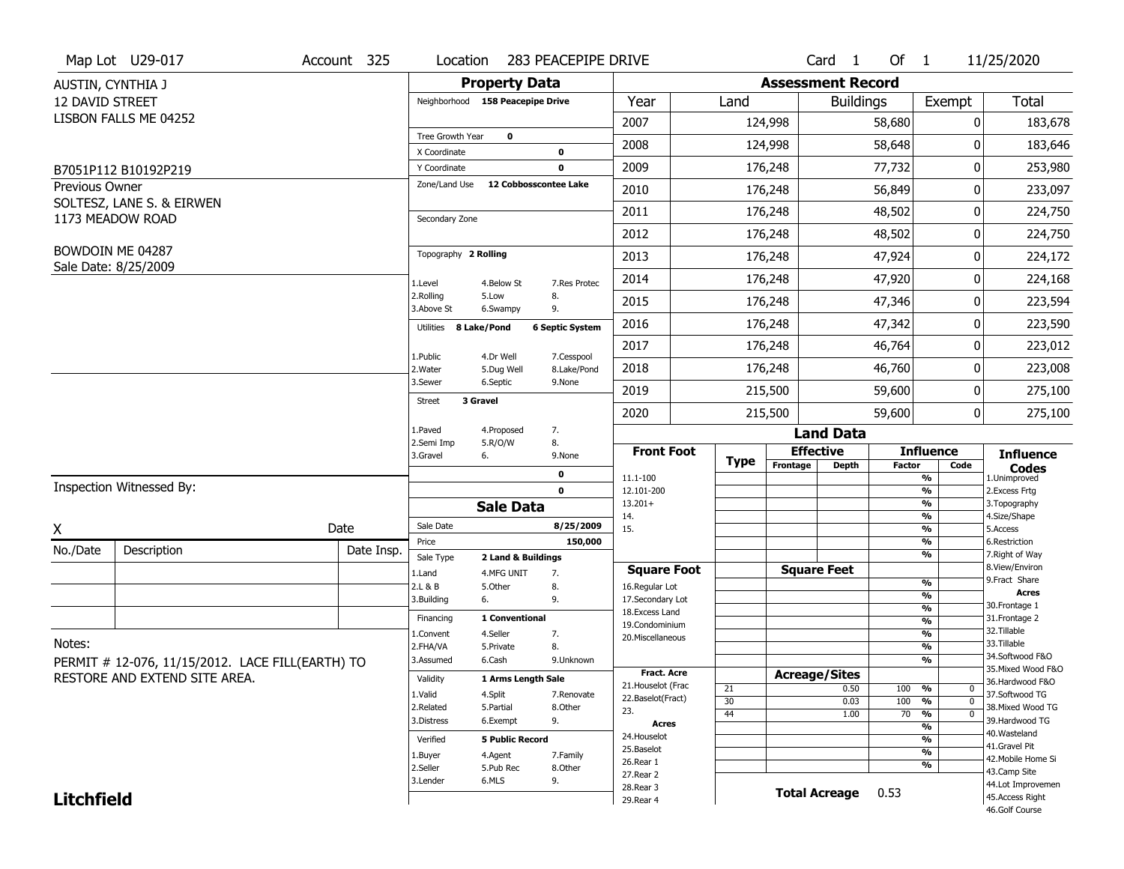|                       | Map Lot U29-017                                  | Account 325 | Location                         |                                  | 283 PEACEPIPE DRIVE       |                                    |             |                          | Card <sub>1</sub>  | Of $1$        |                                           | 11/25/2020                            |
|-----------------------|--------------------------------------------------|-------------|----------------------------------|----------------------------------|---------------------------|------------------------------------|-------------|--------------------------|--------------------|---------------|-------------------------------------------|---------------------------------------|
| AUSTIN, CYNTHIA J     |                                                  |             |                                  | <b>Property Data</b>             |                           |                                    |             | <b>Assessment Record</b> |                    |               |                                           |                                       |
| 12 DAVID STREET       |                                                  |             | Neighborhood 158 Peacepipe Drive |                                  |                           | Year                               | Land        |                          | <b>Buildings</b>   |               | Exempt                                    | Total                                 |
|                       | LISBON FALLS ME 04252                            |             |                                  |                                  |                           | 2007                               |             | 124,998                  |                    | 58,680        | 0                                         | 183,678                               |
|                       |                                                  |             | Tree Growth Year                 | $\mathbf 0$                      |                           | 2008                               |             | 124,998                  |                    | 58,648        | 0                                         | 183,646                               |
|                       |                                                  |             | X Coordinate                     |                                  | 0                         |                                    |             |                          |                    |               |                                           |                                       |
|                       | B7051P112 B10192P219                             |             | Y Coordinate<br>Zone/Land Use    | 12 Cobbosscontee Lake            | 0                         | 2009                               |             | 176,248                  |                    | 77,732        | 0                                         | 253,980                               |
| <b>Previous Owner</b> | SOLTESZ, LANE S. & EIRWEN                        |             |                                  |                                  |                           | 2010                               |             | 176,248                  |                    | 56,849        | 0                                         | 233,097                               |
|                       | 1173 MEADOW ROAD                                 |             | Secondary Zone                   |                                  |                           | 2011                               |             | 176,248                  |                    | 48,502        | 0                                         | 224,750                               |
|                       |                                                  |             |                                  |                                  |                           | 2012                               |             | 176,248                  |                    | 48,502        | 0                                         | 224,750                               |
|                       | BOWDOIN ME 04287<br>Sale Date: 8/25/2009         |             | Topography 2 Rolling             |                                  |                           | 2013                               |             | 176,248                  |                    | 47,924        | 0                                         | 224,172                               |
|                       |                                                  |             | 1.Level                          | 4.Below St                       | 7.Res Protec              | 2014                               |             | 176,248                  |                    | 47,920        | 0                                         | 224,168                               |
|                       |                                                  |             | 2.Rolling<br>3.Above St          | 5.Low<br>6.Swampy                | 8.<br>9.                  | 2015                               |             | 176,248                  |                    | 47,346        | 0                                         | 223,594                               |
|                       |                                                  |             | Utilities 8 Lake/Pond            |                                  | <b>6 Septic System</b>    | 2016                               |             | 176,248                  |                    | 47,342        | 0                                         | 223,590                               |
|                       |                                                  |             |                                  |                                  |                           | 2017                               |             | 176,248                  |                    | 46,764        | 0                                         | 223,012                               |
|                       |                                                  |             | 1.Public<br>2. Water             | 4.Dr Well<br>5.Dug Well          | 7.Cesspool<br>8.Lake/Pond | 2018                               |             | 176,248                  |                    | 46,760        | 0                                         | 223,008                               |
|                       |                                                  |             | 3.Sewer                          | 6.Septic                         | 9.None                    | 2019                               |             | 215,500                  |                    | 59,600        | 0                                         | 275,100                               |
|                       |                                                  |             | 3 Gravel<br>Street               |                                  |                           | 2020                               |             | 215,500                  |                    | 59,600        | 0                                         | 275,100                               |
|                       |                                                  |             | 1.Paved                          | 4.Proposed                       | 7.                        |                                    |             |                          | <b>Land Data</b>   |               |                                           |                                       |
|                       |                                                  |             | 2.Semi Imp<br>3.Gravel           | 5.R/O/W<br>6.                    | 8.<br>9.None              | <b>Front Foot</b>                  | <b>Type</b> | <b>Effective</b>         |                    |               | <b>Influence</b>                          | <b>Influence</b>                      |
|                       |                                                  |             |                                  |                                  | 0                         | 11.1-100                           |             | Frontage                 | <b>Depth</b>       | <b>Factor</b> | Code<br>$\frac{9}{6}$                     | <b>Codes</b><br>1.Unimproved          |
|                       | Inspection Witnessed By:                         |             |                                  |                                  | $\mathbf 0$               | 12.101-200                         |             |                          |                    |               | $\frac{9}{6}$                             | 2.Excess Frtg                         |
|                       |                                                  |             |                                  | <b>Sale Data</b>                 |                           | $13.201+$<br>14.                   |             |                          |                    |               | $\frac{9}{6}$<br>$\frac{9}{6}$            | 3. Topography<br>4.Size/Shape         |
| X                     |                                                  | Date        | Sale Date                        |                                  | 8/25/2009                 | 15.                                |             |                          |                    |               | $\frac{9}{6}$                             | 5.Access                              |
| No./Date              | Description                                      | Date Insp.  | Price                            |                                  | 150,000                   |                                    |             |                          |                    |               | $\frac{9}{6}$<br>$\frac{9}{6}$            | 6.Restriction<br>7. Right of Way      |
|                       |                                                  |             | Sale Type<br>1.Land              | 2 Land & Buildings<br>4.MFG UNIT | 7.                        | <b>Square Foot</b>                 |             | <b>Square Feet</b>       |                    |               |                                           | 8.View/Environ                        |
|                       |                                                  |             | 2.L & B                          | 5.Other                          | 8.                        | 16.Regular Lot                     |             |                          |                    |               | $\frac{9}{6}$                             | 9. Fract Share                        |
|                       |                                                  |             | 3.Building                       | 6.                               | 9.                        | 17.Secondary Lot                   |             |                          |                    |               | %                                         | <b>Acres</b><br>30. Frontage 1        |
|                       |                                                  |             | Financing                        | 1 Conventional                   |                           | 18.Excess Land                     |             |                          |                    |               | $\frac{9}{6}$<br>%                        | 31. Frontage 2                        |
|                       |                                                  |             | 1.Convent                        | 4.Seller                         | 7.                        | 19.Condominium<br>20.Miscellaneous |             |                          |                    |               | %                                         | 32. Tillable                          |
| Notes:                |                                                  |             | 2.FHA/VA                         | 5.Private                        | 8.                        |                                    |             |                          |                    |               | %                                         | 33.Tillable                           |
|                       | PERMIT # 12-076, 11/15/2012. LACE FILL(EARTH) TO |             | 3.Assumed                        | 6.Cash                           | 9.Unknown                 |                                    |             |                          |                    |               | %                                         | 34.Softwood F&O                       |
|                       | RESTORE AND EXTEND SITE AREA.                    |             | Validity                         | 1 Arms Length Sale               |                           | <b>Fract. Acre</b>                 |             | <b>Acreage/Sites</b>     |                    |               |                                           | 35. Mixed Wood F&O<br>36.Hardwood F&O |
|                       |                                                  |             | 1.Valid                          | 4.Split                          | 7.Renovate                | 21. Houselot (Frac                 | 21          |                          | 0.50               | 100 %         | 0                                         | 37.Softwood TG                        |
|                       |                                                  |             | 2.Related                        | 5.Partial                        | 8.Other                   | 22.Baselot(Fract)<br>23.           | 30          |                          | 0.03               | 100           | $\frac{9}{6}$<br>$\mathbf 0$              | 38. Mixed Wood TG                     |
|                       |                                                  |             | 3.Distress                       | 6.Exempt                         | 9.                        | Acres                              | 44          |                          | 1.00               | 70            | $\frac{9}{6}$<br>$\mathbf{0}$             | 39.Hardwood TG                        |
|                       |                                                  |             | Verified                         | <b>5 Public Record</b>           |                           | 24. Houselot                       |             |                          |                    |               | $\frac{9}{6}$<br>$\overline{\frac{9}{6}}$ | 40. Wasteland                         |
|                       |                                                  |             |                                  |                                  |                           | 25.Baselot                         |             |                          |                    |               | $\frac{9}{6}$                             | 41.Gravel Pit                         |
|                       |                                                  |             | 1.Buyer<br>2.Seller              | 4.Agent<br>5.Pub Rec             | 7.Family<br>8.0ther       | 26.Rear 1                          |             |                          |                    |               | $\overline{\frac{9}{6}}$                  | 42. Mobile Home Si                    |
|                       |                                                  |             | 3.Lender                         | 6.MLS                            | 9.                        | 27.Rear 2                          |             |                          |                    |               |                                           | 43.Camp Site                          |
|                       |                                                  |             |                                  |                                  |                           | 28.Rear 3                          |             |                          | Total Acreage 0.53 |               |                                           | 44.Lot Improvemen<br>45.Access Right  |
| <b>Litchfield</b>     |                                                  |             |                                  |                                  |                           | 29. Rear 4                         |             |                          |                    |               |                                           | 46.Golf Course                        |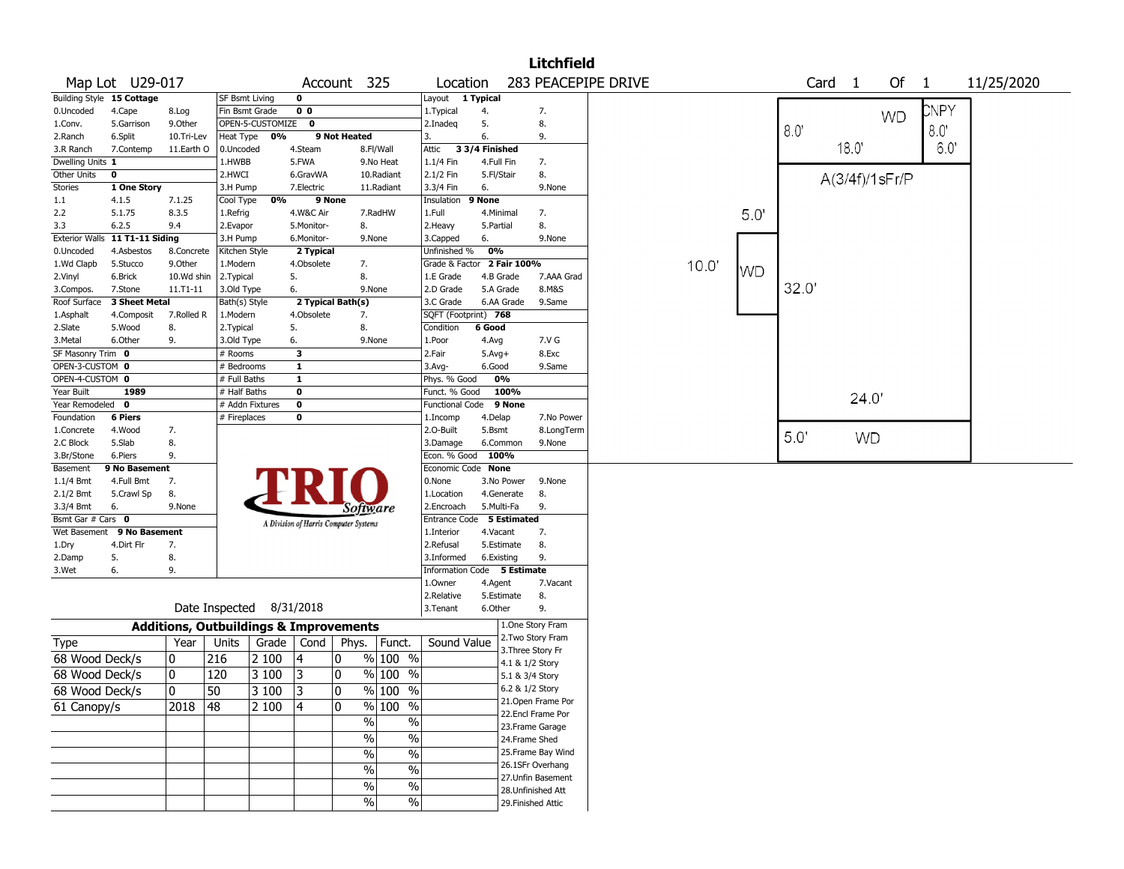|                   |                                |                                                   |                       |                  |                |                                       |                          |                             |                |                   | <b>Litchfield</b>  |                     |       |           |       |                   |           |                |              |            |
|-------------------|--------------------------------|---------------------------------------------------|-----------------------|------------------|----------------|---------------------------------------|--------------------------|-----------------------------|----------------|-------------------|--------------------|---------------------|-------|-----------|-------|-------------------|-----------|----------------|--------------|------------|
|                   | Map Lot U29-017                |                                                   |                       |                  |                | Account 325                           |                          | Location                    |                |                   |                    | 283 PEACEPIPE DRIVE |       |           |       | Card <sub>1</sub> |           | Of             | $\mathbf{1}$ | 11/25/2020 |
|                   | Building Style 15 Cottage      |                                                   | <b>SF Bsmt Living</b> |                  | $\mathbf 0$    |                                       |                          | Layout 1 Typical            |                |                   |                    |                     |       |           |       |                   |           |                |              |            |
| 0.Uncoded         | 4.Cape                         | 8.Log                                             | Fin Bsmt Grade        |                  | 0 <sub>0</sub> |                                       |                          | 1.Typical                   | 4.             |                   | 7.                 |                     |       |           |       |                   |           | <b>WD</b>      | CNPY         |            |
| 1.Conv.           | 5.Garrison                     | 9.Other                                           |                       | OPEN-5-CUSTOMIZE | $\bf{0}$       |                                       |                          | 2.Inadeq                    | 5.             |                   | 8.                 |                     |       |           | 8.0   |                   |           |                | 8.0          |            |
| 2.Ranch           | 6.Split                        | 10.Tri-Lev                                        | Heat Type             | 0%               |                | 9 Not Heated                          |                          | 3.                          | 6.             |                   | 9.                 |                     |       |           |       |                   |           |                |              |            |
| 3.R Ranch         | 7.Contemp                      | 11.Earth O                                        | 0.Uncoded             |                  | 4.Steam        |                                       | 8.Fl/Wall                | Attic                       | 3 3/4 Finished |                   |                    |                     |       |           |       |                   | 18.0      |                | 6.0          |            |
| Dwelling Units 1  |                                |                                                   | 1.HWBB                |                  | 5.FWA          |                                       | 9.No Heat                | 1.1/4 Fin                   | 4.Full Fin     |                   | 7.                 |                     |       |           |       |                   |           |                |              |            |
| Other Units       | 0                              |                                                   | 2.HWCI                |                  | 6.GravWA       |                                       | 10.Radiant               | 2.1/2 Fin                   | 5.Fl/Stair     |                   | 8.                 |                     |       |           |       |                   |           | A(3/4f)/1sFr/P |              |            |
| Stories           | 1 One Story                    |                                                   | 3.H Pump              |                  | 7.Electric     |                                       | 11.Radiant               | 3.3/4 Fin                   | 6.             |                   | 9.None             |                     |       |           |       |                   |           |                |              |            |
| $1.1\,$           | 4.1.5                          | 7.1.25                                            | Cool Type             | 0%               |                | 9 None                                |                          | Insulation                  | 9 None         |                   |                    |                     |       |           |       |                   |           |                |              |            |
| 2.2               | 5.1.75                         | 8.3.5                                             | 1.Refrig              |                  | 4.W&C Air      |                                       | 7.RadHW                  | 1.Full                      | 4.Minimal      |                   | 7.                 |                     |       | 5.0       |       |                   |           |                |              |            |
| 3.3               | 6.2.5                          | 9.4                                               | 2.Evapor              |                  | 5.Monitor-     | 8.                                    |                          | 2. Heavy                    | 5.Partial      |                   | 8.                 |                     |       |           |       |                   |           |                |              |            |
|                   | Exterior Walls 11 T1-11 Siding |                                                   | 3.H Pump              |                  | 6.Monitor-     |                                       | 9.None                   | 3.Capped                    | 6.             |                   | 9.None             |                     |       |           |       |                   |           |                |              |            |
| 0.Uncoded         | 4.Asbestos                     | 8.Concrete                                        | Kitchen Style         |                  | 2 Typical      |                                       |                          | Unfinished %                | 0%             |                   |                    |                     |       |           |       |                   |           |                |              |            |
| 1.Wd Clapb        | 5.Stucco                       | 9.0ther                                           | 1.Modern              |                  | 4.Obsolete     | 7.                                    |                          | Grade & Factor 2 Fair 100%  |                |                   |                    |                     | 10.0' | <b>WD</b> |       |                   |           |                |              |            |
| 2.Vinyl           | 6.Brick                        | 10.Wd shin                                        | 2.Typical             |                  | 5.             | 8.                                    |                          | 1.E Grade                   | 4.B Grade      |                   | 7.AAA Grad         |                     |       |           |       |                   |           |                |              |            |
| 3.Compos.         | 7.Stone                        | 11.T1-11                                          | 3.Old Type            |                  | 6.             |                                       | 9.None                   | 2.D Grade                   | 5.A Grade      |                   | 8.M&S              |                     |       |           | 32.0' |                   |           |                |              |            |
| Roof Surface      | 3 Sheet Metal                  |                                                   | Bath(s) Style         |                  |                | 2 Typical Bath(s)                     |                          | 3.C Grade                   | 6.AA Grade     |                   | 9.Same             |                     |       |           |       |                   |           |                |              |            |
| 1.Asphalt         | 4.Composit                     | 7.Rolled R                                        | 1.Modern              |                  | 4.Obsolete     | 7.                                    |                          | SQFT (Footprint) 768        |                |                   |                    |                     |       |           |       |                   |           |                |              |            |
| 2.Slate           | 5.Wood                         | 8.                                                | 2. Typical            |                  | 5.             | 8.                                    |                          | Condition                   | 6 Good         |                   |                    |                     |       |           |       |                   |           |                |              |            |
| 3.Metal           | 6.Other                        | 9.                                                | 3.Old Type            |                  | 6.             |                                       | 9.None                   | 1.Poor                      | 4.Avg          |                   | 7.V G              |                     |       |           |       |                   |           |                |              |            |
| SF Masonry Trim 0 |                                |                                                   | # Rooms               |                  | 3              |                                       |                          | 2.Fair                      | $5.Avg+$       |                   | 8.Exc              |                     |       |           |       |                   |           |                |              |            |
| OPEN-3-CUSTOM 0   |                                |                                                   | # Bedrooms            |                  | $\mathbf{1}$   |                                       |                          | 3.Avg-                      | 6.Good         |                   | 9.Same             |                     |       |           |       |                   |           |                |              |            |
| OPEN-4-CUSTOM 0   |                                |                                                   | # Full Baths          |                  | $\mathbf{1}$   |                                       |                          | Phys. % Good                | 0%             |                   |                    |                     |       |           |       |                   |           |                |              |            |
| Year Built        | 1989                           |                                                   | # Half Baths          |                  | $\bf{0}$       |                                       |                          | Funct. % Good               | 100%           |                   |                    |                     |       |           |       |                   |           |                |              |            |
| Year Remodeled    | 0                              |                                                   | # Addn Fixtures       |                  | $\bf o$        |                                       |                          | <b>Functional Code</b>      |                | 9 None            |                    |                     |       |           |       |                   | 24.0'     |                |              |            |
| Foundation        | <b>6 Piers</b>                 |                                                   | # Fireplaces          |                  | $\bf{0}$       |                                       |                          | 1.Incomp                    | 4.Delap        |                   | 7.No Power         |                     |       |           |       |                   |           |                |              |            |
| 1.Concrete        | 4.Wood                         | 7.                                                |                       |                  |                |                                       |                          | 2.0-Built                   | 5.Bsmt         |                   | 8.LongTerm         |                     |       |           |       |                   |           |                |              |            |
| 2.C Block         | 5.Slab                         | 8.                                                |                       |                  |                |                                       |                          | 3.Damage                    | 6.Common       |                   | 9.None             |                     |       |           | 5.0   |                   | <b>WD</b> |                |              |            |
| 3.Br/Stone        | 6.Piers                        | 9.                                                |                       |                  |                |                                       |                          | Econ. % Good                | 100%           |                   |                    |                     |       |           |       |                   |           |                |              |            |
| Basement          | 9 No Basement                  |                                                   |                       |                  |                |                                       |                          | Economic Code None          |                |                   |                    |                     |       |           |       |                   |           |                |              |            |
| 1.1/4 Bmt         | 4.Full Bmt                     | 7.                                                |                       |                  |                |                                       |                          | 0.None                      | 3.No Power     |                   | 9.None             |                     |       |           |       |                   |           |                |              |            |
| 2.1/2 Bmt         | 5.Crawl Sp                     | 8.                                                |                       |                  |                |                                       |                          | 1.Location                  | 4.Generate     |                   | 8.                 |                     |       |           |       |                   |           |                |              |            |
| 3.3/4 Bmt         | 6.                             | 9.None                                            |                       |                  |                | Software                              |                          | 2.Encroach                  | 5.Multi-Fa     |                   | 9.                 |                     |       |           |       |                   |           |                |              |            |
| Bsmt Gar # Cars 0 |                                |                                                   |                       |                  |                | A Division of Harris Computer Systems |                          | Entrance Code 5 Estimated   |                |                   |                    |                     |       |           |       |                   |           |                |              |            |
| Wet Basement      | 9 No Basement                  |                                                   |                       |                  |                |                                       |                          | 1.Interior                  | 4.Vacant       |                   | 7.                 |                     |       |           |       |                   |           |                |              |            |
| 1.Dry             | 4.Dirt Flr                     | 7.                                                |                       |                  |                |                                       |                          | 2.Refusal                   | 5.Estimate     |                   | 8.                 |                     |       |           |       |                   |           |                |              |            |
| 2.Damp            | 5.                             | 8.                                                |                       |                  |                |                                       |                          | 3.Informed                  | 6.Existing     |                   | 9.                 |                     |       |           |       |                   |           |                |              |            |
| 3.Wet             | 6.                             | 9.                                                |                       |                  |                |                                       |                          | Information Code 5 Estimate |                |                   |                    |                     |       |           |       |                   |           |                |              |            |
|                   |                                |                                                   |                       |                  |                |                                       |                          | 1.Owner                     | 4.Agent        |                   | 7.Vacant           |                     |       |           |       |                   |           |                |              |            |
|                   |                                |                                                   |                       |                  |                |                                       |                          | 2.Relative                  | 5.Estimate     |                   | 8.                 |                     |       |           |       |                   |           |                |              |            |
|                   |                                |                                                   | Date Inspected        |                  | 8/31/2018      |                                       |                          | 3.Tenant                    | 6.Other        |                   | 9.                 |                     |       |           |       |                   |           |                |              |            |
|                   |                                | <b>Additions, Outbuildings &amp; Improvements</b> |                       |                  |                |                                       |                          |                             |                |                   | 1.One Story Fram   |                     |       |           |       |                   |           |                |              |            |
| Type              |                                | Year                                              | Units                 | Grade   Cond     |                | Phys.                                 | Funct.                   | Sound Value                 |                |                   | 2. Two Story Fram  |                     |       |           |       |                   |           |                |              |            |
| 68 Wood Deck/s    |                                | 0                                                 | 216                   | 2 100            | 4              | 0                                     | % 100 %                  |                             |                | 3. Three Story Fr |                    |                     |       |           |       |                   |           |                |              |            |
|                   |                                |                                                   |                       |                  |                |                                       |                          |                             |                | 4.1 & 1/2 Story   |                    |                     |       |           |       |                   |           |                |              |            |
| 68 Wood Deck/s    |                                | 0                                                 | 120                   | 3 100            | 3              | 0                                     | % 100 %                  |                             |                | 5.1 & 3/4 Story   |                    |                     |       |           |       |                   |           |                |              |            |
| 68 Wood Deck/s    |                                | $\overline{0}$                                    | 50                    | 3 100            | 3              | 0                                     | % 100 %                  |                             |                | 6.2 & 1/2 Story   |                    |                     |       |           |       |                   |           |                |              |            |
| 61 Canopy/s       |                                | 2018                                              | 48                    | 2 100            | 4              | 0                                     | % 100 %                  |                             |                |                   | 21. Open Frame Por |                     |       |           |       |                   |           |                |              |            |
|                   |                                |                                                   |                       |                  |                | $\%$                                  | $\%$                     |                             |                |                   | 22.Encl Frame Por  |                     |       |           |       |                   |           |                |              |            |
|                   |                                |                                                   |                       |                  |                |                                       |                          |                             |                |                   | 23. Frame Garage   |                     |       |           |       |                   |           |                |              |            |
|                   |                                |                                                   |                       |                  |                | $\%$                                  | $\%$                     |                             |                | 24.Frame Shed     |                    |                     |       |           |       |                   |           |                |              |            |
|                   |                                |                                                   |                       |                  |                | $\sqrt{2}$                            | $\overline{\frac{0}{6}}$ |                             |                |                   | 25. Frame Bay Wind |                     |       |           |       |                   |           |                |              |            |
|                   |                                |                                                   |                       |                  |                | %                                     | $\%$                     |                             |                |                   | 26.1SFr Overhang   |                     |       |           |       |                   |           |                |              |            |
|                   |                                |                                                   |                       |                  |                |                                       |                          |                             |                |                   | 27.Unfin Basement  |                     |       |           |       |                   |           |                |              |            |
|                   |                                |                                                   |                       |                  |                | $\%$                                  | $\%$                     |                             |                |                   | 28.Unfinished Att  |                     |       |           |       |                   |           |                |              |            |
|                   |                                |                                                   |                       |                  |                | $\%$                                  | $\%$                     |                             |                |                   | 29. Finished Attic |                     |       |           |       |                   |           |                |              |            |
|                   |                                |                                                   |                       |                  |                |                                       |                          |                             |                |                   |                    |                     |       |           |       |                   |           |                |              |            |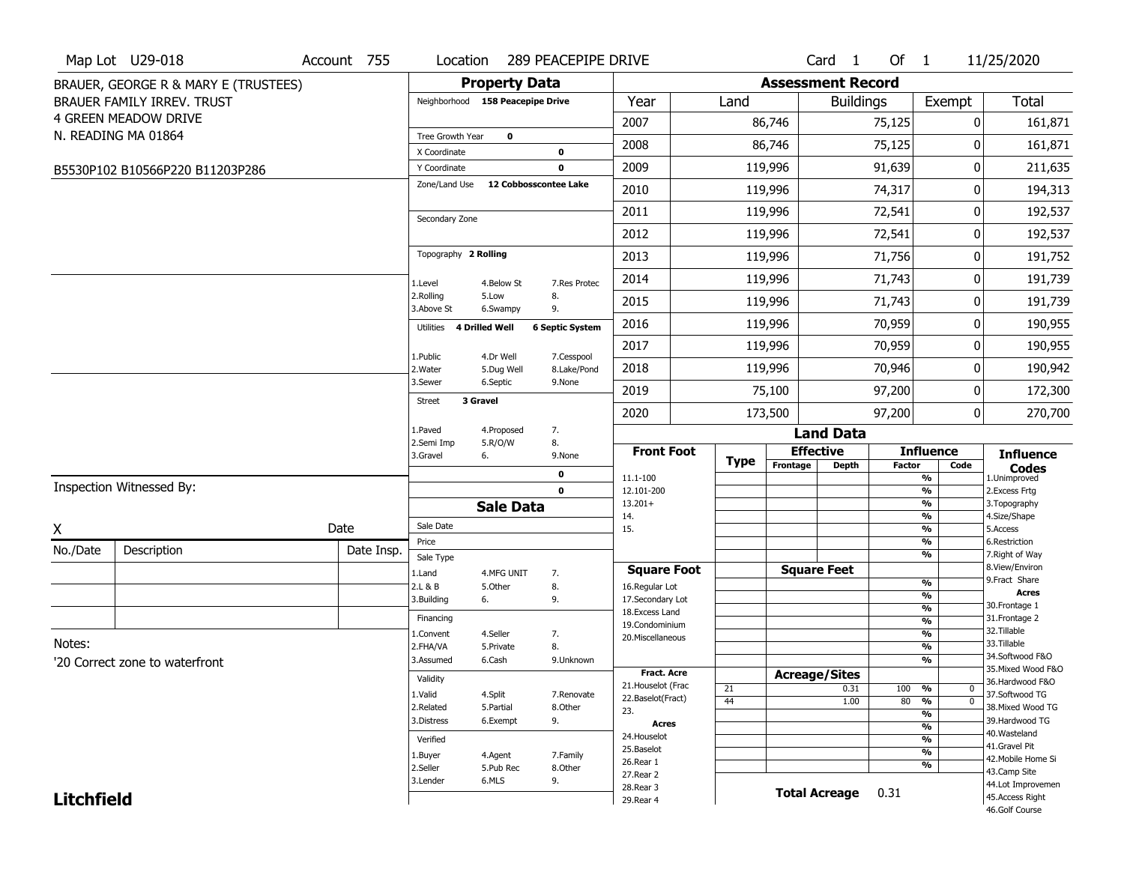| <b>Property Data</b><br><b>Assessment Record</b><br>BRAUER, GEORGE R & MARY E (TRUSTEES)<br><b>Total</b><br>Year<br>Land<br><b>Buildings</b><br>Exempt<br>BRAUER FAMILY IRREV. TRUST<br>Neighborhood 158 Peacepipe Drive<br><b>4 GREEN MEADOW DRIVE</b><br>2007<br>86,746<br>75,125<br>0<br>161,871<br>N. READING MA 01864<br>Tree Growth Year<br>$\mathbf 0$<br>2008<br>86,746<br>75,125<br>0<br>161,871<br>X Coordinate<br>0<br>2009<br>119,996<br>91,639<br>211,635<br>0<br>$\mathbf{0}$<br>Y Coordinate<br>B5530P102 B10566P220 B11203P286<br>Zone/Land Use<br>12 Cobbosscontee Lake<br>2010<br>119,996<br>74,317<br>194,313<br>0<br>119,996<br>72,541<br>0<br>2011<br>192,537 |
|------------------------------------------------------------------------------------------------------------------------------------------------------------------------------------------------------------------------------------------------------------------------------------------------------------------------------------------------------------------------------------------------------------------------------------------------------------------------------------------------------------------------------------------------------------------------------------------------------------------------------------------------------------------------------------|
|                                                                                                                                                                                                                                                                                                                                                                                                                                                                                                                                                                                                                                                                                    |
|                                                                                                                                                                                                                                                                                                                                                                                                                                                                                                                                                                                                                                                                                    |
|                                                                                                                                                                                                                                                                                                                                                                                                                                                                                                                                                                                                                                                                                    |
|                                                                                                                                                                                                                                                                                                                                                                                                                                                                                                                                                                                                                                                                                    |
|                                                                                                                                                                                                                                                                                                                                                                                                                                                                                                                                                                                                                                                                                    |
|                                                                                                                                                                                                                                                                                                                                                                                                                                                                                                                                                                                                                                                                                    |
|                                                                                                                                                                                                                                                                                                                                                                                                                                                                                                                                                                                                                                                                                    |
| Secondary Zone<br>119,996<br>72,541<br>2012<br>0<br>192,537                                                                                                                                                                                                                                                                                                                                                                                                                                                                                                                                                                                                                        |
| Topography 2 Rolling<br>2013<br>119,996<br>71,756<br>0<br>191,752                                                                                                                                                                                                                                                                                                                                                                                                                                                                                                                                                                                                                  |
| 2014<br>119,996<br>71,743<br>191,739<br>0                                                                                                                                                                                                                                                                                                                                                                                                                                                                                                                                                                                                                                          |
| 7.Res Protec<br>1.Level<br>4.Below St<br>2.Rolling<br>5.Low<br>8.<br>71,743<br>191,739<br>2015<br>119,996<br>0                                                                                                                                                                                                                                                                                                                                                                                                                                                                                                                                                                     |
| 3.Above St<br>6.Swampy<br>9.<br>119,996<br>70,959<br>0<br>190,955<br>2016                                                                                                                                                                                                                                                                                                                                                                                                                                                                                                                                                                                                          |
| <b>4 Drilled Well</b><br><b>Utilities</b><br><b>6 Septic System</b><br>2017<br>119,996<br>70,959<br>190,955<br>0                                                                                                                                                                                                                                                                                                                                                                                                                                                                                                                                                                   |
| 4.Dr Well<br>7.Cesspool<br>1.Public                                                                                                                                                                                                                                                                                                                                                                                                                                                                                                                                                                                                                                                |
| 2018<br>119,996<br>70,946<br>190,942<br>0<br>2. Water<br>8.Lake/Pond<br>5.Dug Well<br>3.Sewer<br>6.Septic<br>9.None                                                                                                                                                                                                                                                                                                                                                                                                                                                                                                                                                                |
| 2019<br>75,100<br>97,200<br>0<br>172,300<br>3 Gravel<br><b>Street</b>                                                                                                                                                                                                                                                                                                                                                                                                                                                                                                                                                                                                              |
| 97,200<br>2020<br>173,500<br>0<br>270,700<br>1.Paved<br>4.Proposed<br>7.<br><b>Land Data</b>                                                                                                                                                                                                                                                                                                                                                                                                                                                                                                                                                                                       |
| 5.R/O/W<br>8.<br>2.Semi Imp<br><b>Effective</b><br><b>Influence</b><br><b>Front Foot</b><br><b>Influence</b>                                                                                                                                                                                                                                                                                                                                                                                                                                                                                                                                                                       |
| 3.Gravel<br>6.<br>9.None<br><b>Type</b><br>Frontage<br><b>Depth</b><br><b>Factor</b><br>Code<br><b>Codes</b><br>0                                                                                                                                                                                                                                                                                                                                                                                                                                                                                                                                                                  |
| %<br>1.Unimproved<br>11.1-100<br>Inspection Witnessed By:<br>$\mathbf 0$<br>$\frac{9}{6}$<br>12.101-200<br>2. Excess Frtg                                                                                                                                                                                                                                                                                                                                                                                                                                                                                                                                                          |
| $13.201+$<br>%<br>3. Topography<br><b>Sale Data</b>                                                                                                                                                                                                                                                                                                                                                                                                                                                                                                                                                                                                                                |
| %<br>4.Size/Shape<br>14.<br>Sale Date<br>Date<br>Χ<br>15.<br>%<br>5.Access                                                                                                                                                                                                                                                                                                                                                                                                                                                                                                                                                                                                         |
| Price<br>%<br>6.Restriction<br>No./Date<br>Description<br>Date Insp.<br>%<br>7. Right of Way                                                                                                                                                                                                                                                                                                                                                                                                                                                                                                                                                                                       |
| Sale Type<br>8.View/Environ<br><b>Square Feet</b><br><b>Square Foot</b><br>1.Land<br>4.MFG UNIT<br>7.                                                                                                                                                                                                                                                                                                                                                                                                                                                                                                                                                                              |
| 9.Fract Share<br>%<br>2.L & B<br>5.Other<br>8.<br>16.Regular Lot<br><b>Acres</b>                                                                                                                                                                                                                                                                                                                                                                                                                                                                                                                                                                                                   |
| $\overline{\frac{9}{6}}$<br>3.Building<br>9.<br>17.Secondary Lot<br>6.<br>30. Frontage 1<br>$\frac{9}{6}$                                                                                                                                                                                                                                                                                                                                                                                                                                                                                                                                                                          |
| 18.Excess Land<br>31. Frontage 2<br>Financing<br>$\overline{\frac{9}{6}}$<br>19.Condominium                                                                                                                                                                                                                                                                                                                                                                                                                                                                                                                                                                                        |
| 32. Tillable<br>$\frac{9}{6}$<br>4.Seller<br>1.Convent<br>7.<br>20.Miscellaneous<br>Notes:                                                                                                                                                                                                                                                                                                                                                                                                                                                                                                                                                                                         |
| 33.Tillable<br>8.<br>%<br>2.FHA/VA<br>5.Private<br>34.Softwood F&O                                                                                                                                                                                                                                                                                                                                                                                                                                                                                                                                                                                                                 |
| $\frac{9}{6}$<br>3.Assumed<br>6.Cash<br>9.Unknown<br>'20 Correct zone to waterfront<br>35. Mixed Wood F&O<br><b>Fract. Acre</b>                                                                                                                                                                                                                                                                                                                                                                                                                                                                                                                                                    |
| <b>Acreage/Sites</b><br>Validity<br>36.Hardwood F&O<br>21. Houselot (Frac<br>%<br>100                                                                                                                                                                                                                                                                                                                                                                                                                                                                                                                                                                                              |
| 21<br>0.31<br>U<br>1.Valid<br>4.Split<br>37.Softwood TG<br>7.Renovate<br>22.Baselot(Fract)<br>44<br>1.00<br>80 %<br>$\mathbf 0$                                                                                                                                                                                                                                                                                                                                                                                                                                                                                                                                                    |
| 2.Related<br>5.Partial<br>8.Other<br>38. Mixed Wood TG<br>23.<br>%                                                                                                                                                                                                                                                                                                                                                                                                                                                                                                                                                                                                                 |
| 3.Distress<br>9.<br>6.Exempt<br>39.Hardwood TG<br><b>Acres</b><br>%<br>40.Wasteland                                                                                                                                                                                                                                                                                                                                                                                                                                                                                                                                                                                                |
| 24. Houselot<br>%<br>Verified<br>41.Gravel Pit<br>25.Baselot                                                                                                                                                                                                                                                                                                                                                                                                                                                                                                                                                                                                                       |
| %<br>4.Agent<br>7.Family<br>1.Buyer<br>42. Mobile Home Si<br>26.Rear 1                                                                                                                                                                                                                                                                                                                                                                                                                                                                                                                                                                                                             |
| %<br>2.Seller<br>8.Other<br>5.Pub Rec<br>43.Camp Site<br>27.Rear 2                                                                                                                                                                                                                                                                                                                                                                                                                                                                                                                                                                                                                 |
| 3.Lender<br>6.MLS<br>9.<br>44.Lot Improvemen<br>28. Rear 3<br><b>Total Acreage</b><br>0.31                                                                                                                                                                                                                                                                                                                                                                                                                                                                                                                                                                                         |
| <b>Litchfield</b><br>45.Access Right<br>29. Rear 4<br>46.Golf Course                                                                                                                                                                                                                                                                                                                                                                                                                                                                                                                                                                                                               |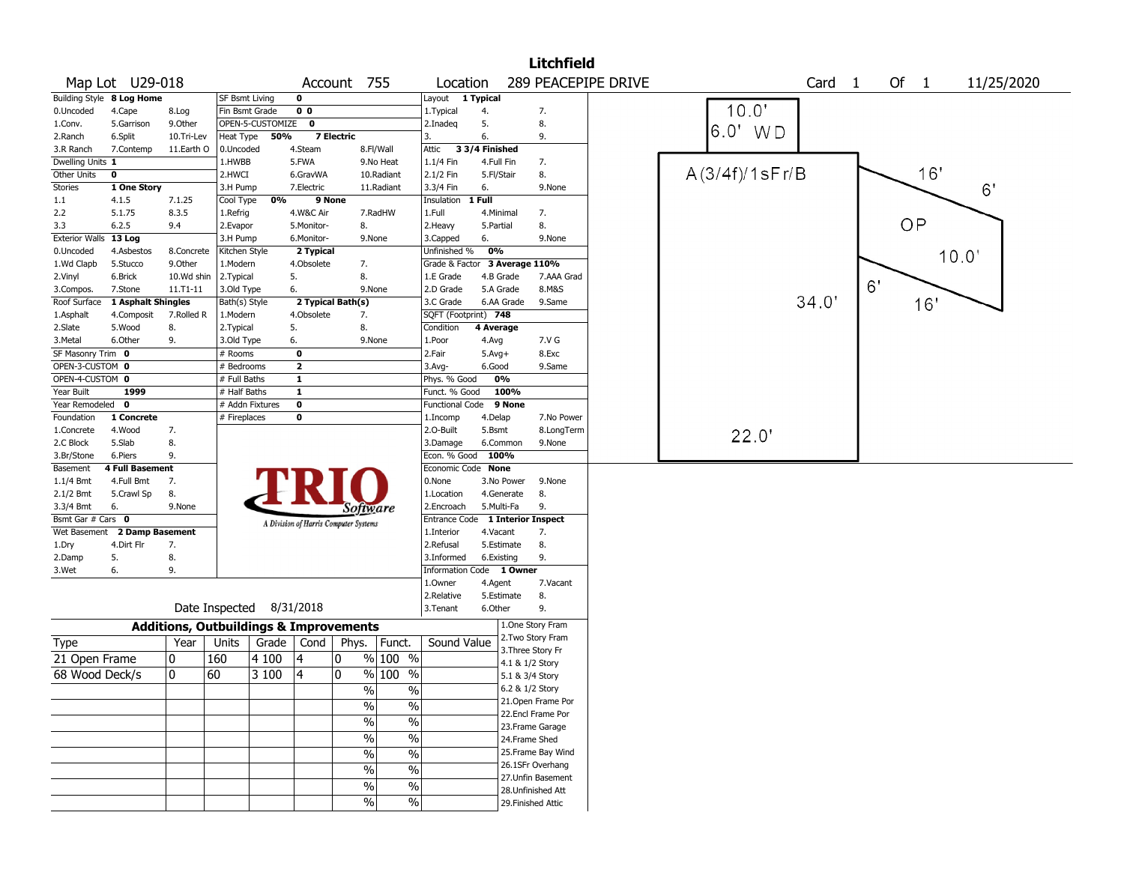|                       |                           |                                                   |                |                  |                                       |                   |                                |                                  |                |            | <b>Litchfield</b>  |                     |                   |                      |    |      |            |
|-----------------------|---------------------------|---------------------------------------------------|----------------|------------------|---------------------------------------|-------------------|--------------------------------|----------------------------------|----------------|------------|--------------------|---------------------|-------------------|----------------------|----|------|------------|
|                       | Map Lot U29-018           |                                                   |                |                  |                                       | Account 755       |                                | Location                         |                |            |                    | 289 PEACEPIPE DRIVE |                   | Card<br>$\mathbf{1}$ |    | Of 1 | 11/25/2020 |
|                       | Building Style 8 Log Home |                                                   | SF Bsmt Living |                  | $\mathbf 0$                           |                   |                                | Layout 1 Typical                 |                |            |                    |                     |                   |                      |    |      |            |
| 0.Uncoded             | 4.Cape                    | 8.Log                                             | Fin Bsmt Grade |                  | 0 <sub>0</sub>                        |                   |                                | 1.Typical                        | 4.             |            | 7.                 |                     | 10.0'             |                      |    |      |            |
| 1.Conv.               | 5.Garrison                | 9.Other                                           |                | OPEN-5-CUSTOMIZE | 0                                     |                   |                                | 2.Inadeg                         | 5.             |            | 8.                 |                     | 6.0"              |                      |    |      |            |
| 2.Ranch               | 6.Split                   | 10.Tri-Lev                                        | Heat Type      | 50%              |                                       | <b>7 Electric</b> |                                | 3.                               | 6.             |            | 9.                 |                     | WD                |                      |    |      |            |
| 3.R Ranch             | 7.Contemp                 | 11.Earth O                                        | 0.Uncoded      |                  | 4.Steam                               |                   | 8.Fl/Wall                      | Attic                            | 3 3/4 Finished |            |                    |                     |                   |                      |    |      |            |
| Dwelling Units 1      |                           |                                                   | 1.HWBB         |                  | 5.FWA                                 |                   | 9.No Heat                      | 1.1/4 Fin                        | 4.Full Fin     |            | 7.                 |                     |                   |                      |    |      |            |
| Other Units           | $\mathbf 0$               |                                                   | 2.HWCI         |                  | 6.GravWA                              |                   | 10.Radiant                     | 2.1/2 Fin                        | 5.Fl/Stair     |            | 8.                 |                     | $A(3/4f)/1$ sFr/B |                      |    | 16'  |            |
| <b>Stories</b>        | 1 One Story               |                                                   | 3.H Pump       |                  | 7.Electric                            |                   | 11.Radiant                     | 3.3/4 Fin                        | 6.             |            | 9.None             |                     |                   |                      |    |      | 6'         |
| 1.1                   | 4.1.5                     | 7.1.25                                            | Cool Type      | 0%               |                                       | 9 None            |                                | Insulation                       | 1 Full         |            |                    |                     |                   |                      |    |      |            |
| 2.2                   | 5.1.75                    | 8.3.5                                             | 1.Refrig       |                  | 4.W&C Air                             |                   | 7.RadHW                        | 1.Full                           | 4.Minimal      |            | 7.                 |                     |                   |                      |    |      |            |
| 3.3                   | 6.2.5                     | 9.4                                               | 2.Evapor       |                  | 5.Monitor-                            | 8.                |                                | 2.Heavy                          | 5.Partial      |            | 8.                 |                     |                   |                      |    | OP   |            |
| <b>Exterior Walls</b> | 13 Log                    |                                                   | 3.H Pump       |                  | 6.Monitor-                            |                   | 9.None                         | 3.Capped                         | 6.             |            | 9.None             |                     |                   |                      |    |      |            |
| 0.Uncoded             | 4.Asbestos                | 8.Concrete                                        | Kitchen Style  |                  | 2 Typical                             |                   |                                | Unfinished %                     | 0%             |            |                    |                     |                   |                      |    |      | 10.0'      |
| 1.Wd Clapb            | 5.Stucco                  | 9.Other                                           | 1.Modern       |                  | 4.Obsolete                            | 7.                |                                | Grade & Factor                   |                |            | 3 Average 110%     |                     |                   |                      |    |      |            |
| 2.Vinyl               | 6.Brick                   | 10.Wd shin                                        | 2.Typical      |                  | 5.                                    | 8.                |                                | 1.E Grade                        | 4.B Grade      |            | 7.AAA Grad         |                     |                   |                      |    |      |            |
| 3.Compos.             | 7.Stone                   | 11.T1-11                                          | 3.Old Type     |                  | 6.                                    |                   | 9.None                         | 2.D Grade                        | 5.A Grade      |            | 8.M&S              |                     |                   |                      | 6' |      |            |
| Roof Surface          | 1 Asphalt Shingles        |                                                   | Bath(s) Style  |                  | 2 Typical Bath(s)                     |                   |                                | 3.C Grade                        |                | 6.AA Grade | 9.Same             |                     |                   | 34.0'                |    | 16'  |            |
| 1.Asphalt             | 4.Composit                | 7.Rolled R                                        | 1.Modern       |                  | 4.Obsolete                            | 7.                |                                | SQFT (Footprint) 748             |                |            |                    |                     |                   |                      |    |      |            |
| 2.Slate               | 5.Wood                    | 8.                                                | 2. Typical     |                  | 5.                                    | 8.                |                                | Condition                        | 4 Average      |            |                    |                     |                   |                      |    |      |            |
| 3. Metal              | 6.Other                   | 9.                                                | 3.Old Type     |                  | 6.                                    |                   | 9.None                         | 1.Poor                           | 4.Avg          |            | 7.V G              |                     |                   |                      |    |      |            |
| SF Masonry Trim 0     |                           |                                                   | # Rooms        |                  | $\mathbf 0$                           |                   |                                | 2.Fair                           | $5.$ Avg $+$   |            | 8.Exc              |                     |                   |                      |    |      |            |
| OPEN-3-CUSTOM 0       |                           |                                                   | # Bedrooms     |                  | $\overline{\mathbf{2}}$               |                   |                                | 3.Avg-                           | 6.Good         |            | 9.Same             |                     |                   |                      |    |      |            |
| OPEN-4-CUSTOM 0       |                           |                                                   | # Full Baths   |                  | $\mathbf{1}$                          |                   |                                | Phys. % Good                     | 0%             |            |                    |                     |                   |                      |    |      |            |
| Year Built            | 1999                      |                                                   | # Half Baths   |                  | $\mathbf{1}$                          |                   |                                | Funct. % Good                    |                | 100%       |                    |                     |                   |                      |    |      |            |
| Year Remodeled 0      |                           |                                                   |                | # Addn Fixtures  | $\mathbf 0$                           |                   |                                | <b>Functional Code</b>           |                | 9 None     |                    |                     |                   |                      |    |      |            |
| Foundation            | 1 Concrete                |                                                   | # Fireplaces   |                  | 0                                     |                   |                                | 1.Incomp                         | 4.Delap        |            | 7.No Power         |                     |                   |                      |    |      |            |
| 1.Concrete            | 4.Wood                    | 7.                                                |                |                  |                                       |                   |                                | 2.0-Built                        | 5.Bsmt         |            | 8.LongTerm         |                     |                   |                      |    |      |            |
| 2.C Block             | 5.Slab                    | 8.                                                |                |                  |                                       |                   |                                | 3.Damage                         | 6.Common       |            | 9.None             |                     | 22.0'             |                      |    |      |            |
| 3.Br/Stone            | 6.Piers                   | 9.                                                |                |                  |                                       |                   |                                | Econ. % Good                     | 100%           |            |                    |                     |                   |                      |    |      |            |
| Basement              | <b>4 Full Basement</b>    |                                                   |                |                  |                                       |                   |                                | Economic Code None               |                |            |                    |                     |                   |                      |    |      |            |
| $1.1/4$ Bmt           | 4.Full Bmt                | 7.                                                |                |                  |                                       |                   |                                | 0.None                           |                | 3.No Power | 9.None             |                     |                   |                      |    |      |            |
| 2.1/2 Bmt             | 5.Crawl Sp                | 8.                                                |                |                  |                                       |                   |                                | 1.Location                       |                | 4.Generate | 8.                 |                     |                   |                      |    |      |            |
| 3.3/4 Bmt             | 6.                        | 9.None                                            |                |                  |                                       |                   | Software                       | 2.Encroach                       | 5.Multi-Fa     |            | 9.                 |                     |                   |                      |    |      |            |
| Bsmt Gar # Cars 0     |                           |                                                   |                |                  |                                       |                   |                                | Entrance Code 1 Interior Inspect |                |            |                    |                     |                   |                      |    |      |            |
| Wet Basement          | 2 Damp Basement           |                                                   |                |                  | A Division of Harris Computer Systems |                   |                                | 1.Interior                       | 4.Vacant       |            | 7.                 |                     |                   |                      |    |      |            |
| 1.Dry                 | 4.Dirt Flr                | 7.                                                |                |                  |                                       |                   |                                | 2.Refusal                        |                | 5.Estimate | 8.                 |                     |                   |                      |    |      |            |
| 2.Damp                | 5.                        | 8.                                                |                |                  |                                       |                   |                                | 3.Informed                       | 6.Existing     |            | 9.                 |                     |                   |                      |    |      |            |
| 3.Wet                 | 6.                        | 9.                                                |                |                  |                                       |                   |                                | Information Code 1 Owner         |                |            |                    |                     |                   |                      |    |      |            |
|                       |                           |                                                   |                |                  |                                       |                   |                                | 1.Owner                          | 4.Agent        |            | 7.Vacant           |                     |                   |                      |    |      |            |
|                       |                           |                                                   |                |                  |                                       |                   |                                | 2.Relative                       |                | 5.Estimate | 8.                 |                     |                   |                      |    |      |            |
|                       |                           |                                                   | Date Inspected |                  | 8/31/2018                             |                   |                                | 3.Tenant                         | 6.Other        |            | 9.                 |                     |                   |                      |    |      |            |
|                       |                           | <b>Additions, Outbuildings &amp; Improvements</b> |                |                  |                                       |                   |                                |                                  |                |            | 1.One Story Fram   |                     |                   |                      |    |      |            |
| Type                  |                           | Year                                              | Units          |                  | Grade $\vert$ Cond $\vert$            | Phys.             | Funct.                         | Sound Value                      |                |            | 2. Two Story Fram  |                     |                   |                      |    |      |            |
|                       |                           |                                                   |                |                  |                                       |                   | % 100 %                        |                                  |                |            | 3. Three Story Fr  |                     |                   |                      |    |      |            |
| 21 Open Frame         |                           | 0                                                 | 160            | 4 100            | 4                                     | 0                 |                                |                                  |                |            | 4.1 & 1/2 Story    |                     |                   |                      |    |      |            |
| 68 Wood Deck/s        |                           | 0                                                 | 60             | 3 100            | 14                                    | 0                 | % 100<br>$\%$                  |                                  |                |            | 5.1 & 3/4 Story    |                     |                   |                      |    |      |            |
|                       |                           |                                                   |                |                  |                                       |                   | $\%$<br>$\%$                   |                                  |                |            | 6.2 & 1/2 Story    |                     |                   |                      |    |      |            |
|                       |                           |                                                   |                |                  |                                       |                   | $\frac{0}{0}$<br>$\%$          |                                  |                |            | 21. Open Frame Por |                     |                   |                      |    |      |            |
|                       |                           |                                                   |                |                  |                                       |                   |                                |                                  |                |            | 22.Encl Frame Por  |                     |                   |                      |    |      |            |
|                       |                           |                                                   |                |                  |                                       |                   | $\frac{0}{0}$<br>$\%$          |                                  |                |            | 23. Frame Garage   |                     |                   |                      |    |      |            |
|                       |                           |                                                   |                |                  |                                       |                   | $\frac{1}{2}$<br>$\%$          |                                  |                |            | 24.Frame Shed      |                     |                   |                      |    |      |            |
|                       |                           |                                                   |                |                  |                                       |                   | $\frac{0}{0}$<br>$\%$          |                                  |                |            | 25. Frame Bay Wind |                     |                   |                      |    |      |            |
|                       |                           |                                                   |                |                  |                                       |                   | $\%$<br>$\frac{0}{0}$          |                                  |                |            | 26.1SFr Overhang   |                     |                   |                      |    |      |            |
|                       |                           |                                                   |                |                  |                                       |                   |                                |                                  |                |            | 27. Unfin Basement |                     |                   |                      |    |      |            |
|                       |                           |                                                   |                |                  |                                       |                   | $\frac{0}{0}$<br>$\%$          |                                  |                |            | 28. Unfinished Att |                     |                   |                      |    |      |            |
|                       |                           |                                                   |                |                  |                                       |                   | $\frac{0}{0}$<br>$\frac{0}{0}$ |                                  |                |            | 29. Finished Attic |                     |                   |                      |    |      |            |
|                       |                           |                                                   |                |                  |                                       |                   |                                |                                  |                |            |                    |                     |                   |                      |    |      |            |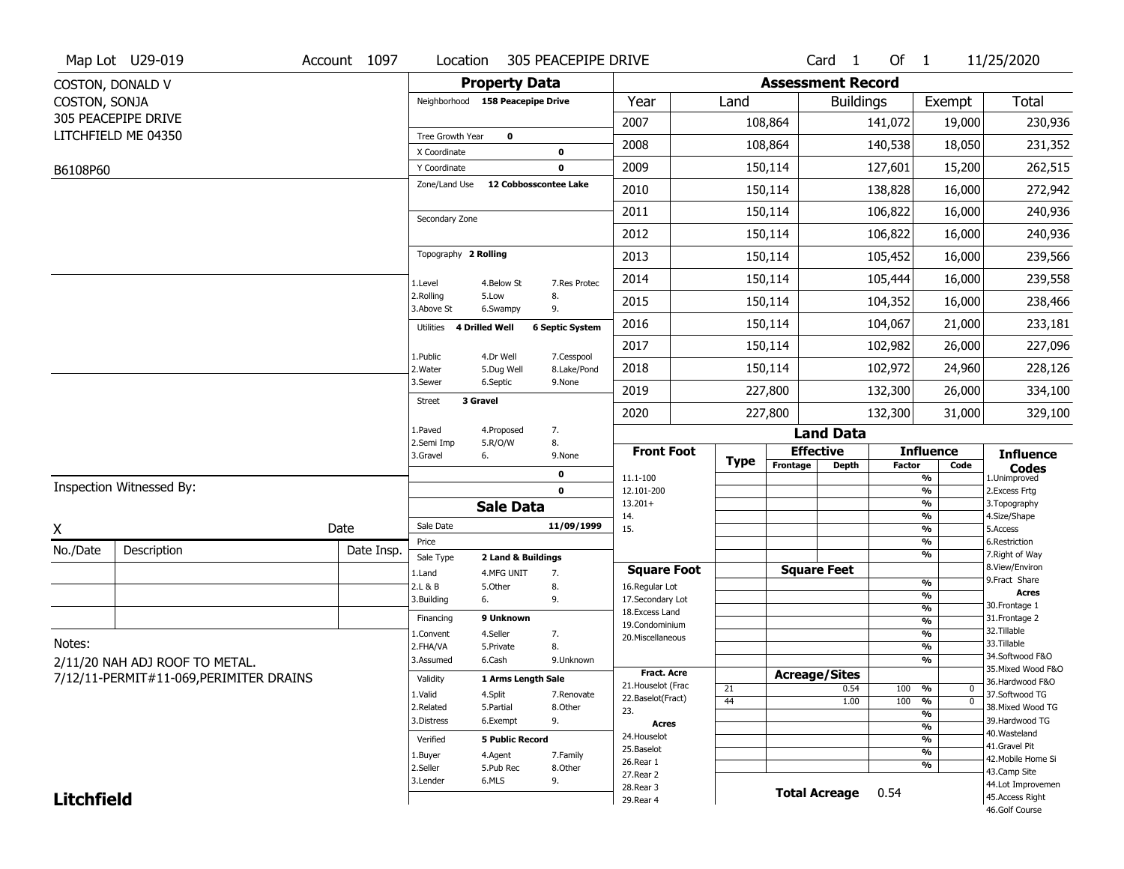| <b>Property Data</b><br><b>Assessment Record</b><br>COSTON, DONALD V<br><b>Total</b><br>COSTON, SONJA<br>Neighborhood 158 Peacepipe Drive<br>Year<br>Land<br><b>Buildings</b><br>Exempt<br>305 PEACEPIPE DRIVE<br>2007<br>108,864<br>230,936<br>141,072<br>19,000<br>LITCHFIELD ME 04350<br>Tree Growth Year<br>$\mathbf 0$<br>2008<br>108,864<br>140,538<br>18,050<br>231,352<br>X Coordinate<br>0<br>2009<br>150,114<br>262,515<br>127,601<br>15,200<br>Y Coordinate<br>0<br>B6108P60<br>12 Cobbosscontee Lake<br>Zone/Land Use<br>150,114<br>272,942<br>2010<br>138,828<br>16,000<br>2011<br>150,114<br>106,822<br>240,936<br>16,000<br>Secondary Zone<br>2012<br>150,114<br>106,822<br>240,936<br>16,000<br>Topography 2 Rolling<br>239,566<br>2013<br>150,114<br>105,452<br>16,000<br>2014<br>150,114<br>239,558<br>105,444<br>16,000<br>1.Level<br>4.Below St<br>7.Res Protec |
|-------------------------------------------------------------------------------------------------------------------------------------------------------------------------------------------------------------------------------------------------------------------------------------------------------------------------------------------------------------------------------------------------------------------------------------------------------------------------------------------------------------------------------------------------------------------------------------------------------------------------------------------------------------------------------------------------------------------------------------------------------------------------------------------------------------------------------------------------------------------------------------|
|                                                                                                                                                                                                                                                                                                                                                                                                                                                                                                                                                                                                                                                                                                                                                                                                                                                                                     |
|                                                                                                                                                                                                                                                                                                                                                                                                                                                                                                                                                                                                                                                                                                                                                                                                                                                                                     |
|                                                                                                                                                                                                                                                                                                                                                                                                                                                                                                                                                                                                                                                                                                                                                                                                                                                                                     |
|                                                                                                                                                                                                                                                                                                                                                                                                                                                                                                                                                                                                                                                                                                                                                                                                                                                                                     |
|                                                                                                                                                                                                                                                                                                                                                                                                                                                                                                                                                                                                                                                                                                                                                                                                                                                                                     |
|                                                                                                                                                                                                                                                                                                                                                                                                                                                                                                                                                                                                                                                                                                                                                                                                                                                                                     |
|                                                                                                                                                                                                                                                                                                                                                                                                                                                                                                                                                                                                                                                                                                                                                                                                                                                                                     |
|                                                                                                                                                                                                                                                                                                                                                                                                                                                                                                                                                                                                                                                                                                                                                                                                                                                                                     |
|                                                                                                                                                                                                                                                                                                                                                                                                                                                                                                                                                                                                                                                                                                                                                                                                                                                                                     |
|                                                                                                                                                                                                                                                                                                                                                                                                                                                                                                                                                                                                                                                                                                                                                                                                                                                                                     |
| 2.Rolling<br>5.Low<br>8.                                                                                                                                                                                                                                                                                                                                                                                                                                                                                                                                                                                                                                                                                                                                                                                                                                                            |
| 2015<br>150,114<br>104,352<br>238,466<br>16,000<br>3.Above St<br>9.<br>6.Swampy                                                                                                                                                                                                                                                                                                                                                                                                                                                                                                                                                                                                                                                                                                                                                                                                     |
| 2016<br>150,114<br>233,181<br>104,067<br>21,000<br>4 Drilled Well<br><b>6 Septic System</b><br>Utilities                                                                                                                                                                                                                                                                                                                                                                                                                                                                                                                                                                                                                                                                                                                                                                            |
| 2017<br>150,114<br>102,982<br>26,000<br>227,096<br>1.Public<br>7.Cesspool<br>4.Dr Well                                                                                                                                                                                                                                                                                                                                                                                                                                                                                                                                                                                                                                                                                                                                                                                              |
| 150,114<br>2018<br>102,972<br>24,960<br>228,126<br>2. Water<br>8.Lake/Pond<br>5.Dug Well<br>3.Sewer<br>6.Septic<br>9.None                                                                                                                                                                                                                                                                                                                                                                                                                                                                                                                                                                                                                                                                                                                                                           |
| 2019<br>227,800<br>334,100<br>132,300<br>26,000<br>3 Gravel<br><b>Street</b>                                                                                                                                                                                                                                                                                                                                                                                                                                                                                                                                                                                                                                                                                                                                                                                                        |
| 2020<br>227,800<br>132,300<br>31,000<br>329,100                                                                                                                                                                                                                                                                                                                                                                                                                                                                                                                                                                                                                                                                                                                                                                                                                                     |
| 7.<br>1.Paved<br>4.Proposed<br><b>Land Data</b><br>8.<br>2.Semi Imp<br>5.R/O/W                                                                                                                                                                                                                                                                                                                                                                                                                                                                                                                                                                                                                                                                                                                                                                                                      |
| <b>Front Foot</b><br><b>Effective</b><br><b>Influence</b><br><b>Influence</b><br>3.Gravel<br>6.<br>9.None<br><b>Type</b><br>Frontage<br><b>Depth</b><br><b>Factor</b><br>Code                                                                                                                                                                                                                                                                                                                                                                                                                                                                                                                                                                                                                                                                                                       |
| <b>Codes</b><br>0<br>1.Unimproved<br>11.1-100<br>%                                                                                                                                                                                                                                                                                                                                                                                                                                                                                                                                                                                                                                                                                                                                                                                                                                  |
| Inspection Witnessed By:<br>$\mathbf 0$<br>12.101-200<br>%<br>2.Excess Frtg<br>$13.201+$<br>%<br>3. Topography                                                                                                                                                                                                                                                                                                                                                                                                                                                                                                                                                                                                                                                                                                                                                                      |
| <b>Sale Data</b><br>%<br>4.Size/Shape<br>14.<br>Sale Date                                                                                                                                                                                                                                                                                                                                                                                                                                                                                                                                                                                                                                                                                                                                                                                                                           |
| 11/09/1999<br>Date<br>X<br>15.<br>%<br>5.Access<br>%<br>6.Restriction<br>Price                                                                                                                                                                                                                                                                                                                                                                                                                                                                                                                                                                                                                                                                                                                                                                                                      |
| No./Date<br>Description<br>Date Insp.<br>%<br>7. Right of Way<br>Sale Type<br>2 Land & Buildings                                                                                                                                                                                                                                                                                                                                                                                                                                                                                                                                                                                                                                                                                                                                                                                    |
| 8.View/Environ<br><b>Square Feet</b><br><b>Square Foot</b><br>1.Land<br>4.MFG UNIT<br>7.<br>9. Fract Share                                                                                                                                                                                                                                                                                                                                                                                                                                                                                                                                                                                                                                                                                                                                                                          |
| %<br>2.L & B<br>5.Other<br>8.<br>16.Regular Lot<br><b>Acres</b><br>%                                                                                                                                                                                                                                                                                                                                                                                                                                                                                                                                                                                                                                                                                                                                                                                                                |
| 9.<br>17.Secondary Lot<br>3.Building<br>6.<br>30. Frontage 1<br>$\frac{9}{6}$<br>18. Excess Land                                                                                                                                                                                                                                                                                                                                                                                                                                                                                                                                                                                                                                                                                                                                                                                    |
| 9 Unknown<br>31. Frontage 2<br>Financing<br>$\frac{9}{6}$<br>19.Condominium<br>32.Tillable                                                                                                                                                                                                                                                                                                                                                                                                                                                                                                                                                                                                                                                                                                                                                                                          |
| $\frac{9}{6}$<br>4.Seller<br>1.Convent<br>7.<br>20.Miscellaneous<br>Notes:<br>33.Tillable                                                                                                                                                                                                                                                                                                                                                                                                                                                                                                                                                                                                                                                                                                                                                                                           |
| $\frac{9}{6}$<br>2.FHA/VA<br>8.<br>5.Private<br>34.Softwood F&O<br>$\frac{9}{6}$<br>3.Assumed<br>6.Cash<br>9.Unknown                                                                                                                                                                                                                                                                                                                                                                                                                                                                                                                                                                                                                                                                                                                                                                |
| 2/11/20 NAH ADJ ROOF TO METAL.<br>35. Mixed Wood F&O<br><b>Fract. Acre</b><br><b>Acreage/Sites</b>                                                                                                                                                                                                                                                                                                                                                                                                                                                                                                                                                                                                                                                                                                                                                                                  |
| 7/12/11-PERMIT#11-069, PERIMITER DRAINS<br>Validity<br>1 Arms Length Sale<br>36.Hardwood F&O<br>21. Houselot (Frac<br>21<br>0.54<br>100<br>%<br>$\mathbf 0$                                                                                                                                                                                                                                                                                                                                                                                                                                                                                                                                                                                                                                                                                                                         |
| 1.Valid<br>4.Split<br>37.Softwood TG<br>7.Renovate<br>22.Baselot(Fract)<br>100<br>$\overline{0}$<br>44<br>1.00<br>%                                                                                                                                                                                                                                                                                                                                                                                                                                                                                                                                                                                                                                                                                                                                                                 |
| 2.Related<br>5.Partial<br>8.Other<br>38. Mixed Wood TG<br>23.<br>%                                                                                                                                                                                                                                                                                                                                                                                                                                                                                                                                                                                                                                                                                                                                                                                                                  |
| 9.<br>39.Hardwood TG<br>3.Distress<br>6.Exempt<br><b>Acres</b><br>%                                                                                                                                                                                                                                                                                                                                                                                                                                                                                                                                                                                                                                                                                                                                                                                                                 |
| 40. Wasteland<br>24. Houselot<br><b>5 Public Record</b><br>%<br>Verified<br>41.Gravel Pit                                                                                                                                                                                                                                                                                                                                                                                                                                                                                                                                                                                                                                                                                                                                                                                           |
| 25.Baselot<br>%<br>1.Buyer<br>4.Agent<br>7.Family<br>42. Mobile Home Si<br>26.Rear 1                                                                                                                                                                                                                                                                                                                                                                                                                                                                                                                                                                                                                                                                                                                                                                                                |
| %<br>2.Seller<br>5.Pub Rec<br>8.Other<br>43.Camp Site<br>27.Rear 2                                                                                                                                                                                                                                                                                                                                                                                                                                                                                                                                                                                                                                                                                                                                                                                                                  |
| 6.MLS<br>9.<br>3.Lender<br>44.Lot Improvemen<br>28.Rear 3                                                                                                                                                                                                                                                                                                                                                                                                                                                                                                                                                                                                                                                                                                                                                                                                                           |
| <b>Total Acreage</b><br>0.54<br><b>Litchfield</b><br>45.Access Right<br>29. Rear 4<br>46.Golf Course                                                                                                                                                                                                                                                                                                                                                                                                                                                                                                                                                                                                                                                                                                                                                                                |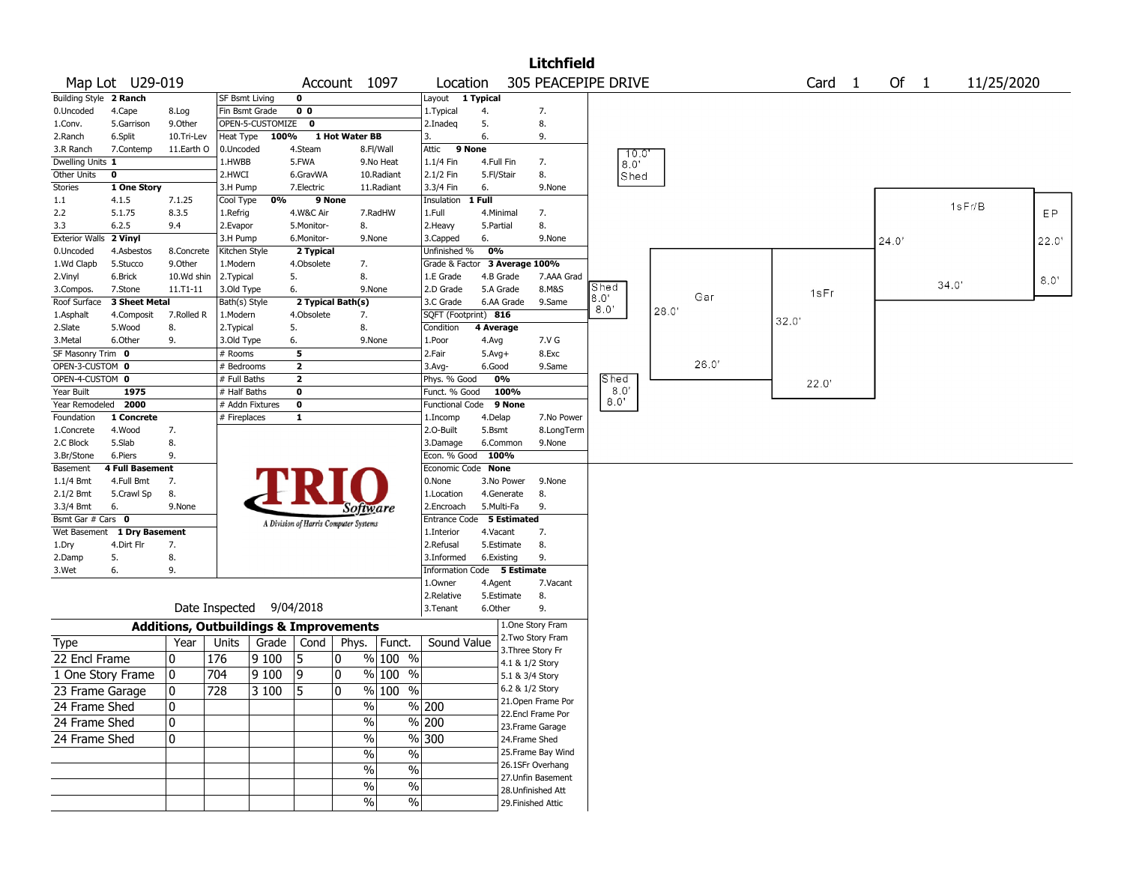|                                    |                        |            |                              |                                                   |                              |                                       |                     |                               |            |            | <b>Litchfield</b>                     |                     |       |       |       |        |        |       |            |      |
|------------------------------------|------------------------|------------|------------------------------|---------------------------------------------------|------------------------------|---------------------------------------|---------------------|-------------------------------|------------|------------|---------------------------------------|---------------------|-------|-------|-------|--------|--------|-------|------------|------|
|                                    | Map Lot U29-019        |            |                              |                                                   |                              | Account 1097                          |                     | Location                      |            |            |                                       | 305 PEACEPIPE DRIVE |       |       |       | Card 1 | Of $1$ |       | 11/25/2020 |      |
| Building Style 2 Ranch             |                        |            | SF Bsmt Living               |                                                   | 0                            |                                       |                     | Layout 1 Typical              |            |            |                                       |                     |       |       |       |        |        |       |            |      |
| 0.Uncoded                          | 4.Cape                 | 8.Log      | Fin Bsmt Grade               |                                                   | 0 <sub>0</sub>               |                                       |                     | 1. Typical                    | 4.         |            | 7.                                    |                     |       |       |       |        |        |       |            |      |
| 1.Conv.                            | 5.Garrison             | 9.Other    |                              | OPEN-5-CUSTOMIZE                                  | 0                            |                                       |                     | 2.Inadeq                      | 5.         |            | 8.                                    |                     |       |       |       |        |        |       |            |      |
| 2.Ranch                            | 6.Split                | 10.Tri-Lev | Heat Type                    | 100%                                              |                              | 1 Hot Water BB                        |                     | 3.                            | 6.         |            | 9.                                    |                     |       |       |       |        |        |       |            |      |
| 3.R Ranch                          | 7.Contemp              | 11.Earth O | 0.Uncoded                    |                                                   | 4.Steam                      |                                       | 8.Fl/Wall           | 9 None<br>Attic               |            |            |                                       | 10.0                |       |       |       |        |        |       |            |      |
| Dwelling Units 1                   |                        |            | 1.HWBB                       |                                                   | 5.FWA                        |                                       | 9.No Heat           | 1.1/4 Fin                     | 4.Full Fin |            | 7.                                    | $8.0^{\circ}$       |       |       |       |        |        |       |            |      |
| Other Units                        | 0                      |            | 2.HWCI                       |                                                   | 6.GravWA                     |                                       | 10.Radiant          | 2.1/2 Fin                     | 5.Fl/Stair |            | 8.                                    | Shed                |       |       |       |        |        |       |            |      |
| Stories                            | 1 One Story            |            | 3.H Pump                     |                                                   | 7.Electric                   |                                       | 11.Radiant          | 3.3/4 Fin                     | 6.         |            | 9.None                                |                     |       |       |       |        |        |       |            |      |
| $1.1\,$                            | 4.1.5                  | 7.1.25     | Cool Type                    | 0%                                                |                              | 9 None                                |                     | Insulation                    | 1 Full     |            |                                       |                     |       |       |       |        |        |       | 1sF/B      |      |
| 2.2                                | 5.1.75                 | 8.3.5      | 1.Refrig                     |                                                   | 4.W&C Air                    |                                       | 7.RadHW             | 1.Full                        | 4.Minimal  |            | 7.                                    |                     |       |       |       |        |        |       |            | EP   |
| 3.3                                | 6.2.5                  | 9.4        | 2.Evapor                     |                                                   | 5.Monitor-                   | 8.                                    |                     | 2.Heavy                       | 5.Partial  |            | 8.                                    |                     |       |       |       |        |        |       |            |      |
| Exterior Walls 2 Vinyl             |                        |            | 3.H Pump                     |                                                   | 6.Monitor-                   |                                       | 9.None              | 3.Capped                      | 6.         |            | 9.None                                |                     |       |       |       |        | 24.0'  |       |            | 22.0 |
| 0.Uncoded                          | 4.Asbestos             | 8.Concrete | Kitchen Style                |                                                   | 2 Typical                    |                                       |                     | Unfinished %                  | 0%         |            |                                       |                     |       |       |       |        |        |       |            |      |
| 1.Wd Clapb                         | 5.Stucco               | 9.0ther    | 1.Modern                     |                                                   | 4.Obsolete                   | 7.                                    |                     | Grade & Factor 3 Average 100% |            |            |                                       |                     |       |       |       |        |        |       |            |      |
| 2.Vinyl                            | 6.Brick                | 10.Wd shin | 2.Typical                    |                                                   | 5.                           | 8.                                    |                     | 1.E Grade                     | 4.B Grade  |            | 7.AAA Grad                            | Shed                |       |       |       |        |        | 34.0' |            | 8.0' |
| 3.Compos.                          | 7.Stone                | 11.T1-11   | 3.Old Type                   |                                                   | 6.                           |                                       | 9.None              | 2.D Grade                     | 5.A Grade  |            | 8.M&S                                 | 8.0'                |       | Gar   |       | 1sFr   |        |       |            |      |
| Roof Surface                       | 3 Sheet Metal          |            | Bath(s) Style                |                                                   |                              | 2 Typical Bath(s)                     |                     | 3.C Grade                     |            | 6.AA Grade | 9.Same                                | 8.0'                | 28.0' |       |       |        |        |       |            |      |
| 1.Asphalt                          | 4.Composit             | 7.Rolled R | 1.Modern                     |                                                   | 4.Obsolete                   | 7.                                    |                     | SQFT (Footprint) 816          |            |            |                                       |                     |       |       | 32.0' |        |        |       |            |      |
| 2.Slate                            | 5.Wood                 | 8.         | 2. Typical                   |                                                   | 5.                           | 8.                                    |                     | Condition                     | 4 Average  |            |                                       |                     |       |       |       |        |        |       |            |      |
| 3.Metal                            | 6.Other                | 9.         | 3.Old Type                   |                                                   | 6.                           |                                       | 9.None              | 1.Poor                        | 4.Avg      |            | 7.V G                                 |                     |       |       |       |        |        |       |            |      |
| SF Masonry Trim 0                  |                        |            | # Rooms                      |                                                   | 5                            |                                       |                     | 2.Fair                        | $5.Avg+$   |            | 8.Exc                                 |                     |       | 26.0' |       |        |        |       |            |      |
| OPEN-3-CUSTOM 0<br>OPEN-4-CUSTOM 0 |                        |            | # Bedrooms                   |                                                   | $\mathbf{2}$                 |                                       |                     | 3.Avg-                        | 6.Good     |            | 9.Same                                |                     |       |       |       |        |        |       |            |      |
| Year Built                         | 1975                   |            | # Full Baths<br># Half Baths |                                                   | $\overline{\mathbf{2}}$<br>0 |                                       |                     | Phys. % Good<br>Funct. % Good | 0%         | 100%       |                                       | Shed<br>8.0'        |       |       |       | 22.0'  |        |       |            |      |
| Year Remodeled                     | 2000                   |            |                              | # Addn Fixtures                                   | $\mathbf 0$                  |                                       |                     | <b>Functional Code</b>        |            | 9 None     |                                       | $8.0^\circ$         |       |       |       |        |        |       |            |      |
| Foundation                         | 1 Concrete             |            | # Fireplaces                 |                                                   | 1                            |                                       |                     | 1.Incomp                      | 4.Delap    |            | 7.No Power                            |                     |       |       |       |        |        |       |            |      |
| 1.Concrete                         | 4.Wood                 | 7.         |                              |                                                   |                              |                                       |                     | 2.O-Built                     | 5.Bsmt     |            | 8.LongTerm                            |                     |       |       |       |        |        |       |            |      |
| 2.C Block                          | 5.Slab                 | 8.         |                              |                                                   |                              |                                       |                     | 3.Damage                      | 6.Common   |            | 9.None                                |                     |       |       |       |        |        |       |            |      |
| 3.Br/Stone                         | 6.Piers                | 9.         |                              |                                                   |                              |                                       |                     | Econ. % Good                  | 100%       |            |                                       |                     |       |       |       |        |        |       |            |      |
| Basement                           | <b>4 Full Basement</b> |            |                              |                                                   |                              |                                       |                     | Economic Code None            |            |            |                                       |                     |       |       |       |        |        |       |            |      |
| $1.1/4$ Bmt                        | 4.Full Bmt             | 7.         |                              |                                                   |                              |                                       |                     | 0.None                        |            | 3.No Power | 9.None                                |                     |       |       |       |        |        |       |            |      |
| $2.1/2$ Bmt                        | 5.Crawl Sp             | 8.         |                              |                                                   |                              |                                       |                     | 1.Location                    | 4.Generate |            | 8.                                    |                     |       |       |       |        |        |       |            |      |
| 3.3/4 Bmt                          | 6.                     | 9.None     |                              |                                                   |                              | Software                              |                     | 2.Encroach                    | 5.Multi-Fa |            | 9.                                    |                     |       |       |       |        |        |       |            |      |
| Bsmt Gar # Cars 0                  |                        |            |                              |                                                   |                              | A Division of Harris Computer Systems |                     | Entrance Code 5 Estimated     |            |            |                                       |                     |       |       |       |        |        |       |            |      |
| Wet Basement                       | 1 Dry Basement         |            |                              |                                                   |                              |                                       |                     | 1.Interior                    | 4.Vacant   |            | 7.                                    |                     |       |       |       |        |        |       |            |      |
| 1.Dry                              | 4.Dirt Flr             | 7.         |                              |                                                   |                              |                                       |                     | 2.Refusal                     | 5.Estimate |            | 8.                                    |                     |       |       |       |        |        |       |            |      |
| 2.Damp                             | 5.                     | 8.         |                              |                                                   |                              |                                       |                     | 3.Informed                    | 6.Existing |            | 9.                                    |                     |       |       |       |        |        |       |            |      |
| 3.Wet                              | 6.                     | 9.         |                              |                                                   |                              |                                       |                     | Information Code 5 Estimate   |            |            |                                       |                     |       |       |       |        |        |       |            |      |
|                                    |                        |            |                              |                                                   |                              |                                       |                     | 1.Owner                       | 4.Agent    |            | 7.Vacant                              |                     |       |       |       |        |        |       |            |      |
|                                    |                        |            |                              |                                                   |                              |                                       |                     | 2.Relative                    | 5.Estimate |            | 8.                                    |                     |       |       |       |        |        |       |            |      |
|                                    |                        |            |                              | Date Inspected 9/04/2018                          |                              |                                       |                     | 3.Tenant                      | 6.Other    |            | 9.                                    |                     |       |       |       |        |        |       |            |      |
|                                    |                        |            |                              | <b>Additions, Outbuildings &amp; Improvements</b> |                              |                                       |                     |                               |            |            | 1.One Story Fram<br>2. Two Story Fram |                     |       |       |       |        |        |       |            |      |
| Type                               |                        | Year       | Units                        | Grade   Cond                                      |                              |                                       | Phys.   Funct.      | Sound Value                   |            |            | 3. Three Story Fr                     |                     |       |       |       |        |        |       |            |      |
| 22 Encl Frame                      |                        | 0          | 176                          | 9100                                              | 15                           | 0                                     | % 100 %             |                               |            |            | 4.1 & 1/2 Story                       |                     |       |       |       |        |        |       |            |      |
| 1 One Story Frame                  |                        | 0          | 704                          | 9100                                              | 19                           | 0                                     | $%100$ %            |                               |            |            | 5.1 & 3/4 Story                       |                     |       |       |       |        |        |       |            |      |
| 23 Frame Garage                    |                        | 0          | 728                          | $3100$ 5                                          |                              | 0                                     | $\frac{9}{6}$ 100 % |                               |            |            | 6.2 & 1/2 Story                       |                     |       |       |       |        |        |       |            |      |
|                                    |                        |            |                              |                                                   |                              |                                       |                     |                               |            |            | 21. Open Frame Por                    |                     |       |       |       |        |        |       |            |      |
| 24 Frame Shed                      |                        | 0          |                              |                                                   |                              | %                                     |                     | % 200                         |            |            | 22.Encl Frame Por                     |                     |       |       |       |        |        |       |            |      |
| 24 Frame Shed                      |                        | 0          |                              |                                                   |                              | $\frac{0}{0}$                         |                     | % 200                         |            |            | 23. Frame Garage                      |                     |       |       |       |        |        |       |            |      |
| 24 Frame Shed                      |                        | 0          |                              |                                                   |                              | %                                     |                     | $\frac{9}{6}$ 300             |            |            | 24.Frame Shed                         |                     |       |       |       |        |        |       |            |      |
|                                    |                        |            |                              |                                                   |                              | $\frac{0}{0}$                         | $\%$                |                               |            |            | 25. Frame Bay Wind                    |                     |       |       |       |        |        |       |            |      |
|                                    |                        |            |                              |                                                   |                              |                                       |                     |                               |            |            | 26.1SFr Overhang                      |                     |       |       |       |        |        |       |            |      |
|                                    |                        |            |                              |                                                   |                              | $\frac{0}{0}$                         | $\%$                |                               |            |            | 27. Unfin Basement                    |                     |       |       |       |        |        |       |            |      |
|                                    |                        |            |                              |                                                   |                              | $\frac{0}{0}$                         | $\frac{0}{0}$       |                               |            |            | 28. Unfinished Att                    |                     |       |       |       |        |        |       |            |      |
|                                    |                        |            |                              |                                                   |                              | $\%$                                  | $\frac{0}{0}$       |                               |            |            | 29. Finished Attic                    |                     |       |       |       |        |        |       |            |      |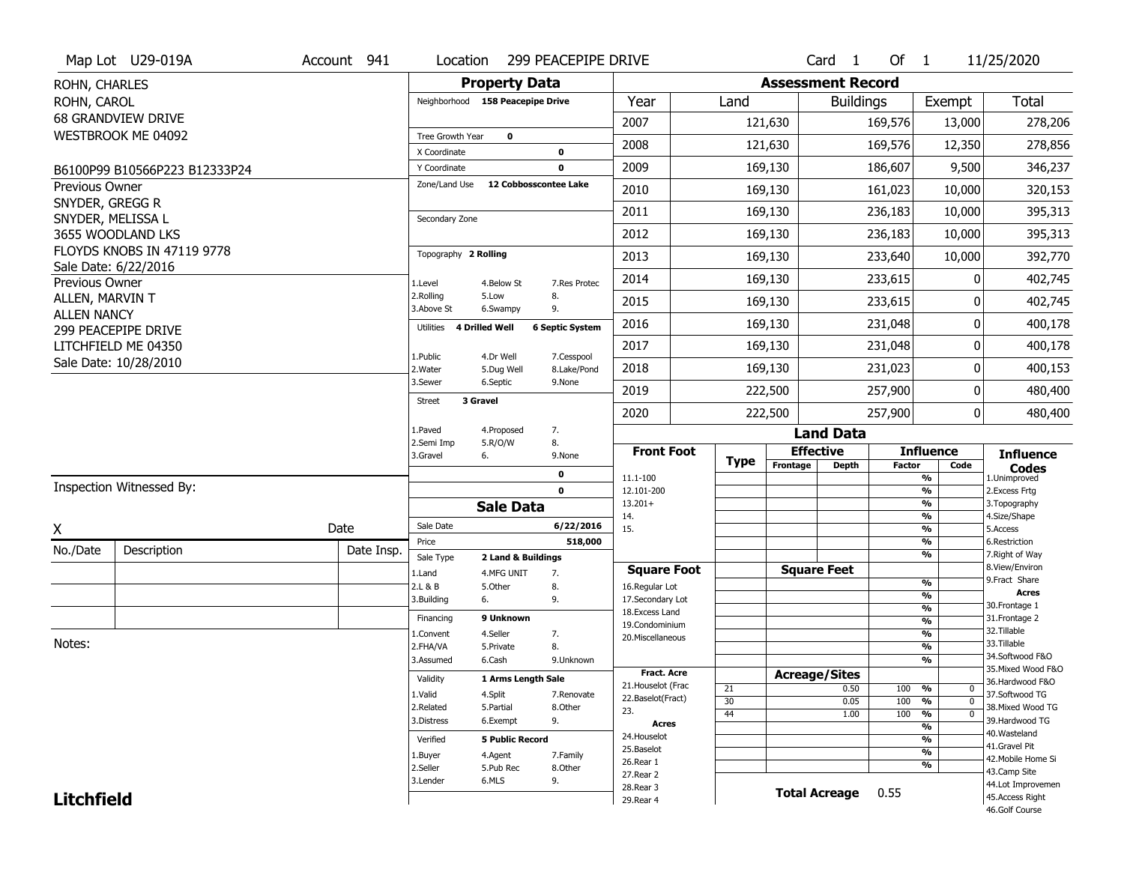|                                          | Map Lot U29-019A              | Account 941 | Location                | 299 PEACEPIPE DRIVE                                  |                                    |             |          | Card <sub>1</sub>        | Of $1$        |                                | 11/25/2020                           |
|------------------------------------------|-------------------------------|-------------|-------------------------|------------------------------------------------------|------------------------------------|-------------|----------|--------------------------|---------------|--------------------------------|--------------------------------------|
| ROHN, CHARLES                            |                               |             |                         | <b>Property Data</b>                                 |                                    |             |          | <b>Assessment Record</b> |               |                                |                                      |
| ROHN, CAROL                              |                               |             |                         | Neighborhood 158 Peacepipe Drive                     | Year                               | Land        |          | <b>Buildings</b>         |               | Exempt                         | <b>Total</b>                         |
|                                          | <b>68 GRANDVIEW DRIVE</b>     |             |                         |                                                      | 2007                               |             | 121,630  |                          | 169,576       | 13,000                         | 278,206                              |
|                                          | WESTBROOK ME 04092            |             | Tree Growth Year        | $\mathbf 0$                                          | 2008                               |             | 121,630  |                          | 169,576       | 12,350                         | 278,856                              |
|                                          |                               |             | X Coordinate            | 0                                                    |                                    |             |          |                          |               |                                |                                      |
|                                          | B6100P99 B10566P223 B12333P24 |             | Y Coordinate            | 0                                                    | 2009                               |             | 169,130  |                          | 186,607       | 9,500                          | 346,237                              |
| <b>Previous Owner</b><br>SNYDER, GREGG R |                               |             | Zone/Land Use           | 12 Cobbosscontee Lake                                | 2010                               |             | 169,130  |                          | 161,023       | 10,000                         | 320,153                              |
| SNYDER, MELISSA L                        |                               |             | Secondary Zone          |                                                      | 2011                               |             | 169,130  |                          | 236,183       | 10,000                         | 395,313                              |
|                                          | 3655 WOODLAND LKS             |             |                         |                                                      | 2012                               |             | 169,130  |                          | 236,183       | 10,000                         | 395,313                              |
|                                          | FLOYDS KNOBS IN 47119 9778    |             | Topography 2 Rolling    |                                                      | 2013                               |             | 169,130  |                          | 233,640       | 10,000                         | 392,770                              |
| Previous Owner                           | Sale Date: 6/22/2016          |             | 1.Level                 | 4.Below St<br>7.Res Protec                           | 2014                               |             | 169,130  |                          | 233,615       | ŋ                              | 402,745                              |
| ALLEN, MARVIN T                          |                               |             | 2.Rolling<br>3.Above St | 5.Low<br>8.<br>9.<br>6.Swampy                        | 2015                               |             | 169,130  |                          | 233,615       | 0                              | 402,745                              |
| <b>ALLEN NANCY</b>                       | 299 PEACEPIPE DRIVE           |             | Utilities               | <b>4 Drilled Well</b><br><b>6 Septic System</b>      | 2016                               |             | 169,130  |                          | 231,048       | 0                              | 400,178                              |
|                                          | LITCHFIELD ME 04350           |             |                         |                                                      | 2017                               |             | 169,130  |                          | 231,048       | 0                              | 400,178                              |
|                                          | Sale Date: 10/28/2010         |             | 1.Public<br>2. Water    | 7.Cesspool<br>4.Dr Well<br>8.Lake/Pond<br>5.Dug Well | 2018                               |             | 169,130  |                          | 231,023       | 0                              | 400,153                              |
|                                          |                               |             | 3.Sewer                 | 6.Septic<br>9.None                                   | 2019                               |             | 222,500  |                          | 257,900       | 0                              | 480,400                              |
|                                          |                               |             | Street                  | 3 Gravel                                             | 2020                               |             | 222,500  |                          | 257,900       | 0                              | 480,400                              |
|                                          |                               |             | 1.Paved                 | 7.<br>4.Proposed                                     |                                    |             |          | <b>Land Data</b>         |               |                                |                                      |
|                                          |                               |             | 2.Semi Imp<br>3.Gravel  | 8.<br>5.R/O/W<br>6.<br>9.None                        | <b>Front Foot</b>                  |             |          | <b>Effective</b>         |               | <b>Influence</b>               | <b>Influence</b>                     |
|                                          |                               |             |                         | 0                                                    | 11.1-100                           | <b>Type</b> | Frontage | <b>Depth</b>             | <b>Factor</b> | Code<br>%                      | <b>Codes</b><br>1.Unimproved         |
|                                          | Inspection Witnessed By:      |             |                         | $\mathbf 0$                                          | 12.101-200                         |             |          |                          |               | $\frac{9}{6}$                  | 2.Excess Frtg                        |
|                                          |                               |             |                         | <b>Sale Data</b>                                     | $13.201+$<br>14.                   |             |          |                          |               | %<br>$\frac{9}{6}$             | 3. Topography<br>4.Size/Shape        |
| X                                        |                               | Date        | Sale Date               | 6/22/2016                                            | 15.                                |             |          |                          |               | %                              | 5.Access                             |
| No./Date                                 | Description                   | Date Insp.  | Price                   | 518,000                                              |                                    |             |          |                          |               | $\frac{9}{6}$                  | 6.Restriction                        |
|                                          |                               |             | Sale Type<br>1.Land     | 2 Land & Buildings                                   |                                    |             |          |                          |               | %                              | 7. Right of Way<br>8.View/Environ    |
|                                          |                               |             |                         |                                                      |                                    |             |          |                          |               |                                |                                      |
|                                          |                               |             |                         | 4.MFG UNIT<br>7.                                     | <b>Square Foot</b>                 |             |          | <b>Square Feet</b>       |               | $\frac{9}{6}$                  | 9. Fract Share                       |
|                                          |                               |             | 2.L & B<br>3.Building   | 5.Other<br>8.<br>9.<br>6.                            | 16.Regular Lot<br>17.Secondary Lot |             |          |                          |               | %                              | <b>Acres</b>                         |
|                                          |                               |             | Financing               | 9 Unknown                                            | 18. Excess Land                    |             |          |                          |               | $\frac{9}{6}$                  | 30. Frontage 1<br>31. Frontage 2     |
|                                          |                               |             | 1.Convent               | 4.Seller<br>7.                                       | 19.Condominium                     |             |          |                          |               | $\frac{9}{6}$<br>$\frac{9}{6}$ | 32. Tillable                         |
| Notes:                                   |                               |             | 2.FHA/VA                | 8.<br>5.Private                                      | 20.Miscellaneous                   |             |          |                          |               | $\frac{9}{6}$                  | 33.Tillable                          |
|                                          |                               |             | 3.Assumed               | 6.Cash<br>9.Unknown                                  |                                    |             |          |                          |               | $\%$                           | 34.Softwood F&O                      |
|                                          |                               |             | Validity                | 1 Arms Length Sale                                   | <b>Fract. Acre</b>                 |             |          | <b>Acreage/Sites</b>     |               |                                | 35. Mixed Wood F&O                   |
|                                          |                               |             | 1.Valid                 | 7.Renovate                                           | 21. Houselot (Frac                 | 21          |          | 0.50                     | 100           | %<br>0                         | 36.Hardwood F&O<br>37.Softwood TG    |
|                                          |                               |             | 2.Related               | 4.Split<br>5.Partial<br>8.Other                      | 22.Baselot(Fract)                  | 30          |          | 0.05                     | 100           | $\overline{0}$<br>%            | 38. Mixed Wood TG                    |
|                                          |                               |             | 3.Distress              | 9.<br>6.Exempt                                       | 23.<br><b>Acres</b>                | 44          |          | 1.00                     | 100           | $\overline{0}$<br>%            | 39.Hardwood TG                       |
|                                          |                               |             | Verified                | <b>5 Public Record</b>                               | 24. Houselot                       |             |          |                          |               | $\frac{9}{6}$<br>%             | 40. Wasteland                        |
|                                          |                               |             |                         |                                                      | 25.Baselot                         |             |          |                          |               | $\frac{9}{6}$                  | 41.Gravel Pit                        |
|                                          |                               |             | 1.Buyer<br>2.Seller     | 4.Agent<br>7.Family<br>5.Pub Rec<br>8.Other          | 26.Rear 1                          |             |          |                          |               | %                              | 42. Mobile Home Si                   |
|                                          |                               |             | 3.Lender                | 6.MLS<br>9.                                          | 27.Rear 2                          |             |          |                          |               |                                | 43.Camp Site                         |
| <b>Litchfield</b>                        |                               |             |                         |                                                      | 28.Rear 3<br>29. Rear 4            |             |          | <b>Total Acreage</b>     | 0.55          |                                | 44.Lot Improvemen<br>45.Access Right |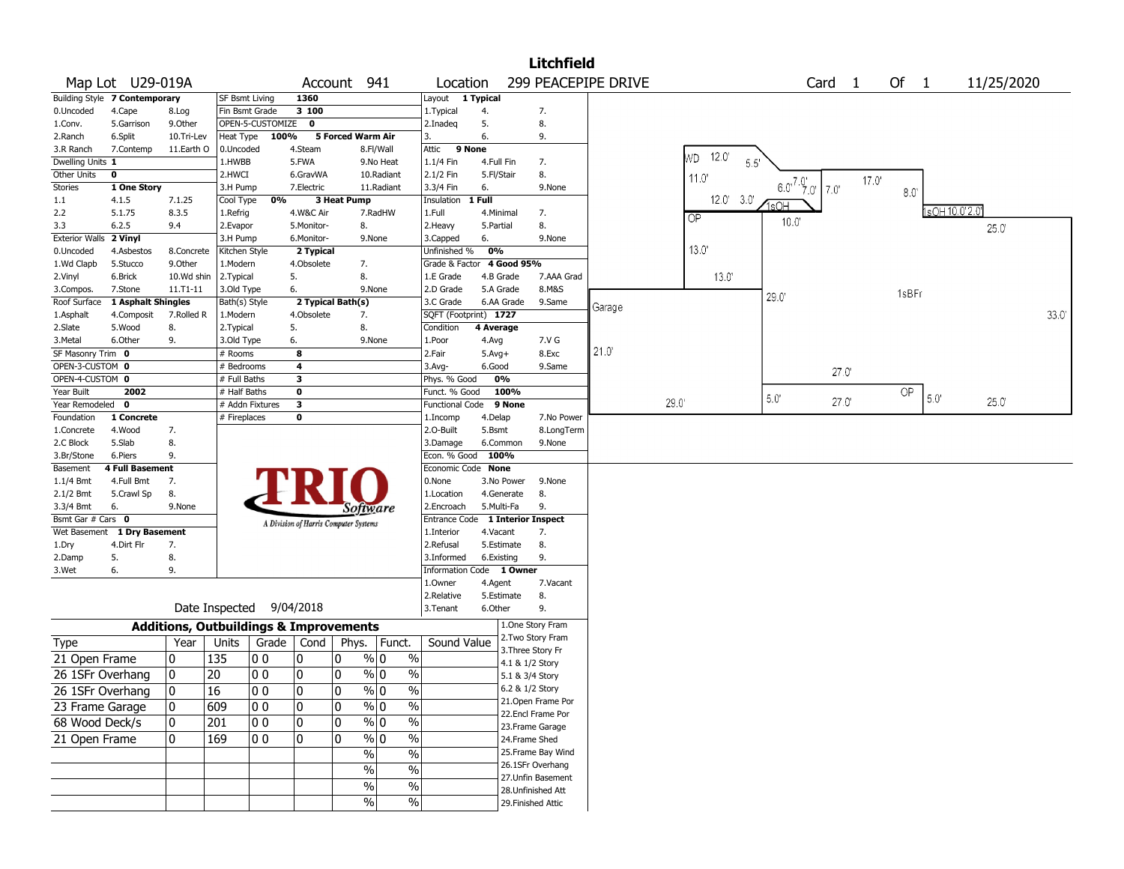|                              |                               |                                                   |                       |                  |                                       |                   |                         |                          |                    |            | <b>Litchfield</b>                      |                     |                 |                             |       |       |                |            |       |
|------------------------------|-------------------------------|---------------------------------------------------|-----------------------|------------------|---------------------------------------|-------------------|-------------------------|--------------------------|--------------------|------------|----------------------------------------|---------------------|-----------------|-----------------------------|-------|-------|----------------|------------|-------|
|                              | Map Lot U29-019A              |                                                   |                       |                  |                                       | Account 941       |                         | Location                 |                    |            |                                        | 299 PEACEPIPE DRIVE |                 | Card <sub>1</sub>           |       | Of 1  |                | 11/25/2020 |       |
|                              | Building Style 7 Contemporary |                                                   | SF Bsmt Living        |                  | 1360                                  |                   |                         | Layout 1 Typical         |                    |            |                                        |                     |                 |                             |       |       |                |            |       |
| 0.Uncoded                    | 4.Cape                        | 8.Log                                             | Fin Bsmt Grade        |                  | 3 100                                 |                   |                         | 1. Typical               | 4.                 |            | 7.                                     |                     |                 |                             |       |       |                |            |       |
| 1.Conv.                      | 5.Garrison                    | 9.Other                                           |                       | OPEN-5-CUSTOMIZE | $\mathbf 0$                           |                   |                         | 2.Inadeg                 | 5.                 |            | 8.                                     |                     |                 |                             |       |       |                |            |       |
| 2.Ranch                      | 6.Split                       | 10.Tri-Lev                                        | Heat Type             | 100%             |                                       | 5 Forced Warm Air |                         | 3.                       | 6.                 |            | 9.                                     |                     |                 |                             |       |       |                |            |       |
| 3.R Ranch                    | 7.Contemp                     | 11.Earth O                                        | 0.Uncoded             |                  | 4.Steam                               |                   | 8.Fl/Wall               | Attic                    | 9 None             |            |                                        |                     | $12.0^{\circ}$  |                             |       |       |                |            |       |
| Dwelling Units 1             |                               |                                                   | 1.HWBB                |                  | 5.FWA                                 |                   | 9.No Heat               | 1.1/4 Fin                | 4.Full Fin         |            | 7.                                     |                     | WD.<br>5.5'     |                             |       |       |                |            |       |
| Other Units                  | 0                             |                                                   | 2.HWCI                |                  | 6.GravWA                              |                   | 10.Radiant              | 2.1/2 Fin                | 5.Fl/Stair         |            | 8.                                     |                     | 11.0            |                             | 17.0' |       |                |            |       |
| <b>Stories</b>               | 1 One Story                   |                                                   | 3.H Pump              |                  | 7.Electric                            |                   | 11.Radiant              | 3.3/4 Fin                | 6.                 |            | 9.None                                 |                     |                 | $6.0^{7.0}$ , 7.0<br>$7.0'$ |       | 8.0   |                |            |       |
| 1.1                          | 4.1.5                         | 7.1.25                                            | Cool Type             | 0%               |                                       | 3 Heat Pump       |                         | Insulation               | 1 Full             |            |                                        |                     | $12.0'$ 3.0'    | 1sOH                        |       |       |                |            |       |
| 2.2                          | 5.1.75                        | 8.3.5                                             | 1.Refrig              |                  | 4.W&C Air                             |                   | 7.RadHW                 | 1.Full                   | 4.Minimal          |            | 7.                                     |                     | $\overline{QP}$ | $10.0^{\circ}$              |       |       | 1sOH 10.0'2.0' |            |       |
| 3.3                          | 6.2.5                         | 9.4                                               | 2.Evapor              |                  | 5.Monitor-                            | 8.                |                         | 2. Heavy                 | 5.Partial          |            | 8.                                     |                     |                 |                             |       |       |                | 25.0       |       |
| <b>Exterior Walls</b>        | 2 Vinyl                       |                                                   | 3.H Pump              |                  | 6.Monitor-                            |                   | 9.None                  | 3.Capped                 | 6.                 |            | 9.None                                 |                     |                 |                             |       |       |                |            |       |
| 0.Uncoded                    | 4.Asbestos                    | 8.Concrete                                        | Kitchen Style         |                  | 2 Typical                             |                   |                         | Unfinished %             | 0%                 |            |                                        |                     | 13.0'           |                             |       |       |                |            |       |
| 1.Wd Clapb                   | 5.Stucco                      | 9.0ther                                           | 1.Modern              |                  | 4.Obsolete                            | 7.                |                         | Grade & Factor           |                    | 4 Good 95% |                                        |                     |                 |                             |       |       |                |            |       |
| 2.Vinyl                      | 6.Brick                       | 10.Wd shin                                        | 2.Typical             |                  | 5.                                    | 8.                |                         | 1.E Grade                | 4.B Grade          |            | 7.AAA Grad                             |                     | $13.0^{\circ}$  |                             |       |       |                |            |       |
| 3.Compos.                    | 7.Stone                       | 11.T1-11                                          | 3.Old Type            |                  | 6.                                    |                   | 9.None                  | 2.D Grade                | 5.A Grade          |            | 8.M&S                                  |                     |                 | 29.0                        |       | 1sBFr |                |            |       |
| Roof Surface                 | 1 Asphalt Shingles            |                                                   | Bath(s) Style         |                  |                                       | 2 Typical Bath(s) |                         | 3.C Grade                | 6.AA Grade         |            | 9.Same                                 | Garage              |                 |                             |       |       |                |            | 33.0' |
| 1.Asphalt                    | 4.Composit                    | 7.Rolled R                                        | 1.Modern              |                  | 4.Obsolete                            | 7.                |                         | SQFT (Footprint) 1727    |                    |            |                                        |                     |                 |                             |       |       |                |            |       |
| 2.Slate                      | 5.Wood<br>6.Other             | 8.                                                | 2. Typical            |                  | 5.                                    | 8.                |                         | Condition                | 4 Average          |            | 7.V G                                  |                     |                 |                             |       |       |                |            |       |
| 3.Metal<br>SF Masonry Trim 0 |                               | 9.                                                | 3.Old Type            |                  | 6.<br>8                               |                   | 9.None                  | 1.Poor                   | 4.Avg              |            | 8.Exc                                  | 21.0                |                 |                             |       |       |                |            |       |
| OPEN-3-CUSTOM 0              |                               |                                                   | # Rooms<br># Bedrooms |                  | 4                                     |                   |                         | 2.Fair<br>$3.$ Avg-      | $5.Avg+$<br>6.Good |            | 9.Same                                 |                     |                 |                             |       |       |                |            |       |
| OPEN-4-CUSTOM 0              |                               |                                                   | # Full Baths          |                  | 3                                     |                   |                         | Phys. % Good             | 0%                 |            |                                        |                     |                 |                             | 27.0' |       |                |            |       |
| Year Built                   | 2002                          |                                                   | # Half Baths          |                  | 0                                     |                   |                         | Funct. % Good            |                    | 100%       |                                        |                     |                 |                             |       | OP    |                |            |       |
| Year Remodeled               | 0                             |                                                   |                       | # Addn Fixtures  | 3                                     |                   |                         | <b>Functional Code</b>   |                    | 9 None     |                                        |                     | $29.0^{\circ}$  | $5.0^{\circ}$               | 27.0' |       | 5.0'           | 25.0'      |       |
| Foundation                   | 1 Concrete                    |                                                   | # Fireplaces          |                  | 0                                     |                   |                         | 1.Incomp                 | 4.Delap            |            | 7.No Power                             |                     |                 |                             |       |       |                |            |       |
| 1.Concrete                   | 4.Wood                        | 7.                                                |                       |                  |                                       |                   |                         | 2.O-Built                | 5.Bsmt             |            | 8.LongTerm                             |                     |                 |                             |       |       |                |            |       |
| 2.C Block                    | 5.Slab                        | 8.                                                |                       |                  |                                       |                   |                         | 3.Damage                 | 6.Common           |            | 9.None                                 |                     |                 |                             |       |       |                |            |       |
| 3.Br/Stone                   | 6.Piers                       | 9.                                                |                       |                  |                                       |                   |                         | Econ. % Good             | 100%               |            |                                        |                     |                 |                             |       |       |                |            |       |
| Basement                     | <b>4 Full Basement</b>        |                                                   |                       |                  |                                       |                   |                         | Economic Code None       |                    |            |                                        |                     |                 |                             |       |       |                |            |       |
| 1.1/4 Bmt                    | 4.Full Bmt                    | 7.                                                |                       |                  |                                       |                   |                         | 0.None                   | 3.No Power         |            | 9.None                                 |                     |                 |                             |       |       |                |            |       |
| 2.1/2 Bmt                    | 5.Crawl Sp                    | 8.                                                |                       |                  |                                       |                   |                         | 1.Location               | 4.Generate         |            | 8.                                     |                     |                 |                             |       |       |                |            |       |
| 3.3/4 Bmt                    | 6.                            | 9.None                                            |                       |                  |                                       |                   | Software                | 2.Encroach               | 5.Multi-Fa         |            | 9.                                     |                     |                 |                             |       |       |                |            |       |
| Bsmt Gar # Cars 0            |                               |                                                   |                       |                  | A Division of Harris Computer Systems |                   |                         | Entrance Code            |                    |            | <b>1 Interior Inspect</b>              |                     |                 |                             |       |       |                |            |       |
| Wet Basement                 | 1 Dry Basement                |                                                   |                       |                  |                                       |                   |                         | 1.Interior               | 4.Vacant           |            | 7.                                     |                     |                 |                             |       |       |                |            |       |
| 1.Dry                        | 4.Dirt Flr                    | 7.                                                |                       |                  |                                       |                   |                         | 2.Refusal                | 5.Estimate         |            | 8.                                     |                     |                 |                             |       |       |                |            |       |
| 2.Damp                       | 5.                            | 8.                                                |                       |                  |                                       |                   |                         | 3.Informed               | 6.Existing         |            | 9.                                     |                     |                 |                             |       |       |                |            |       |
| 3.Wet                        | 6.                            | 9.                                                |                       |                  |                                       |                   |                         | Information Code 1 Owner |                    |            |                                        |                     |                 |                             |       |       |                |            |       |
|                              |                               |                                                   |                       |                  |                                       |                   |                         | 1.Owner                  | 4.Agent            |            | 7.Vacant                               |                     |                 |                             |       |       |                |            |       |
|                              |                               |                                                   |                       |                  |                                       |                   |                         | 2.Relative               | 5.Estimate         |            | 8.                                     |                     |                 |                             |       |       |                |            |       |
|                              |                               |                                                   | Date Inspected        |                  | 9/04/2018                             |                   |                         | 3.Tenant                 | 6.Other            |            | 9.                                     |                     |                 |                             |       |       |                |            |       |
|                              |                               | <b>Additions, Outbuildings &amp; Improvements</b> |                       |                  |                                       |                   |                         |                          |                    |            | 1.One Story Fram                       |                     |                 |                             |       |       |                |            |       |
| <b>Type</b>                  |                               | Year                                              | Units                 |                  | Grade   Cond                          | Phys.             | Funct.                  | Sound Value              |                    |            | 2. Two Story Fram                      |                     |                 |                             |       |       |                |            |       |
| 21 Open Frame                |                               | 0                                                 | 135                   | O O              | 10                                    | 0                 | $\frac{9}{0}$ 0<br>$\%$ |                          |                    |            | 3. Three Story Fr                      |                     |                 |                             |       |       |                |            |       |
|                              |                               |                                                   |                       |                  |                                       |                   |                         |                          |                    |            | 4.1 & 1/2 Story                        |                     |                 |                             |       |       |                |            |       |
| 26 1SFr Overhang             |                               | 0                                                 | 20                    | 00               | 10                                    | 0                 | % 0<br>$\%$             |                          |                    |            | 5.1 & 3/4 Story                        |                     |                 |                             |       |       |                |            |       |
| 26 1SFr Overhang             |                               | $\overline{0}$                                    | $\overline{16}$       | 00               | ١o                                    | 0                 | % 0<br>$\frac{0}{0}$    |                          |                    |            | 6.2 & 1/2 Story                        |                     |                 |                             |       |       |                |            |       |
| 23 Frame Garage              |                               | 10                                                | 609                   | 10 O             | 10                                    | 0                 | % 0<br>$\%$             |                          |                    |            | 21. Open Frame Por                     |                     |                 |                             |       |       |                |            |       |
| 68 Wood Deck/s               |                               | 0                                                 | 201                   | 00               | 10                                    | 0                 | $\frac{9}{0}$<br>$\%$   |                          |                    |            | 22.Encl Frame Por                      |                     |                 |                             |       |       |                |            |       |
|                              |                               |                                                   |                       |                  |                                       |                   |                         |                          |                    |            | 23. Frame Garage                       |                     |                 |                             |       |       |                |            |       |
| 21 Open Frame                |                               | 0                                                 | 169                   | 00               | 10                                    | $\mathbf{0}$      | $\sqrt[6]{0}$<br>$\%$   |                          |                    |            | 24.Frame Shed                          |                     |                 |                             |       |       |                |            |       |
|                              |                               |                                                   |                       |                  |                                       |                   | $\%$<br>$\frac{0}{0}$   |                          |                    |            | 25. Frame Bay Wind                     |                     |                 |                             |       |       |                |            |       |
|                              |                               |                                                   |                       |                  |                                       |                   | $\%$<br>$\%$            |                          |                    |            | 26.1SFr Overhang<br>27. Unfin Basement |                     |                 |                             |       |       |                |            |       |
|                              |                               |                                                   |                       |                  |                                       |                   | $\%$<br>$\%$            |                          |                    |            | 28. Unfinished Att                     |                     |                 |                             |       |       |                |            |       |
|                              |                               |                                                   |                       |                  |                                       |                   | $\%$<br>$\%$            |                          |                    |            | 29. Finished Attic                     |                     |                 |                             |       |       |                |            |       |
|                              |                               |                                                   |                       |                  |                                       |                   |                         |                          |                    |            |                                        |                     |                 |                             |       |       |                |            |       |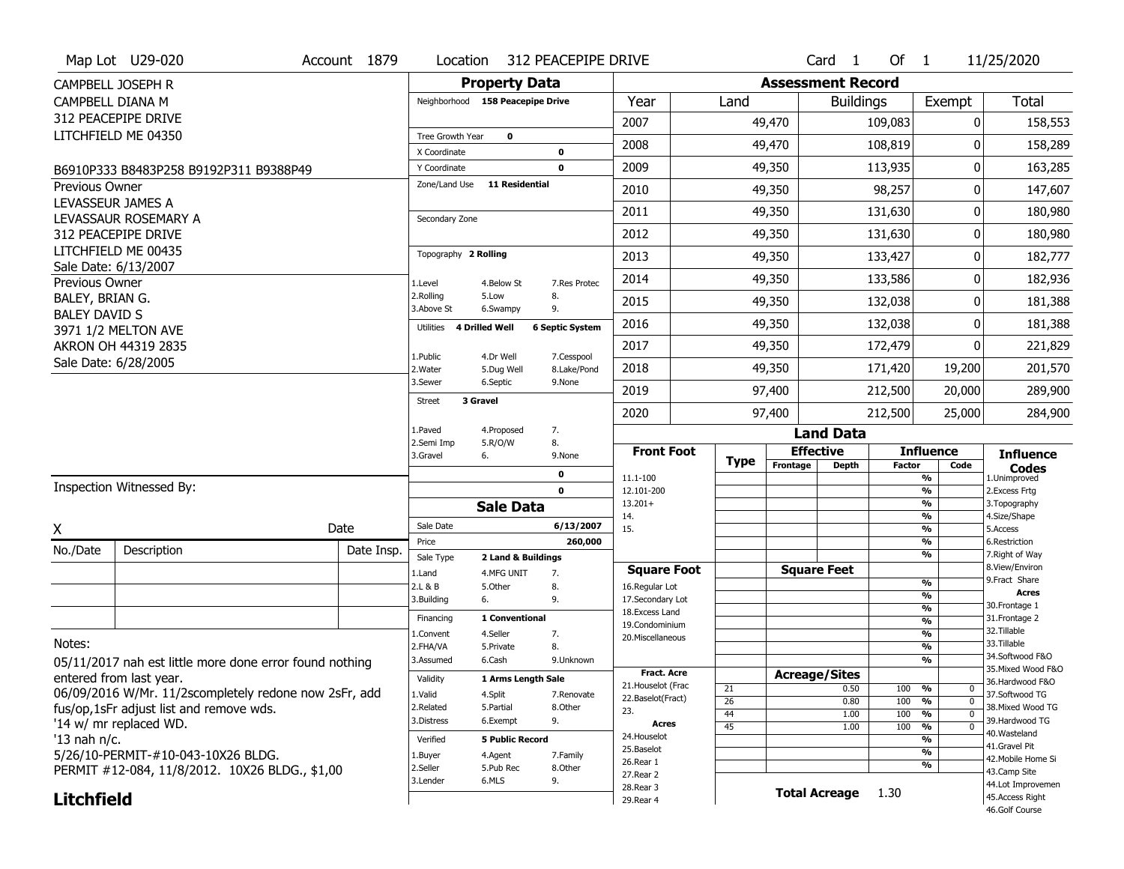|                      | Map Lot U29-020                                         | Account 1879 | Location                |                                  | 312 PEACEPIPE DRIVE       |                                   |             |          | Card <sub>1</sub>                | Of $1$        |                                           | 11/25/2020                            |
|----------------------|---------------------------------------------------------|--------------|-------------------------|----------------------------------|---------------------------|-----------------------------------|-------------|----------|----------------------------------|---------------|-------------------------------------------|---------------------------------------|
|                      | CAMPBELL JOSEPH R                                       |              |                         | <b>Property Data</b>             |                           |                                   |             |          | <b>Assessment Record</b>         |               |                                           |                                       |
| CAMPBELL DIANA M     |                                                         |              |                         | Neighborhood 158 Peacepipe Drive |                           | Year                              | Land        |          | <b>Buildings</b>                 |               | Exempt                                    | <b>Total</b>                          |
|                      | 312 PEACEPIPE DRIVE                                     |              |                         |                                  |                           | 2007                              |             | 49,470   |                                  | 109,083       | 0                                         | 158,553                               |
|                      | LITCHFIELD ME 04350                                     |              | Tree Growth Year        | $\mathbf 0$                      |                           |                                   |             |          |                                  |               |                                           |                                       |
|                      |                                                         |              | X Coordinate            |                                  | $\mathbf 0$               | 2008                              |             | 49,470   |                                  | 108,819       | 0                                         | 158,289                               |
|                      | B6910P333 B8483P258 B9192P311 B9388P49                  |              | Y Coordinate            |                                  | $\mathbf 0$               | 2009                              |             | 49,350   |                                  | 113,935       | 0                                         | 163,285                               |
| Previous Owner       |                                                         |              | Zone/Land Use           | <b>11 Residential</b>            |                           | 2010                              |             | 49,350   |                                  | 98,257        | 0                                         | 147,607                               |
| LEVASSEUR JAMES A    |                                                         |              |                         |                                  |                           | 2011                              |             | 49,350   |                                  | 131,630       | 0                                         | 180,980                               |
|                      | LEVASSAUR ROSEMARY A<br>312 PEACEPIPE DRIVE             |              | Secondary Zone          |                                  |                           | 2012                              |             | 49,350   |                                  | 131,630       | 0                                         | 180,980                               |
|                      | LITCHFIELD ME 00435                                     |              | Topography 2 Rolling    |                                  |                           |                                   |             |          |                                  |               |                                           |                                       |
|                      | Sale Date: 6/13/2007                                    |              |                         |                                  |                           | 2013                              |             | 49,350   |                                  | 133,427       | 0                                         | 182,777                               |
| Previous Owner       |                                                         |              | 1.Level                 | 4.Below St                       | 7. Res Protec             | 2014                              |             | 49,350   |                                  | 133,586       | 0                                         | 182,936                               |
| BALEY, BRIAN G.      |                                                         |              | 2.Rolling<br>3.Above St | 5.Low<br>6.Swampy                | 8.<br>9.                  | 2015                              |             | 49,350   |                                  | 132,038       | 0                                         | 181,388                               |
| <b>BALEY DAVID S</b> | 3971 1/2 MELTON AVE                                     |              | Utilities               | <b>4 Drilled Well</b>            | <b>6 Septic System</b>    | 2016                              |             | 49,350   |                                  | 132,038       | 0                                         | 181,388                               |
|                      | AKRON OH 44319 2835                                     |              |                         |                                  |                           | 2017                              |             | 49,350   |                                  | 172,479       | 0                                         | 221,829                               |
|                      | Sale Date: 6/28/2005                                    |              | 1.Public<br>2. Water    | 4.Dr Well<br>5.Dug Well          | 7.Cesspool<br>8.Lake/Pond | 2018                              |             | 49,350   |                                  | 171,420       | 19,200                                    | 201,570                               |
|                      |                                                         |              | 3.Sewer                 | 6.Septic                         | 9.None                    | 2019                              |             | 97,400   |                                  | 212,500       | 20,000                                    | 289,900                               |
|                      |                                                         |              | <b>Street</b>           | 3 Gravel                         |                           | 2020                              |             | 97,400   |                                  | 212,500       | 25,000                                    | 284,900                               |
|                      |                                                         |              | 1.Paved                 | 4.Proposed                       | 7.                        |                                   |             |          | <b>Land Data</b>                 |               |                                           |                                       |
|                      |                                                         |              | 2.Semi Imp              | 5.R/O/W                          |                           |                                   |             |          |                                  |               |                                           |                                       |
|                      |                                                         |              |                         |                                  | 8.                        |                                   |             |          |                                  |               |                                           |                                       |
|                      |                                                         |              | 3.Gravel                | 6.                               | 9.None                    | <b>Front Foot</b>                 | <b>Type</b> | Frontage | <b>Effective</b><br><b>Depth</b> | <b>Factor</b> | <b>Influence</b><br>Code                  | <b>Influence</b><br><b>Codes</b>      |
|                      |                                                         |              |                         |                                  | 0                         | 11.1-100                          |             |          |                                  |               | %                                         | 1.Unimproved                          |
|                      | Inspection Witnessed By:                                |              |                         |                                  | $\mathbf{0}$              | 12.101-200<br>$13.201+$           |             |          |                                  |               | $\frac{9}{6}$<br>%                        | 2.Excess Frtg<br>3. Topography        |
|                      |                                                         |              |                         | <b>Sale Data</b>                 |                           | 14.                               |             |          |                                  |               | $\overline{\frac{9}{6}}$                  | 4.Size/Shape                          |
| X                    |                                                         | Date         | Sale Date               |                                  | 6/13/2007                 | 15.                               |             |          |                                  |               | $\overline{\frac{9}{6}}$                  | 5.Access                              |
| No./Date             | Description                                             | Date Insp.   | Price                   |                                  | 260,000                   |                                   |             |          |                                  |               | %<br>%                                    | 6.Restriction<br>7. Right of Way      |
|                      |                                                         |              | Sale Type<br>1.Land     | 2 Land & Buildings<br>4.MFG UNIT | 7.                        | <b>Square Foot</b>                |             |          | <b>Square Feet</b>               |               |                                           | 8.View/Environ                        |
|                      |                                                         |              | 2.L & B                 | 5.Other                          | 8.                        | 16.Regular Lot                    |             |          |                                  |               | $\frac{9}{6}$                             | 9. Fract Share                        |
|                      |                                                         |              | 3.Building              | 6.                               | 9.                        | 17.Secondary Lot                  |             |          |                                  |               | $\frac{9}{6}$<br>$\overline{\frac{9}{6}}$ | <b>Acres</b><br>30. Frontage 1        |
|                      |                                                         |              | Financing               | 1 Conventional                   |                           | 18. Excess Land<br>19.Condominium |             |          |                                  |               | $\frac{9}{6}$                             | 31. Frontage 2                        |
|                      |                                                         |              | L.Convent               | 4.Seller                         | 7.                        | 20.Miscellaneous                  |             |          |                                  |               | $\frac{9}{6}$                             | 32.Tillable                           |
| Notes:               |                                                         |              | 2.FHA/VA                | 5.Private                        | 8.                        |                                   |             |          |                                  |               | $\frac{9}{6}$                             | 33.Tillable                           |
|                      | 05/11/2017 nah est little more done error found nothing |              | 3.Assumed               | 6.Cash                           | 9.Unknown                 |                                   |             |          |                                  |               | $\overline{\frac{9}{6}}$                  | 34.Softwood F&O                       |
|                      | entered from last year.                                 |              | Validity                | 1 Arms Length Sale               |                           | Fract. Acre                       |             |          | <b>Acreage/Sites</b>             |               |                                           | 35. Mixed Wood F&O<br>36.Hardwood F&O |
|                      | 06/09/2016 W/Mr. 11/2scompletely redone now 2sFr, add   |              | 1.Valid                 | 4.Split                          | 7.Renovate                | 21. Houselot (Frac                | 21          |          | 0.50                             | 100           | %<br>0                                    | 37.Softwood TG                        |
|                      |                                                         |              | 2.Related               | 5.Partial                        | 8.Other                   | 22.Baselot(Fract)                 | 26          |          | 0.80                             | 100           | $\frac{9}{6}$<br>$\mathbf 0$              | 38. Mixed Wood TG                     |
|                      | fus/op,1sFr adjust list and remove wds.                 |              | 3.Distress              | 6.Exempt                         | 9.                        | 23.<br>Acres                      | 44          |          | 1.00                             | 100           | %<br>0                                    | 39.Hardwood TG                        |
|                      | '14 w/ mr replaced WD.                                  |              |                         | <b>5 Public Record</b>           |                           | 24. Houselot                      | 45          |          | 1.00                             | 100           | %<br>0                                    | 40.Wasteland                          |
| '13 nah $n/c$ .      |                                                         |              | Verified                |                                  |                           | 25.Baselot                        |             |          |                                  |               | %<br>%                                    | 41.Gravel Pit                         |
|                      | 5/26/10-PERMIT-#10-043-10X26 BLDG.                      |              | 1.Buyer                 | 4.Agent                          | 7.Family                  | 26.Rear 1                         |             |          |                                  |               | %                                         | 42. Mobile Home Si                    |
|                      | PERMIT #12-084, 11/8/2012. 10X26 BLDG., \$1,00          |              | 2.Seller<br>3.Lender    | 5.Pub Rec<br>6.MLS               | 8.Other<br>9.             | 27.Rear 2                         |             |          |                                  |               |                                           | 43.Camp Site                          |
| <b>Litchfield</b>    |                                                         |              |                         |                                  |                           | 28. Rear 3<br>29. Rear 4          |             |          | <b>Total Acreage</b>             | 1.30          |                                           | 44.Lot Improvemen<br>45.Access Right  |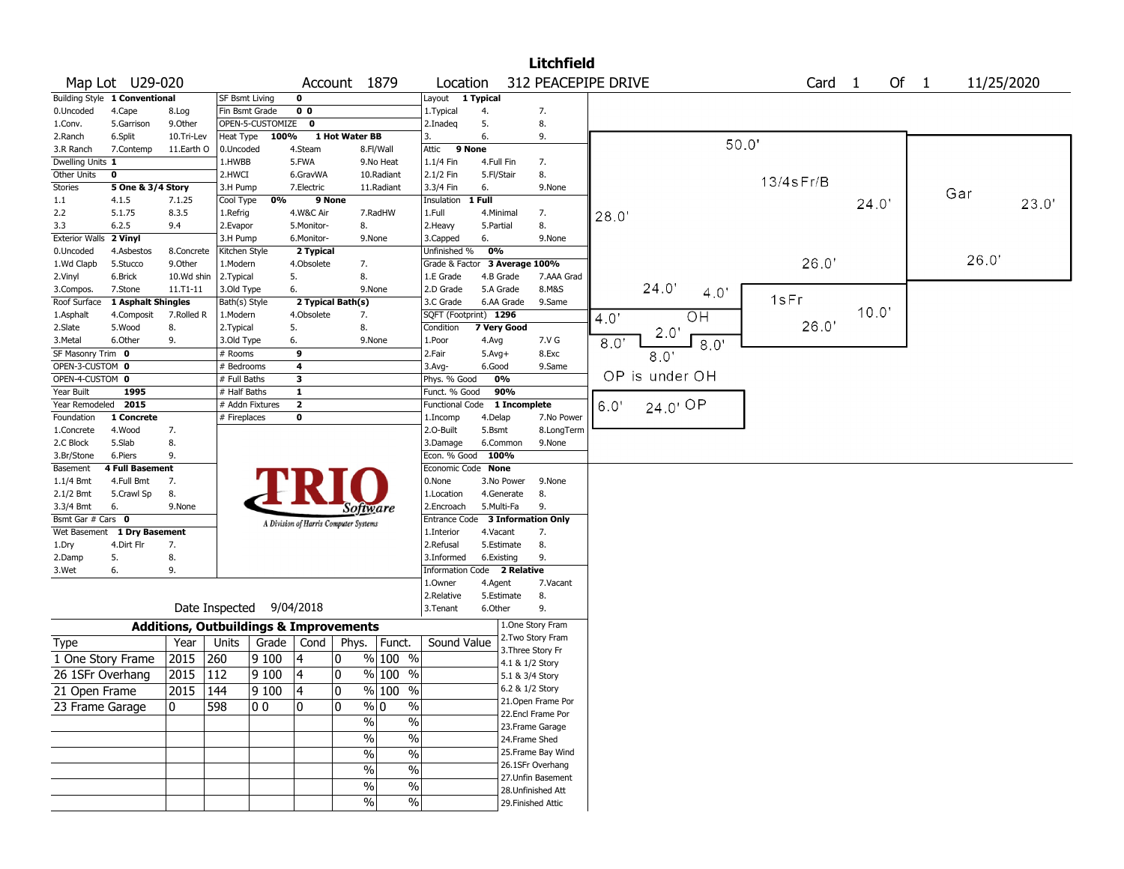|                           |                                           |                                                   |                           |                  |                         |                                       |                       |                                    |            |                         | <b>Litchfield</b>                        |      |                |       |                 |                   |      |      |       |            |
|---------------------------|-------------------------------------------|---------------------------------------------------|---------------------------|------------------|-------------------------|---------------------------------------|-----------------------|------------------------------------|------------|-------------------------|------------------------------------------|------|----------------|-------|-----------------|-------------------|------|------|-------|------------|
|                           | Map Lot U29-020                           |                                                   |                           |                  |                         | Account 1879                          |                       | Location                           |            |                         | 312 PEACEPIPE DRIVE                      |      |                |       |                 | Card <sub>1</sub> |      | Of 1 |       | 11/25/2020 |
|                           | <b>Building Style 1 Conventional</b>      |                                                   | <b>SF Bsmt Living</b>     |                  | $\mathbf 0$             |                                       |                       | Layout                             | 1 Typical  |                         |                                          |      |                |       |                 |                   |      |      |       |            |
| 0.Uncoded                 | 4.Cape                                    | 8.Log                                             | Fin Bsmt Grade            |                  | 0 <sub>0</sub>          |                                       |                       | 1. Typical                         | 4.         |                         | 7.                                       |      |                |       |                 |                   |      |      |       |            |
| 1.Conv.                   | 5.Garrison                                | 9.0ther                                           |                           | OPEN-5-CUSTOMIZE | $\mathbf 0$             |                                       |                       | 2.Inadeg                           | 5.         |                         | 8.                                       |      |                |       |                 |                   |      |      |       |            |
| 2.Ranch                   | 6.Split                                   | 10.Tri-Lev                                        | Heat Type                 | 100%             |                         | 1 Hot Water BB                        |                       | 3.                                 | 6.         |                         | 9.                                       |      |                |       |                 |                   |      |      |       |            |
| 3.R Ranch                 | 7.Contemp                                 | 11.Earth O                                        | 0.Uncoded                 |                  | 4.Steam                 |                                       | 8.Fl/Wall             | Attic<br>9 None                    |            |                         |                                          |      |                | 50.0' |                 |                   |      |      |       |            |
| Dwelling Units 1          |                                           |                                                   | 1.HWBB                    |                  | 5.FWA                   |                                       | 9.No Heat             | 1.1/4 Fin                          | 4.Full Fin |                         | 7.                                       |      |                |       |                 |                   |      |      |       |            |
| Other Units               | $\mathbf 0$                               |                                                   | 2.HWCI                    |                  | 6.GravWA                |                                       | 10.Radiant            | 2.1/2 Fin                          | 5.Fl/Stair |                         | 8.                                       |      |                |       | $13/4$ s $Fr/B$ |                   |      |      |       |            |
| Stories                   | 5 One & 3/4 Story                         |                                                   | 3.H Pump                  |                  | 7.Electric              |                                       | 11.Radiant            | 3.3/4 Fin                          | 6.         |                         | 9.None                                   |      |                |       |                 |                   |      |      | Gar   |            |
| 1.1                       | 4.1.5                                     | 7.1.25                                            | Cool Type                 | 0%               | 9 None                  |                                       |                       | Insulation                         | $1$ Full   |                         |                                          |      |                |       |                 |                   | 24.0 |      |       | 23.0'      |
| 2.2                       | 5.1.75                                    | 8.3.5                                             | 1.Refrig                  |                  | 4.W&C Air               |                                       | 7.RadHW               | 1.Full                             |            | 4.Minimal               | 7.                                       | 28.0 |                |       |                 |                   |      |      |       |            |
| 3.3                       | 6.2.5                                     | 9.4                                               | 2.Evapor                  |                  | 5.Monitor-              | 8.                                    |                       | 2.Heavy                            | 5.Partial  |                         | 8.                                       |      |                |       |                 |                   |      |      |       |            |
| <b>Exterior Walls</b>     | 2 Vinyl                                   |                                                   | 3.H Pump                  |                  | 6.Monitor-              | 9.None                                |                       | 3.Capped                           | 6.         |                         | 9.None                                   |      |                |       |                 |                   |      |      |       |            |
| 0.Uncoded                 | 4.Asbestos                                | 8.Concrete                                        | Kitchen Style             |                  | 2 Typical               |                                       |                       | Unfinished %                       | 0%         |                         |                                          |      |                |       |                 |                   |      |      | 26.0' |            |
| 1.Wd Clapb                | 5.Stucco                                  | 9.Other                                           | 1.Modern                  |                  | 4.Obsolete              | 7.                                    |                       | Grade & Factor                     |            |                         | 3 Average 100%                           |      |                |       |                 | 26.0'             |      |      |       |            |
| 2.Vinyl                   | 6.Brick                                   | 10.Wd shin                                        | 2.Typical                 |                  | 5.                      | 8.                                    |                       | 1.E Grade                          |            | 4.B Grade               | 7.AAA Grad                               |      | 24.0'          |       |                 |                   |      |      |       |            |
| 3.Compos.                 | 7.Stone                                   | $11. T1 - 11$                                     | 3.Old Type                |                  | 6.                      | 9.None                                |                       | 2.D Grade                          |            | 5.A Grade<br>6.AA Grade | 8.M&S<br>9.Same                          |      | 4.0'           |       | 1sFr            |                   |      |      |       |            |
| Roof Surface<br>1.Asphalt | 1 Asphalt Shingles<br>4.Composit          | 7.Rolled R                                        | Bath(s) Style<br>1.Modern |                  | 4.Obsolete              | 2 Typical Bath(s)<br>7.               |                       | 3.C Grade<br>SQFT (Footprint) 1296 |            |                         |                                          |      |                |       |                 |                   | 10.0 |      |       |            |
| 2.Slate                   | 5.Wood                                    | 8.                                                | 2. Typical                |                  | 5.                      | 8.                                    |                       | Condition                          |            | 7 Very Good             |                                          | 4.0' | O <sub>H</sub> |       |                 | 26.0'             |      |      |       |            |
| 3.Metal                   | 6.Other                                   | 9.                                                | 3.Old Type                |                  | 6.                      | 9.None                                |                       | 1.Poor                             | 4.Avg      |                         | 7.V G                                    | 8.0' | $2.0^{\circ}$  |       |                 |                   |      |      |       |            |
| SF Masonry Trim 0         |                                           |                                                   | # Rooms                   |                  | $\overline{9}$          |                                       |                       | 2.Fair                             | $5.Avg+$   |                         | 8.Exc                                    |      | 8.0<br>8.0'    |       |                 |                   |      |      |       |            |
| OPEN-3-CUSTOM 0           |                                           |                                                   | # Bedrooms                |                  | $\overline{\mathbf{4}}$ |                                       |                       | 3.Avg-                             | 6.Good     |                         | 9.Same                                   |      |                |       |                 |                   |      |      |       |            |
| OPEN-4-CUSTOM 0           |                                           |                                                   | # Full Baths              |                  | 3                       |                                       |                       | Phys. % Good                       |            | 0%                      |                                          |      | OP is under OH |       |                 |                   |      |      |       |            |
| Year Built                | 1995                                      |                                                   | # Half Baths              |                  | $\mathbf{1}$            |                                       |                       | Funct. % Good                      |            | 90%                     |                                          |      |                |       |                 |                   |      |      |       |            |
| Year Remodeled 2015       |                                           |                                                   | # Addn Fixtures           |                  | $\overline{2}$          |                                       |                       | Functional Code                    |            | 1 Incomplete            |                                          | 6.0  | 24.0' OP       |       |                 |                   |      |      |       |            |
| Foundation                | 1 Concrete                                |                                                   | # Fireplaces              |                  | 0                       |                                       |                       | 1.Incomp                           | 4.Delap    |                         | 7.No Power                               |      |                |       |                 |                   |      |      |       |            |
| 1.Concrete                | 4.Wood                                    | 7.                                                |                           |                  |                         |                                       |                       | 2.O-Built                          | 5.Bsmt     |                         | 8.LongTerm                               |      |                |       |                 |                   |      |      |       |            |
| 2.C Block                 | 5.Slab                                    | 8.                                                |                           |                  |                         |                                       |                       | 3.Damage                           |            | 6.Common                | 9.None                                   |      |                |       |                 |                   |      |      |       |            |
| 3.Br/Stone                | 6.Piers                                   | 9.                                                |                           |                  |                         |                                       |                       | Econ. % Good                       |            | 100%                    |                                          |      |                |       |                 |                   |      |      |       |            |
| Basement                  | <b>4 Full Basement</b>                    |                                                   |                           |                  |                         |                                       |                       | Economic Code None                 |            |                         |                                          |      |                |       |                 |                   |      |      |       |            |
| $1.1/4$ Bmt               | 4.Full Bmt                                | 7.                                                |                           |                  |                         |                                       |                       | 0.None                             |            | 3.No Power              | 9.None                                   |      |                |       |                 |                   |      |      |       |            |
| 2.1/2 Bmt                 | 5.Crawl Sp                                | 8.                                                |                           |                  |                         |                                       |                       | 1.Location                         |            | 4.Generate              | 8.                                       |      |                |       |                 |                   |      |      |       |            |
| 3.3/4 Bmt                 | 6.                                        | 9.None                                            |                           |                  |                         | Software                              |                       | 2.Encroach                         |            | 5.Multi-Fa              | 9.                                       |      |                |       |                 |                   |      |      |       |            |
| Bsmt Gar # Cars 0         |                                           |                                                   |                           |                  |                         | A Division of Harris Computer Systems |                       | Entrance Code                      |            |                         | <b>3 Information Only</b>                |      |                |       |                 |                   |      |      |       |            |
|                           | Wet Basement 1 Dry Basement<br>4.Dirt Flr | 7.                                                |                           |                  |                         |                                       |                       | 1.Interior<br>2.Refusal            | 4.Vacant   | 5.Estimate              | 7.<br>8.                                 |      |                |       |                 |                   |      |      |       |            |
| 1.Dry<br>2.Damp           | 5.                                        | 8.                                                |                           |                  |                         |                                       |                       | 3.Informed                         |            | 6.Existing              | 9.                                       |      |                |       |                 |                   |      |      |       |            |
| 3.Wet                     | 6.                                        | 9.                                                |                           |                  |                         |                                       |                       | Information Code 2 Relative        |            |                         |                                          |      |                |       |                 |                   |      |      |       |            |
|                           |                                           |                                                   |                           |                  |                         |                                       |                       | 1.Owner                            | 4.Agent    |                         | 7.Vacant                                 |      |                |       |                 |                   |      |      |       |            |
|                           |                                           |                                                   |                           |                  |                         |                                       |                       | 2.Relative                         |            | 5.Estimate              | 8.                                       |      |                |       |                 |                   |      |      |       |            |
|                           |                                           |                                                   | Date Inspected 9/04/2018  |                  |                         |                                       |                       | 3.Tenant                           | 6.Other    |                         | 9.                                       |      |                |       |                 |                   |      |      |       |            |
|                           |                                           |                                                   |                           |                  |                         |                                       |                       |                                    |            |                         | 1.One Story Fram                         |      |                |       |                 |                   |      |      |       |            |
|                           |                                           | <b>Additions, Outbuildings &amp; Improvements</b> |                           |                  |                         |                                       |                       |                                    |            |                         | 2. Two Story Fram                        |      |                |       |                 |                   |      |      |       |            |
| Type                      |                                           | Year                                              | Units                     | Grade            | Cond                    | Phys.                                 | Funct.                | Sound Value                        |            |                         | 3. Three Story Fr                        |      |                |       |                 |                   |      |      |       |            |
|                           | 1 One Story Frame                         | 2015                                              | 260                       | 9100             | 4                       | $\mathbf{0}$                          | % 100 %               |                                    |            | 4.1 & 1/2 Story         |                                          |      |                |       |                 |                   |      |      |       |            |
| 26 1SFr Overhang          |                                           | 2015                                              | 112                       | 9100             | 14                      | $\mathbf 0$                           | $%100$ %              |                                    |            | 5.1 & 3/4 Story         |                                          |      |                |       |                 |                   |      |      |       |            |
| 21 Open Frame             |                                           | 2015  144                                         |                           | 9 100            | 4                       | 10                                    | $%100$ %              |                                    |            | 6.2 & 1/2 Story         |                                          |      |                |       |                 |                   |      |      |       |            |
| 23 Frame Garage           |                                           | $\mathbf{0}$                                      | 598                       | 0 O              | 10                      | 10                                    | $\sqrt[6]{0}$<br>$\%$ |                                    |            |                         | 21. Open Frame Por                       |      |                |       |                 |                   |      |      |       |            |
|                           |                                           |                                                   |                           |                  |                         | $\sqrt{2}$                            | $\%$                  |                                    |            |                         | 22.Encl Frame Por                        |      |                |       |                 |                   |      |      |       |            |
|                           |                                           |                                                   |                           |                  |                         |                                       |                       |                                    |            |                         | 23. Frame Garage                         |      |                |       |                 |                   |      |      |       |            |
|                           |                                           |                                                   |                           |                  |                         | $\sqrt{6}$                            | $\%$                  |                                    |            | 24.Frame Shed           |                                          |      |                |       |                 |                   |      |      |       |            |
|                           |                                           |                                                   |                           |                  |                         | $\sqrt{6}$                            | $\%$                  |                                    |            |                         | 25. Frame Bay Wind                       |      |                |       |                 |                   |      |      |       |            |
|                           |                                           |                                                   |                           |                  |                         | $\%$                                  | $\frac{0}{0}$         |                                    |            |                         | 26.1SFr Overhang                         |      |                |       |                 |                   |      |      |       |            |
|                           |                                           |                                                   |                           |                  |                         | %                                     | $\%$                  |                                    |            |                         | 27.Unfin Basement                        |      |                |       |                 |                   |      |      |       |            |
|                           |                                           |                                                   |                           |                  |                         | $\sqrt{6}$                            | $\frac{1}{2}$         |                                    |            |                         | 28. Unfinished Att<br>29. Finished Attic |      |                |       |                 |                   |      |      |       |            |
|                           |                                           |                                                   |                           |                  |                         |                                       |                       |                                    |            |                         |                                          |      |                |       |                 |                   |      |      |       |            |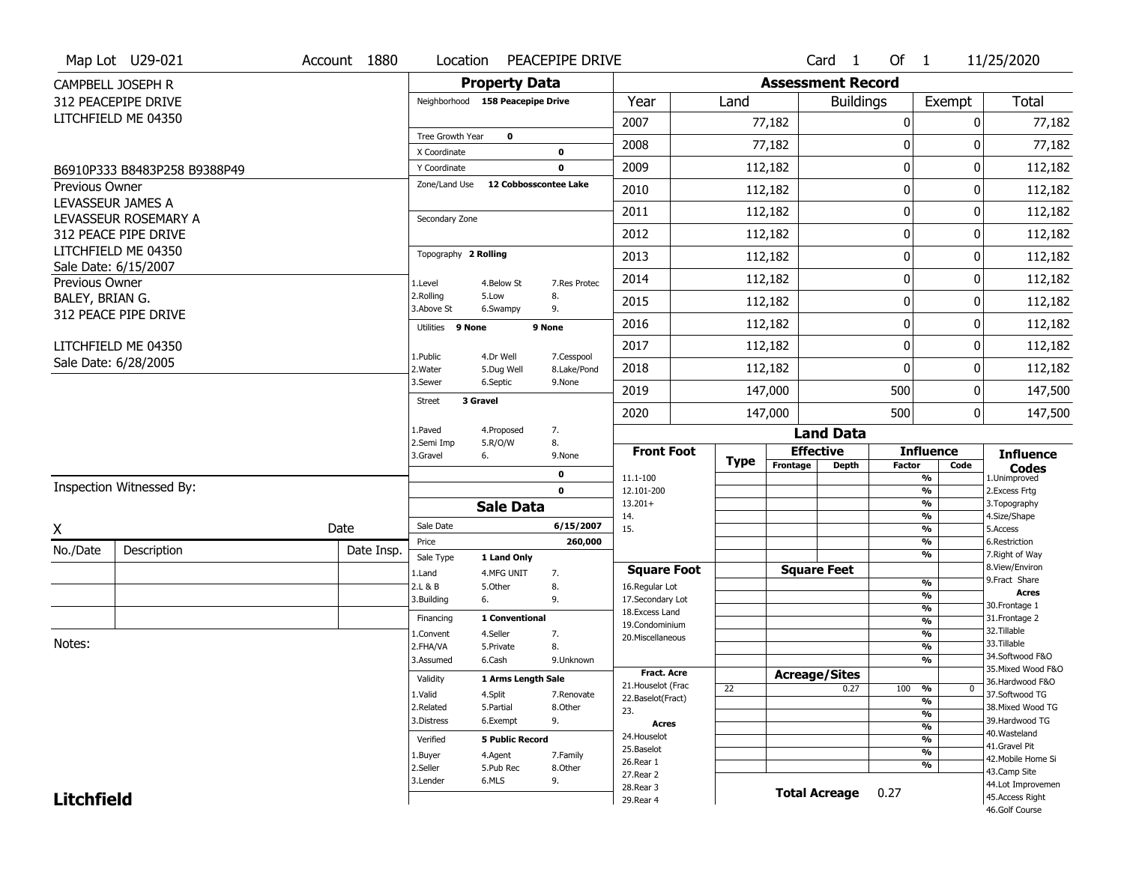|                       | Map Lot U29-021              | Account 1880 | Location                         |                         | PEACEPIPE DRIVE           |                                    |             |                          | Card 1           | Of 1          |                                | 11/25/2020                          |
|-----------------------|------------------------------|--------------|----------------------------------|-------------------------|---------------------------|------------------------------------|-------------|--------------------------|------------------|---------------|--------------------------------|-------------------------------------|
|                       | CAMPBELL JOSEPH R            |              |                                  | <b>Property Data</b>    |                           |                                    |             | <b>Assessment Record</b> |                  |               |                                |                                     |
|                       | 312 PEACEPIPE DRIVE          |              | Neighborhood 158 Peacepipe Drive |                         |                           | Year                               | Land        |                          | <b>Buildings</b> |               | Exempt                         | <b>Total</b>                        |
|                       | LITCHFIELD ME 04350          |              |                                  |                         |                           | 2007                               |             | 77,182                   |                  | 0             | 0                              | 77,182                              |
|                       |                              |              | Tree Growth Year                 | $\mathbf 0$             |                           |                                    |             |                          |                  |               |                                |                                     |
|                       |                              |              | X Coordinate                     |                         | $\mathbf 0$               | 2008                               |             | 77,182                   |                  | 0             | 0                              | 77,182                              |
|                       | B6910P333 B8483P258 B9388P49 |              | Y Coordinate                     |                         | $\mathbf 0$               | 2009                               |             | 112,182                  |                  | $\pmb{0}$     | 0                              | 112,182                             |
| <b>Previous Owner</b> |                              |              | Zone/Land Use                    | 12 Cobbosscontee Lake   |                           | 2010                               |             | 112,182                  |                  | $\mathbf 0$   | 0                              | 112,182                             |
| LEVASSEUR JAMES A     | LEVASSEUR ROSEMARY A         |              | Secondary Zone                   |                         |                           | 2011                               |             | 112,182                  |                  | $\mathbf 0$   | 0                              | 112,182                             |
|                       | 312 PEACE PIPE DRIVE         |              |                                  |                         |                           | 2012                               |             | 112,182                  |                  | 0             | 0                              | 112,182                             |
|                       | LITCHFIELD ME 04350          |              | Topography 2 Rolling             |                         |                           | 2013                               |             | 112,182                  |                  | $\mathbf 0$   | 0                              | 112,182                             |
| Previous Owner        | Sale Date: 6/15/2007         |              | 1.Level                          | 4.Below St              | 7.Res Protec              | 2014                               |             | 112,182                  |                  | 0             | 0                              | 112,182                             |
| BALEY, BRIAN G.       |                              |              | 2.Rolling<br>3.Above St          | 5.Low<br>6.Swampy       | 8.<br>9.                  | 2015                               |             | 112,182                  |                  | 0             | 0                              | 112,182                             |
|                       | 312 PEACE PIPE DRIVE         |              | Utilities 9 None                 |                         | 9 None                    | 2016                               |             | 112,182                  |                  | 0             | 0                              | 112,182                             |
|                       | LITCHFIELD ME 04350          |              |                                  |                         |                           | 2017                               |             | 112,182                  |                  | $\pmb{0}$     | 0                              | 112,182                             |
|                       | Sale Date: 6/28/2005         |              | 1.Public<br>2. Water             | 4.Dr Well<br>5.Dug Well | 7.Cesspool<br>8.Lake/Pond | 2018                               |             | 112,182                  |                  | $\mathbf{0}$  | 0                              | 112,182                             |
|                       |                              |              | 3.Sewer                          | 6.Septic                | 9.None                    | 2019                               |             | 147,000                  |                  | 500           | 0                              | 147,500                             |
|                       |                              |              | 3 Gravel<br><b>Street</b>        |                         |                           | 2020                               |             | 147,000                  |                  | 500           | 0                              | 147,500                             |
|                       |                              |              | 1.Paved                          | 4.Proposed              | 7.                        |                                    |             |                          | <b>Land Data</b> |               |                                |                                     |
|                       |                              |              | 2.Semi Imp<br>3.Gravel           | 5.R/O/W<br>6.           | 8.<br>9.None              | <b>Front Foot</b>                  |             | <b>Effective</b>         |                  |               | <b>Influence</b>               | <b>Influence</b>                    |
|                       |                              |              |                                  |                         | $\mathbf 0$               |                                    | <b>Type</b> | Frontage                 | <b>Depth</b>     | <b>Factor</b> | Code                           | <b>Codes</b>                        |
|                       | Inspection Witnessed By:     |              |                                  |                         | $\mathbf 0$               | 11.1-100<br>12.101-200             |             |                          |                  |               | %<br>$\frac{9}{6}$             | 1.Unimproved<br>2. Excess Frtg      |
|                       |                              |              |                                  | <b>Sale Data</b>        |                           | $13.201+$                          |             |                          |                  |               | %                              | 3. Topography                       |
| X                     |                              | Date         | Sale Date                        |                         | 6/15/2007                 | 14.<br>15.                         |             |                          |                  |               | %<br>%                         | 4.Size/Shape<br>5.Access            |
|                       |                              |              | Price                            |                         | 260,000                   |                                    |             |                          |                  |               | %                              | 6.Restriction                       |
| No./Date              | Description                  | Date Insp.   | Sale Type                        | 1 Land Only             |                           |                                    |             |                          |                  |               | %                              | 7. Right of Way                     |
|                       |                              |              | 1.Land                           | 4.MFG UNIT              | 7.                        | <b>Square Foot</b>                 |             | <b>Square Feet</b>       |                  |               | $\frac{9}{6}$                  | 8.View/Environ<br>9. Fract Share    |
|                       |                              |              | 2.L & B<br>3.Building            | 5.Other<br>6.           | 8.<br>9.                  | 16.Regular Lot<br>17.Secondary Lot |             |                          |                  |               | $\frac{9}{6}$                  | <b>Acres</b>                        |
|                       |                              |              |                                  |                         |                           | 18. Excess Land                    |             |                          |                  |               | $\frac{9}{6}$                  | 30. Frontage 1                      |
|                       |                              |              | Financing                        | 1 Conventional          |                           | 19.Condominium                     |             |                          |                  |               | $\frac{9}{6}$                  | 31. Frontage 2<br>32.Tillable       |
| Notes:                |                              |              | 1.Convent<br>2.FHA/VA            | 4.Seller<br>5.Private   | 7.<br>8.                  | 20.Miscellaneous                   |             |                          |                  |               | $\frac{9}{6}$<br>$\frac{9}{6}$ | 33.Tillable                         |
|                       |                              |              | 3.Assumed                        | 6.Cash                  | 9.Unknown                 |                                    |             |                          |                  |               | $\overline{\frac{9}{6}}$       | 34.Softwood F&O                     |
|                       |                              |              |                                  |                         |                           | <b>Fract. Acre</b>                 |             | <b>Acreage/Sites</b>     |                  |               |                                | 35. Mixed Wood F&O                  |
|                       |                              |              | Validity                         | 1 Arms Length Sale      |                           | 21. Houselot (Frac                 | 22          |                          | 0.27             | 100           | %<br>0                         | 36.Hardwood F&O                     |
|                       |                              |              | 1.Valid                          | 4.Split                 | 7.Renovate                | 22.Baselot(Fract)                  |             |                          |                  |               | %                              | 37.Softwood TG                      |
|                       |                              |              | 2.Related<br>3.Distress          | 5.Partial<br>6.Exempt   | 8.Other<br>9.             | 23.                                |             |                          |                  |               | $\frac{9}{6}$                  | 38. Mixed Wood TG<br>39.Hardwood TG |
|                       |                              |              |                                  |                         |                           | Acres                              |             |                          |                  |               | $\frac{9}{6}$                  | 40. Wasteland                       |
|                       |                              |              | Verified                         | <b>5 Public Record</b>  |                           | 24. Houselot<br>25.Baselot         |             |                          |                  |               | %                              | 41.Gravel Pit                       |
|                       |                              |              | 1.Buyer                          | 4.Agent                 | 7.Family                  | 26.Rear 1                          |             |                          |                  |               | $\frac{9}{6}$                  | 42. Mobile Home Si                  |
|                       |                              |              | 2.Seller                         | 5.Pub Rec               | 8.Other                   | 27.Rear 2                          |             |                          |                  |               | %                              | 43.Camp Site                        |
|                       |                              |              | 3.Lender                         | 6.MLS                   | 9.                        |                                    |             |                          |                  |               |                                | 44.Lot Improvemen                   |
| <b>Litchfield</b>     |                              |              |                                  |                         |                           | 28. Rear 3                         |             | <b>Total Acreage</b>     |                  | 0.27          |                                | 45.Access Right                     |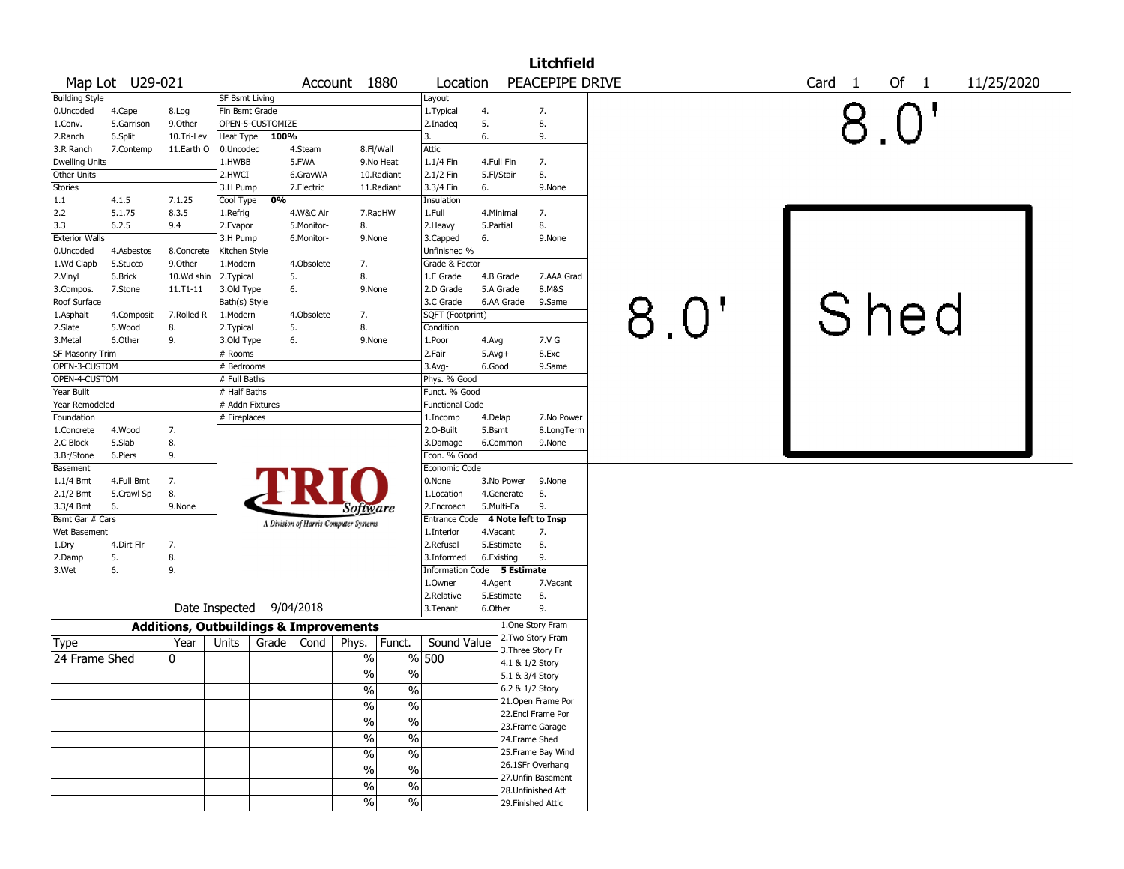|                        |                  |                                                   |                       |                  |                         |                                       |                             |                          | <b>Litchfield</b>                    |      |                   |                      |  |
|------------------------|------------------|---------------------------------------------------|-----------------------|------------------|-------------------------|---------------------------------------|-----------------------------|--------------------------|--------------------------------------|------|-------------------|----------------------|--|
|                        | Map Lot U29-021  |                                                   |                       |                  |                         | Account 1880                          | Location                    |                          | PEACEPIPE DRIVE                      |      | Card <sub>1</sub> | Of $1$<br>11/25/2020 |  |
| <b>Building Style</b>  |                  |                                                   | <b>SF Bsmt Living</b> |                  |                         |                                       | Layout                      |                          |                                      |      |                   |                      |  |
| 0.Uncoded              | 4.Cape           | 8.Log                                             | Fin Bsmt Grade        |                  |                         |                                       | 1.Typical                   | 4.                       | 7.                                   |      |                   |                      |  |
| 1.Conv.                | 5.Garrison       | 9.Other                                           |                       | OPEN-5-CUSTOMIZE |                         |                                       | 2.Inadeq                    | 5.                       | 8.                                   |      |                   |                      |  |
| 2.Ranch                | 6.Split          | 10.Tri-Lev                                        | Heat Type             | 100%             |                         |                                       | 3.                          | 6.                       | 9.                                   |      |                   |                      |  |
| 3.R Ranch              | 7.Contemp        | 11.Earth O                                        | 0.Uncoded             |                  | 4.Steam                 | 8.Fl/Wall                             | Attic                       |                          |                                      |      |                   |                      |  |
| <b>Dwelling Units</b>  |                  |                                                   | 1.HWBB                |                  | 5.FWA                   | 9.No Heat                             | 1.1/4 Fin                   | 4.Full Fin               | 7.                                   |      |                   |                      |  |
| Other Units            |                  |                                                   | 2.HWCI                |                  | 6.GravWA                | 10.Radiant                            | $2.1/2$ Fin                 | 5.Fl/Stair               | 8.                                   |      |                   |                      |  |
| Stories                |                  |                                                   | 3.H Pump              | 0%               | 7.Electric              | 11.Radiant                            | 3.3/4 Fin                   | 6.                       | 9.None                               |      |                   |                      |  |
| $1.1\,$<br>2.2         | 4.1.5<br>5.1.75  | 7.1.25<br>8.3.5                                   | Cool Type             |                  |                         | 7.RadHW                               | Insulation<br>1.Full        | 4.Minimal                | 7.                                   |      |                   |                      |  |
| 3.3                    | 6.2.5            | 9.4                                               | 1.Refrig<br>2.Evapor  |                  | 4.W&C Air<br>5.Monitor- | 8.                                    | 2.Heavy                     | 5.Partial                | 8.                                   |      |                   |                      |  |
| <b>Exterior Walls</b>  |                  |                                                   | 3.H Pump              |                  | 6.Monitor-              | 9.None                                | 3.Capped                    | 6.                       | 9.None                               |      |                   |                      |  |
| 0.Uncoded              | 4.Asbestos       | 8.Concrete                                        | Kitchen Style         |                  |                         |                                       | Unfinished %                |                          |                                      |      |                   |                      |  |
| 1.Wd Clapb             | 5.Stucco         | 9.Other                                           | 1.Modern              |                  | 4.Obsolete              | 7.                                    | Grade & Factor              |                          |                                      |      |                   |                      |  |
| 2.Vinyl                | 6.Brick          | 10.Wd shin                                        | 2.Typical             |                  | 5.                      | 8.                                    | 1.E Grade                   | 4.B Grade                | 7.AAA Grad                           |      |                   |                      |  |
| 3.Compos.              | 7.Stone          | $11. T1 - 11$                                     | 3.Old Type            |                  | 6.                      | 9.None                                | 2.D Grade                   | 5.A Grade                | 8.M&S                                |      |                   |                      |  |
| Roof Surface           |                  |                                                   | Bath(s) Style         |                  |                         |                                       | 3.C Grade                   | 6.AA Grade               | 9.Same                               |      |                   |                      |  |
| 1.Asphalt              | 4.Composit       | 7.Rolled R                                        | 1.Modern              |                  | 4.Obsolete              | 7.                                    | SQFT (Footprint)            |                          |                                      | 8.0" | Shed              |                      |  |
| 2.Slate                | 5.Wood           | 8.                                                | 2.Typical             |                  | 5.                      | 8.                                    | Condition                   |                          |                                      |      |                   |                      |  |
| 3.Metal                | 6.Other          | 9.                                                | 3.Old Type            |                  | 6.                      | 9.None                                | 1.Poor                      | 4.Avg                    | 7.V G                                |      |                   |                      |  |
| SF Masonry Trim        |                  |                                                   | # Rooms               |                  |                         |                                       | 2.Fair                      | $5.$ Avg $+$             | 8.Exc                                |      |                   |                      |  |
| OPEN-3-CUSTOM          |                  |                                                   | # Bedrooms            |                  |                         |                                       | 3.Avg-                      | 6.Good                   | 9.Same                               |      |                   |                      |  |
| OPEN-4-CUSTOM          |                  |                                                   | # Full Baths          |                  |                         |                                       | Phys. % Good                |                          |                                      |      |                   |                      |  |
| Year Built             |                  |                                                   | # Half Baths          |                  |                         |                                       | Funct. % Good               |                          |                                      |      |                   |                      |  |
| Year Remodeled         |                  |                                                   | # Addn Fixtures       |                  |                         |                                       | <b>Functional Code</b>      |                          |                                      |      |                   |                      |  |
| Foundation             |                  |                                                   | # Fireplaces          |                  |                         |                                       | 1.Incomp                    | 4.Delap                  | 7.No Power                           |      |                   |                      |  |
| 1.Concrete             | 4.Wood           | 7.                                                |                       |                  |                         |                                       | 2.O-Built                   | 5.Bsmt                   | 8.LongTerm                           |      |                   |                      |  |
| 2.C Block              | 5.Slab           | 8.                                                |                       |                  |                         |                                       | 3.Damage                    | 6.Common                 | 9.None                               |      |                   |                      |  |
| 3.Br/Stone             | 6.Piers          | 9.                                                |                       |                  |                         |                                       | Econ. % Good                |                          |                                      |      |                   |                      |  |
| Basement               |                  |                                                   |                       |                  |                         |                                       | Economic Code               |                          |                                      |      |                   |                      |  |
| $1.1/4$ Bmt            | 4.Full Bmt       | 7.                                                |                       |                  |                         |                                       | 0.None                      | 3.No Power               | 9.None                               |      |                   |                      |  |
| 2.1/2 Bmt<br>3.3/4 Bmt | 5.Crawl Sp<br>6. | 8.<br>9.None                                      |                       |                  |                         |                                       | 1.Location<br>2.Encroach    | 4.Generate<br>5.Multi-Fa | 8.<br>9.                             |      |                   |                      |  |
| Bsmt Gar # Cars        |                  |                                                   |                       |                  |                         | Software                              | <b>Entrance Code</b>        |                          | 4 Note left to Insp                  |      |                   |                      |  |
| Wet Basement           |                  |                                                   |                       |                  |                         | A Division of Harris Computer Systems | 1.Interior                  | 4.Vacant                 | 7.                                   |      |                   |                      |  |
| 1.Dry                  | 4.Dirt Flr       | 7.                                                |                       |                  |                         |                                       | 2.Refusal                   | 5.Estimate               | 8.                                   |      |                   |                      |  |
| 2.Damp                 | 5.               | 8.                                                |                       |                  |                         |                                       | 3.Informed                  | 6.Existing               | 9.                                   |      |                   |                      |  |
| 3.Wet                  | 6.               | 9.                                                |                       |                  |                         |                                       | Information Code 5 Estimate |                          |                                      |      |                   |                      |  |
|                        |                  |                                                   |                       |                  |                         |                                       | 1.0wner                     | 4.Agent                  | 7.Vacant                             |      |                   |                      |  |
|                        |                  |                                                   |                       |                  |                         |                                       | 2.Relative                  | 5.Estimate               | 8.                                   |      |                   |                      |  |
|                        |                  | Date Inspected                                    |                       |                  | 9/04/2018               |                                       | 3.Tenant                    | 6.Other                  | 9.                                   |      |                   |                      |  |
|                        |                  | <b>Additions, Outbuildings &amp; Improvements</b> |                       |                  |                         |                                       |                             |                          | 1.One Story Fram                     |      |                   |                      |  |
| Type                   |                  | Year                                              | Units                 | Grade            | Cond                    | Phys.<br>Funct.                       | Sound Value                 |                          | 2. Two Story Fram                    |      |                   |                      |  |
| 24 Frame Shed          |                  | 0                                                 |                       |                  |                         | $\%$                                  | % 500                       |                          | 3. Three Story Fr                    |      |                   |                      |  |
|                        |                  |                                                   |                       |                  |                         |                                       |                             |                          | 4.1 & 1/2 Story                      |      |                   |                      |  |
|                        |                  |                                                   |                       |                  |                         | $\frac{0}{0}$<br>$\frac{0}{0}$        |                             |                          | 5.1 & 3/4 Story                      |      |                   |                      |  |
|                        |                  |                                                   |                       |                  |                         | $\frac{1}{2}$<br>$\frac{9}{6}$        |                             |                          | 6.2 & 1/2 Story<br>21.Open Frame Por |      |                   |                      |  |
|                        |                  |                                                   |                       |                  |                         | $\frac{1}{2}$<br>$\%$                 |                             |                          | 22.Encl Frame Por                    |      |                   |                      |  |
|                        |                  |                                                   |                       |                  |                         | $\%$<br>$\%$                          |                             |                          | 23.Frame Garage                      |      |                   |                      |  |
|                        |                  |                                                   |                       |                  |                         | $\%$<br>$\sqrt{6}$                    |                             |                          | 24.Frame Shed                        |      |                   |                      |  |
|                        |                  |                                                   |                       |                  |                         | $\frac{1}{2}$<br>$\%$                 |                             |                          | 25. Frame Bay Wind                   |      |                   |                      |  |
|                        |                  |                                                   |                       |                  |                         | $\sqrt{20}$                           |                             |                          | 26.1SFr Overhang                     |      |                   |                      |  |
|                        |                  |                                                   |                       |                  |                         | $\%$                                  |                             |                          | 27.Unfin Basement                    |      |                   |                      |  |
|                        |                  |                                                   |                       |                  |                         | $\frac{1}{2}$<br>$\%$                 |                             |                          | 28. Unfinished Att                   |      |                   |                      |  |
|                        |                  |                                                   |                       |                  |                         | $\%$<br>$\sqrt{6}$                    |                             |                          | 29. Finished Attic                   |      |                   |                      |  |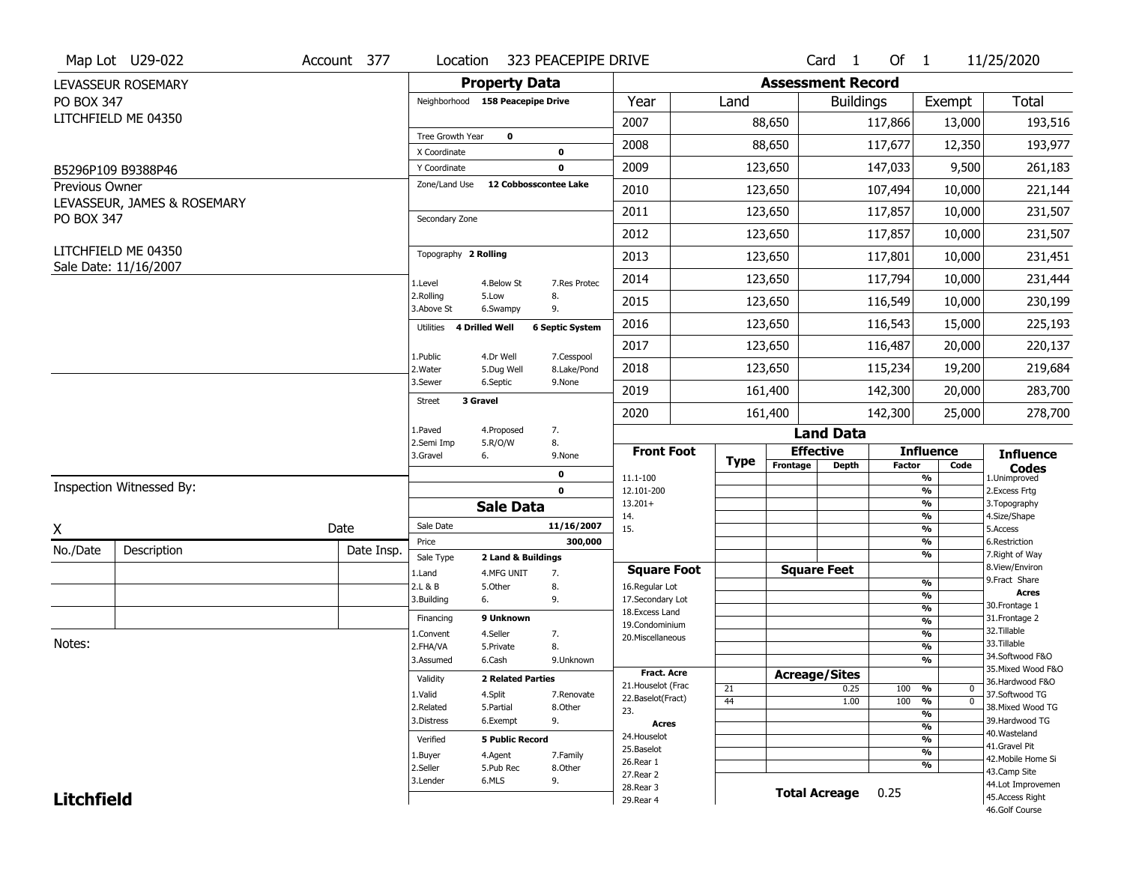|                   | Map Lot U29-022                              | Account 377 | Location                         | 323 PEACEPIPE DRIVE                    |                                         |             |                          | Card <sub>1</sub>    | Of $1$        |                                    | 11/25/2020                            |
|-------------------|----------------------------------------------|-------------|----------------------------------|----------------------------------------|-----------------------------------------|-------------|--------------------------|----------------------|---------------|------------------------------------|---------------------------------------|
|                   | LEVASSEUR ROSEMARY                           |             |                                  | <b>Property Data</b>                   |                                         |             | <b>Assessment Record</b> |                      |               |                                    |                                       |
| PO BOX 347        |                                              |             | Neighborhood 158 Peacepipe Drive |                                        | Year                                    | Land        |                          | <b>Buildings</b>     |               | Exempt                             | <b>Total</b>                          |
|                   | LITCHFIELD ME 04350                          |             |                                  |                                        | 2007                                    |             | 88,650                   |                      | 117,866       | 13,000                             | 193,516                               |
|                   |                                              |             | Tree Growth Year                 | $\mathbf 0$                            | 2008                                    |             | 88,650                   |                      | 117,677       | 12,350                             | 193,977                               |
|                   |                                              |             | X Coordinate                     | 0                                      |                                         |             |                          |                      |               |                                    |                                       |
|                   | B5296P109 B9388P46                           |             | Y Coordinate<br>Zone/Land Use    | 0<br>12 Cobbosscontee Lake             | 2009                                    |             | 123,650                  |                      | 147,033       | 9,500                              | 261,183                               |
| Previous Owner    | LEVASSEUR, JAMES & ROSEMARY                  |             |                                  |                                        | 2010                                    |             | 123,650                  |                      | 107,494       | 10,000                             | 221,144                               |
| PO BOX 347        |                                              |             | Secondary Zone                   |                                        | 2011                                    |             | 123,650                  |                      | 117,857       | 10,000                             | 231,507                               |
|                   |                                              |             |                                  |                                        | 2012                                    |             | 123,650                  |                      | 117,857       | 10,000                             | 231,507                               |
|                   | LITCHFIELD ME 04350<br>Sale Date: 11/16/2007 |             | Topography 2 Rolling             |                                        | 2013                                    |             | 123,650                  |                      | 117,801       | 10,000                             | 231,451                               |
|                   |                                              |             | 1.Level                          | 4.Below St<br>7.Res Protec             | 2014                                    |             | 123,650                  |                      | 117,794       | 10,000                             | 231,444                               |
|                   |                                              |             | 2.Rolling<br>5.Low<br>3.Above St | 8.<br>9.<br>6.Swampy                   | 2015                                    |             | 123,650                  |                      | 116,549       | 10,000                             | 230,199                               |
|                   |                                              |             | 4 Drilled Well<br>Utilities      | <b>6 Septic System</b>                 | 2016                                    |             | 123,650                  |                      | 116,543       | 15,000                             | 225,193                               |
|                   |                                              |             | 1.Public                         | 4.Dr Well<br>7.Cesspool                | 2017                                    |             | 123,650                  |                      | 116,487       | 20,000                             | 220,137                               |
|                   |                                              |             | 2. Water                         | 8.Lake/Pond<br>5.Dug Well              | 2018                                    |             | 123,650                  |                      | 115,234       | 19,200                             | 219,684                               |
|                   |                                              |             | 3.Sewer                          | 6.Septic<br>9.None                     | 2019                                    |             | 161,400                  |                      | 142,300       | 20,000                             | 283,700                               |
|                   |                                              |             | 3 Gravel<br>Street               |                                        | 2020                                    |             | 161,400                  |                      | 142,300       | 25,000                             | 278,700                               |
|                   |                                              |             | 1.Paved                          | 4.Proposed<br>7.                       |                                         |             |                          | <b>Land Data</b>     |               |                                    |                                       |
|                   |                                              |             | 2.Semi Imp<br>3.Gravel<br>6.     | 5.R/O/W<br>8.<br>9.None                | <b>Front Foot</b>                       | <b>Type</b> | <b>Effective</b>         |                      |               | <b>Influence</b>                   | <b>Influence</b>                      |
|                   |                                              |             |                                  | 0                                      | 11.1-100                                |             | Frontage                 | <b>Depth</b>         | <b>Factor</b> | Code<br>$\frac{9}{6}$              | <b>Codes</b><br>1.Unimproved          |
|                   | Inspection Witnessed By:                     |             |                                  | $\mathbf 0$                            | 12.101-200                              |             |                          |                      |               | $\frac{9}{6}$                      | 2.Excess Frtg                         |
|                   |                                              |             |                                  | <b>Sale Data</b>                       | $13.201+$<br>14.                        |             |                          |                      |               | $\frac{9}{6}$<br>$\frac{9}{6}$     | 3. Topography<br>4.Size/Shape         |
| X                 |                                              | Date        | Sale Date                        | 11/16/2007                             | 15.                                     |             |                          |                      |               | $\frac{9}{6}$                      | 5.Access                              |
| No./Date          | Description                                  | Date Insp.  | Price                            | 300,000                                |                                         |             |                          |                      |               | $\frac{9}{6}$<br>$\frac{9}{6}$     | 6.Restriction<br>7. Right of Way      |
|                   |                                              |             | Sale Type<br>1.Land              | 2 Land & Buildings<br>7.<br>4.MFG UNIT | <b>Square Foot</b>                      |             | <b>Square Feet</b>       |                      |               |                                    | 8.View/Environ                        |
|                   |                                              |             | 2.L & B                          | 8.<br>5.Other                          | 16.Regular Lot                          |             |                          |                      |               | $\frac{9}{6}$                      | 9. Fract Share                        |
|                   |                                              |             | 3.Building<br>6.                 | 9.                                     | 17.Secondary Lot                        |             |                          |                      |               | %<br>$\frac{9}{6}$                 | <b>Acres</b><br>30. Frontage 1        |
|                   |                                              |             | Financing                        | 9 Unknown                              | 18. Excess Land                         |             |                          |                      |               | $\frac{9}{6}$                      | 31. Frontage 2                        |
|                   |                                              |             | 1.Convent                        | 4.Seller<br>7.                         | 19.Condominium<br>20.Miscellaneous      |             |                          |                      |               | %                                  | 32.Tillable                           |
| Notes:            |                                              |             | 2.FHA/VA                         | 8.<br>5.Private                        |                                         |             |                          |                      |               | %                                  | 33.Tillable                           |
|                   |                                              |             | 3.Assumed                        | 6.Cash<br>9.Unknown                    |                                         |             |                          |                      |               | $\%$                               | 34.Softwood F&O                       |
|                   |                                              |             | Validity                         | <b>2 Related Parties</b>               | Fract. Acre                             |             | <b>Acreage/Sites</b>     |                      |               |                                    | 35. Mixed Wood F&O<br>36.Hardwood F&O |
|                   |                                              |             | 1.Valid                          | 4.Split<br>7.Renovate                  | 21. Houselot (Frac<br>22.Baselot(Fract) | 21          |                          | 0.25                 | 100 %         | 0                                  | 37.Softwood TG                        |
|                   |                                              |             | 2.Related                        | 5.Partial<br>8.Other                   | 23.                                     | 44          |                          | 1.00                 | 100           | $\frac{9}{6}$<br>$\mathbf{0}$<br>% | 38. Mixed Wood TG                     |
|                   |                                              |             | 3.Distress                       | 9.<br>6.Exempt                         | Acres                                   |             |                          |                      |               | $\frac{9}{6}$                      | 39.Hardwood TG                        |
|                   |                                              |             | Verified                         | <b>5 Public Record</b>                 | 24. Houselot                            |             |                          |                      |               | $\overline{\frac{9}{6}}$           | 40. Wasteland                         |
|                   |                                              |             | 1.Buyer                          | 4.Agent<br>7.Family                    | 25.Baselot                              |             |                          |                      |               | $\frac{9}{6}$                      | 41.Gravel Pit                         |
|                   |                                              |             |                                  |                                        |                                         |             |                          |                      |               |                                    | 42. Mobile Home Si                    |
|                   |                                              |             | 2.Seller                         | 5.Pub Rec<br>8.0ther                   | 26.Rear 1                               |             |                          |                      |               | $\frac{9}{6}$                      |                                       |
|                   |                                              |             | 3.Lender                         | 6.MLS<br>9.                            | 27.Rear 2                               |             |                          |                      |               |                                    | 43.Camp Site                          |
| <b>Litchfield</b> |                                              |             |                                  |                                        | 28. Rear 3<br>29. Rear 4                |             |                          | <b>Total Acreage</b> | 0.25          |                                    | 44.Lot Improvemen<br>45.Access Right  |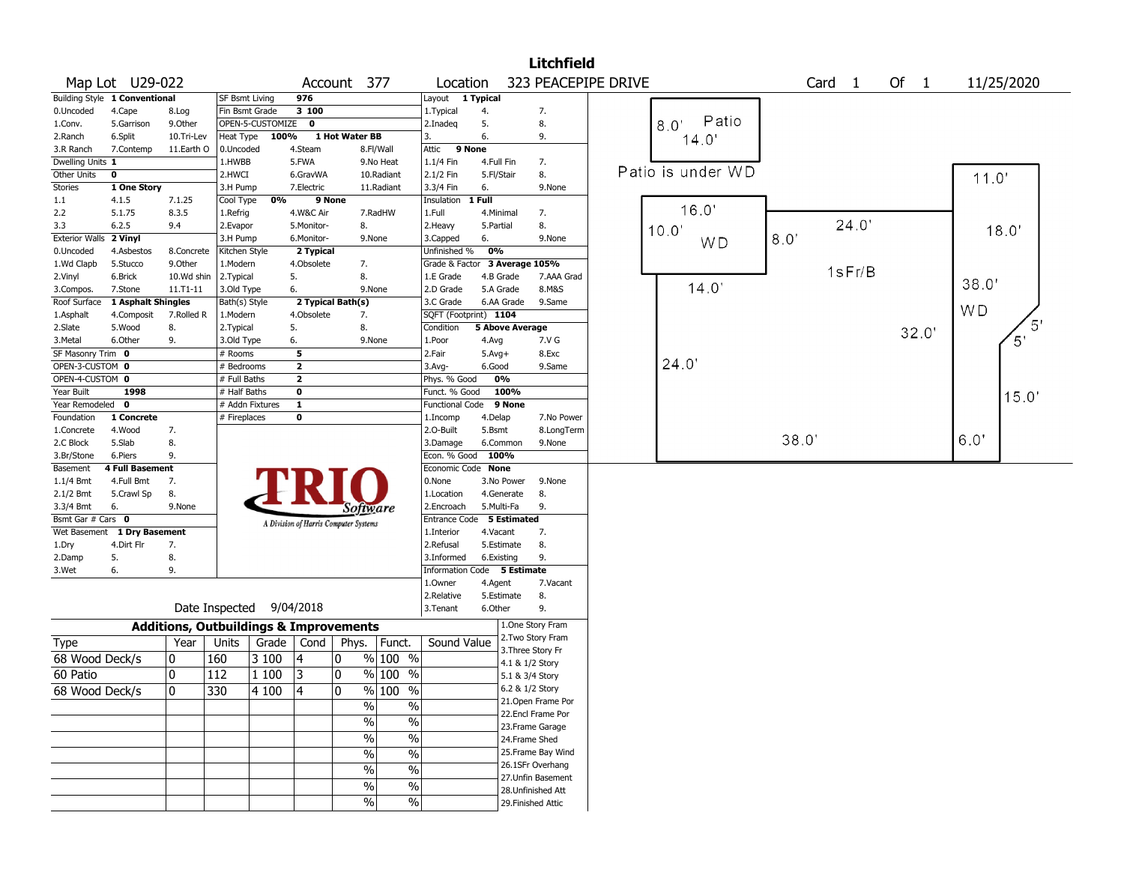|                       |                               |                                                   |                |                  |                         |                                       |            |                               |                        |                   | <b>Litchfield</b>                        |                     |                   |       |                   |       |                |            |
|-----------------------|-------------------------------|---------------------------------------------------|----------------|------------------|-------------------------|---------------------------------------|------------|-------------------------------|------------------------|-------------------|------------------------------------------|---------------------|-------------------|-------|-------------------|-------|----------------|------------|
|                       | Map Lot U29-022               |                                                   |                |                  |                         | Account 377                           |            | Location                      |                        |                   |                                          | 323 PEACEPIPE DRIVE |                   |       | Card <sub>1</sub> | Of 1  |                | 11/25/2020 |
|                       | Building Style 1 Conventional |                                                   | SF Bsmt Living |                  | 976                     |                                       |            | Layout 1 Typical              |                        |                   |                                          |                     |                   |       |                   |       |                |            |
| 0.Uncoded             | 4.Cape                        | 8.Log                                             | Fin Bsmt Grade |                  | 3 100                   |                                       |            | 1.Typical                     | 4.                     |                   | 7.                                       |                     |                   |       |                   |       |                |            |
| 1.Conv.               | 5.Garrison                    | 9.Other                                           |                | OPEN-5-CUSTOMIZE | $\mathbf 0$             |                                       |            | 2.Inadeq                      | 5.                     |                   | 8.                                       |                     | Patio<br>8.0'     |       |                   |       |                |            |
| 2.Ranch               | 6.Split                       | 10.Tri-Lev                                        | Heat Type      | 100%             |                         | 1 Hot Water BB                        |            | 3.                            | 6.                     |                   | 9.                                       |                     | 14.0              |       |                   |       |                |            |
| 3.R Ranch             | 7.Contemp                     | 11.Earth O                                        | 0.Uncoded      |                  | 4.Steam                 |                                       | 8.Fl/Wall  | Attic<br>9 None               |                        |                   |                                          |                     |                   |       |                   |       |                |            |
| Dwelling Units 1      |                               |                                                   | 1.HWBB         |                  | 5.FWA                   |                                       | 9.No Heat  | 1.1/4 Fin                     | 4.Full Fin             |                   | 7.                                       |                     |                   |       |                   |       |                |            |
| Other Units           | $\mathbf 0$                   |                                                   | 2.HWCI         |                  | 6.GravWA                |                                       | 10.Radiant | 2.1/2 Fin                     | 5.Fl/Stair             |                   | 8.                                       |                     | Patio is under WD |       |                   |       | 11.0'          |            |
| Stories               | 1 One Story                   |                                                   | 3.H Pump       |                  | 7.Electric              |                                       | 11.Radiant | 3.3/4 Fin                     | 6.                     |                   | 9.None                                   |                     |                   |       |                   |       |                |            |
| 1.1                   | 4.1.5                         | 7.1.25                                            | Cool Type      | 0%               |                         | 9 None                                |            | Insulation                    | 1 Full                 |                   |                                          |                     |                   |       |                   |       |                |            |
| 2.2                   | 5.1.75                        | 8.3.5                                             | 1.Refrig       |                  | 4.W&C Air               |                                       | 7.RadHW    | 1.Full                        | 4.Minimal              |                   | 7.                                       |                     | 16.0'             |       |                   |       |                |            |
| 3.3                   | 6.2.5                         | 9.4                                               | 2.Evapor       |                  | 5.Monitor-              | 8.                                    |            | 2.Heavy                       | 5.Partial              |                   | 8.                                       |                     | 10.0'             |       | 24.0'             |       |                | 18.0'      |
| <b>Exterior Walls</b> | 2 Vinyl                       |                                                   | 3.H Pump       |                  | 6.Monitor-              |                                       | 9.None     | 3.Capped                      | 6.                     |                   | 9.None                                   |                     | WD                | 8.0   |                   |       |                |            |
| 0.Uncoded             | 4.Asbestos                    | 8.Concrete                                        | Kitchen Style  |                  | 2 Typical               |                                       |            | Unfinished %                  | 0%                     |                   |                                          |                     |                   |       |                   |       |                |            |
| 1.Wd Clapb            | 5.Stucco                      | 9.0ther                                           | 1.Modern       |                  | 4.Obsolete              | 7.                                    |            | Grade & Factor 3 Average 105% |                        |                   |                                          |                     |                   |       | 1sFr/B            |       |                |            |
| 2.Vinyl               | 6.Brick                       | 10.Wd shin                                        | 2. Typical     |                  | 5.                      | 8.                                    |            | 1.E Grade                     | 4.B Grade              |                   | 7.AAA Grad                               |                     |                   |       |                   |       | 38.0'          |            |
| 3.Compos.             | 7.Stone                       | $11. T1 - 11$                                     | 3.Old Type     |                  | 6.                      |                                       | 9.None     | 2.D Grade                     | 5.A Grade              |                   | 8.M&S                                    |                     | 14.0'             |       |                   |       |                |            |
| Roof Surface          | 1 Asphalt Shingles            |                                                   | Bath(s) Style  |                  |                         | 2 Typical Bath(s)                     |            | 3.C Grade                     | 6.AA Grade             |                   | 9.Same                                   |                     |                   |       |                   |       | W <sub>D</sub> |            |
| 1.Asphalt             | 4.Composit                    | 7.Rolled R                                        | 1.Modern       |                  | 4.Obsolete              | 7.                                    |            | SQFT (Footprint) 1104         |                        |                   |                                          |                     |                   |       |                   |       |                |            |
| 2.Slate               | 5.Wood                        | 8.                                                | 2.Typical      |                  | 5.                      | 8.                                    |            | Condition                     | <b>5 Above Average</b> |                   |                                          |                     |                   |       |                   | 32.0' |                |            |
| 3.Metal               | 6.Other                       | 9.                                                | 3.Old Type     |                  | 6.                      |                                       | 9.None     | 1.Poor                        | 4.Avg                  |                   | 7.V G                                    |                     |                   |       |                   |       |                | 5'         |
| SF Masonry Trim 0     |                               |                                                   | $#$ Rooms      |                  | 5                       |                                       |            | 2.Fair                        | $5.Avg+$               |                   | 8.Exc                                    |                     |                   |       |                   |       |                |            |
| OPEN-3-CUSTOM 0       |                               |                                                   | # Bedrooms     |                  | $\overline{\mathbf{2}}$ |                                       |            | 3.Avg-                        | 6.Good                 |                   | 9.Same                                   |                     | 24.0'             |       |                   |       |                |            |
| OPEN-4-CUSTOM 0       |                               |                                                   | # Full Baths   |                  | $\overline{2}$          |                                       |            | Phys. % Good                  | 0%                     |                   |                                          |                     |                   |       |                   |       |                |            |
| Year Built            | 1998                          |                                                   | # Half Baths   |                  | $\bf{0}$                |                                       |            | Funct. % Good                 | 100%                   |                   |                                          |                     |                   |       |                   |       |                | 15.0'      |
| Year Remodeled        | 0                             |                                                   |                | # Addn Fixtures  | $\overline{\mathbf{1}}$ |                                       |            | Functional Code               | 9 None                 |                   |                                          |                     |                   |       |                   |       |                |            |
| Foundation            | 1 Concrete                    |                                                   | # Fireplaces   |                  | $\bf{0}$                |                                       |            | 1.Incomp                      | 4.Delap                |                   | 7.No Power                               |                     |                   |       |                   |       |                |            |
| 1.Concrete            | 4.Wood                        | 7.                                                |                |                  |                         |                                       |            | 2.0-Built                     | 5.Bsmt                 |                   | 8.LongTerm                               |                     |                   | 38.0' |                   |       | 6.0"           |            |
| 2.C Block             | 5.Slab                        | 8.                                                |                |                  |                         |                                       |            | 3.Damage                      | 6.Common               |                   | 9.None                                   |                     |                   |       |                   |       |                |            |
| 3.Br/Stone            | 6.Piers                       | 9.                                                |                |                  |                         |                                       |            | Econ. % Good                  | 100%                   |                   |                                          |                     |                   |       |                   |       |                |            |
| Basement              | 4 Full Basement               |                                                   |                |                  |                         |                                       |            | Economic Code None            |                        |                   |                                          |                     |                   |       |                   |       |                |            |
| $1.1/4$ Bmt           | 4.Full Bmt                    | 7.                                                |                |                  |                         |                                       |            | 0.None                        | 3.No Power             |                   | 9.None                                   |                     |                   |       |                   |       |                |            |
| 2.1/2 Bmt             | 5.Crawl Sp                    | 8.                                                |                |                  |                         |                                       |            | 1.Location                    | 4.Generate             |                   | 8.                                       |                     |                   |       |                   |       |                |            |
| 3.3/4 Bmt             | 6.                            | 9.None                                            |                |                  |                         | Software                              |            | 2.Encroach                    | 5.Multi-Fa             |                   | 9.                                       |                     |                   |       |                   |       |                |            |
| Bsmt Gar # Cars 0     |                               |                                                   |                |                  |                         | A Division of Harris Computer Systems |            | Entrance Code 5 Estimated     |                        |                   |                                          |                     |                   |       |                   |       |                |            |
| Wet Basement          | 1 Dry Basement                |                                                   |                |                  |                         |                                       |            | 1.Interior                    | 4.Vacant               |                   | 7.                                       |                     |                   |       |                   |       |                |            |
| 1.Dry                 | 4.Dirt Flr                    | 7.                                                |                |                  |                         |                                       |            | 2.Refusal                     | 5.Estimate             |                   | 8.                                       |                     |                   |       |                   |       |                |            |
| 2.Damp                | 5.                            | 8.                                                |                |                  |                         |                                       |            | 3.Informed                    | 6.Existing             |                   | 9.                                       |                     |                   |       |                   |       |                |            |
| 3.Wet                 | 6.                            | 9.                                                |                |                  |                         |                                       |            | Information Code 5 Estimate   |                        |                   |                                          |                     |                   |       |                   |       |                |            |
|                       |                               |                                                   |                |                  |                         |                                       |            | 1.Owner                       | 4.Agent                |                   | 7.Vacant                                 |                     |                   |       |                   |       |                |            |
|                       |                               |                                                   | Date Inspected |                  | 9/04/2018               |                                       |            | 2.Relative<br>3. Tenant       | 5.Estimate<br>6.Other  |                   | 8.<br>9.                                 |                     |                   |       |                   |       |                |            |
|                       |                               |                                                   |                |                  |                         |                                       |            |                               |                        |                   |                                          |                     |                   |       |                   |       |                |            |
|                       |                               | <b>Additions, Outbuildings &amp; Improvements</b> |                |                  |                         |                                       |            |                               |                        |                   | 1.One Story Fram                         |                     |                   |       |                   |       |                |            |
| Type                  |                               | Year                                              | Units          |                  | Grade   Cond            | Phys.                                 | Funct.     | Sound Value                   |                        |                   | 2. Two Story Fram                        |                     |                   |       |                   |       |                |            |
| 68 Wood Deck/s        |                               | 10                                                | 160            | 3 100            | 4                       | 0                                     | % 100 %    |                               |                        | 3. Three Story Fr |                                          |                     |                   |       |                   |       |                |            |
|                       |                               | 10                                                |                |                  |                         |                                       | % 100 %    |                               |                        | 4.1 & 1/2 Story   |                                          |                     |                   |       |                   |       |                |            |
| 60 Patio              |                               |                                                   | 112            | 1 100            | 3                       | 0                                     |            |                               |                        | 5.1 & 3/4 Story   |                                          |                     |                   |       |                   |       |                |            |
| 68 Wood Deck/s        |                               | 0                                                 | 330            | 4 100            | 14                      | 0                                     | $%100$ %   |                               |                        | 6.2 & 1/2 Story   |                                          |                     |                   |       |                   |       |                |            |
|                       |                               |                                                   |                |                  |                         | $\%$                                  | $\%$       |                               |                        |                   | 21.Open Frame Por<br>22.Encl Frame Por   |                     |                   |       |                   |       |                |            |
|                       |                               |                                                   |                |                  |                         | %                                     | $\%$       |                               |                        |                   |                                          |                     |                   |       |                   |       |                |            |
|                       |                               |                                                   |                |                  |                         | $\%$                                  | $\%$       |                               |                        |                   | 23. Frame Garage                         |                     |                   |       |                   |       |                |            |
|                       |                               |                                                   |                |                  |                         |                                       |            |                               |                        | 24.Frame Shed     |                                          |                     |                   |       |                   |       |                |            |
|                       |                               |                                                   |                |                  |                         | %                                     | $\%$       |                               |                        |                   | 25. Frame Bay Wind                       |                     |                   |       |                   |       |                |            |
|                       |                               |                                                   |                |                  |                         | %                                     | $\%$       |                               |                        |                   | 26.1SFr Overhang                         |                     |                   |       |                   |       |                |            |
|                       |                               |                                                   |                |                  |                         | $\%$                                  | $\%$       |                               |                        |                   | 27. Unfin Basement<br>28. Unfinished Att |                     |                   |       |                   |       |                |            |
|                       |                               |                                                   |                |                  |                         | %                                     | $\%$       |                               |                        |                   | 29. Finished Attic                       |                     |                   |       |                   |       |                |            |
|                       |                               |                                                   |                |                  |                         |                                       |            |                               |                        |                   |                                          |                     |                   |       |                   |       |                |            |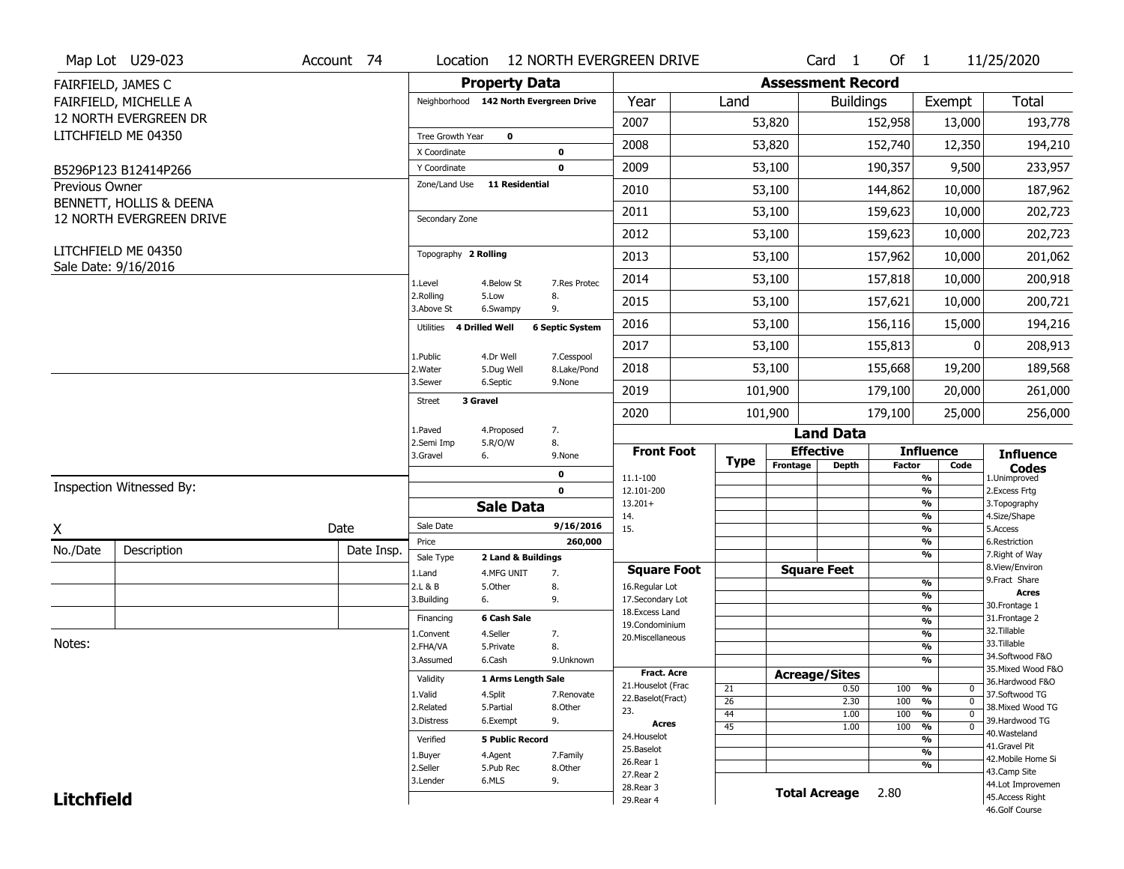|                       | Map Lot U29-023                             | Account 74 | Location                      |                                        | <b>12 NORTH EVERGREEN DRIVE</b>         |                 |                      | Card <sub>1</sub>        | Of $1$                         |                         | 11/25/2020                            |
|-----------------------|---------------------------------------------|------------|-------------------------------|----------------------------------------|-----------------------------------------|-----------------|----------------------|--------------------------|--------------------------------|-------------------------|---------------------------------------|
|                       | FAIRFIELD, JAMES C                          |            |                               | <b>Property Data</b>                   |                                         |                 |                      | <b>Assessment Record</b> |                                |                         |                                       |
|                       | FAIRFIELD, MICHELLE A                       |            |                               | Neighborhood 142 North Evergreen Drive | Year                                    | Land            |                      | <b>Buildings</b>         |                                | Exempt                  | <b>Total</b>                          |
|                       | 12 NORTH EVERGREEN DR                       |            |                               |                                        | 2007                                    |                 | 53,820               |                          | 152,958                        | 13,000                  | 193,778                               |
|                       | LITCHFIELD ME 04350                         |            | Tree Growth Year              | $\mathbf 0$                            |                                         |                 |                      |                          |                                |                         |                                       |
|                       |                                             |            | X Coordinate                  | 0                                      | 2008                                    |                 | 53,820               |                          | 152,740                        | 12,350                  | 194,210                               |
|                       | B5296P123 B12414P266                        |            | Y Coordinate                  | 0                                      | 2009                                    |                 | 53,100               | 190,357                  |                                | 9,500                   | 233,957                               |
| <b>Previous Owner</b> | BENNETT, HOLLIS & DEENA                     |            | Zone/Land Use                 | <b>11 Residential</b>                  | 2010                                    |                 | 53,100               |                          | 144,862                        | 10,000                  | 187,962                               |
|                       | 12 NORTH EVERGREEN DRIVE                    |            | Secondary Zone                |                                        | 2011                                    |                 | 53,100               | 159,623                  |                                | 10,000                  | 202,723                               |
|                       |                                             |            |                               |                                        | 2012                                    |                 | 53,100               |                          | 159,623                        | 10,000                  | 202,723                               |
|                       | LITCHFIELD ME 04350<br>Sale Date: 9/16/2016 |            | Topography 2 Rolling          |                                        | 2013                                    |                 | 53,100               |                          | 157,962                        | 10,000                  | 201,062                               |
|                       |                                             |            | 1.Level                       | 4.Below St<br>7.Res Protec             | 2014                                    |                 | 53,100               |                          | 157,818                        | 10,000                  | 200,918                               |
|                       |                                             |            | 2.Rolling<br>3.Above St       | 5.Low<br>8.<br>9.<br>6.Swampy          | 2015                                    |                 | 53,100               | 157,621                  |                                | 10,000                  | 200,721                               |
|                       |                                             |            | Utilities 4 Drilled Well      | <b>6 Septic System</b>                 | 2016                                    |                 | 53,100               |                          | 156,116                        | 15,000                  | 194,216                               |
|                       |                                             |            | 1.Public                      | 4.Dr Well<br>7.Cesspool                | 2017                                    |                 | 53,100               |                          | 155,813                        | $\Omega$                | 208,913                               |
|                       |                                             |            | 2. Water                      | 5.Dug Well<br>8.Lake/Pond              | 2018                                    |                 | 53,100               |                          | 155,668                        | 19,200                  | 189,568                               |
|                       |                                             |            | 3.Sewer<br>3 Gravel<br>Street | 6.Septic<br>9.None                     | 2019                                    |                 | 101,900              |                          | 179,100                        | 20,000                  | 261,000                               |
|                       |                                             |            |                               |                                        | 2020                                    |                 | 101,900              |                          | 179,100                        | 25,000                  | 256,000                               |
|                       |                                             |            | 1.Paved<br>2.Semi Imp         | 7.<br>4.Proposed<br>8.<br>5.R/O/W      |                                         |                 |                      | <b>Land Data</b>         |                                |                         |                                       |
|                       |                                             |            | 3.Gravel<br>6.                | 9.None                                 | <b>Front Foot</b>                       | <b>Type</b>     | <b>Effective</b>     |                          | <b>Influence</b>               |                         | <b>Influence</b>                      |
|                       |                                             |            |                               | 0                                      | 11.1-100                                |                 | Frontage             | <b>Depth</b>             | <b>Factor</b><br>%             | Code                    | <b>Codes</b><br>1.Unimproved          |
|                       | Inspection Witnessed By:                    |            |                               | $\mathbf 0$                            | 12.101-200                              |                 |                      |                          | $\frac{9}{6}$                  |                         | 2.Excess Frtg                         |
|                       |                                             |            |                               | <b>Sale Data</b>                       | $13.201+$<br>14.                        |                 |                      |                          | $\frac{9}{6}$<br>$\frac{9}{6}$ |                         | 3. Topography<br>4.Size/Shape         |
| X                     |                                             | Date       | Sale Date                     |                                        | 9/16/2016<br>15.                        |                 |                      |                          | $\frac{9}{6}$                  |                         | 5.Access                              |
| No./Date              | Description                                 | Date Insp. | Price                         |                                        | 260,000                                 |                 |                      |                          | $\frac{9}{6}$<br>$\frac{9}{6}$ |                         | 6.Restriction<br>7. Right of Way      |
|                       |                                             |            | Sale Type                     | 2 Land & Buildings<br>7.               | <b>Square Foot</b>                      |                 | <b>Square Feet</b>   |                          |                                |                         | 8.View/Environ                        |
|                       |                                             |            | 1.Land<br>2.L & B             | 4.MFG UNIT<br>5.Other<br>8.            | 16.Regular Lot                          |                 |                      |                          | $\frac{9}{6}$                  |                         | 9.Fract Share                         |
|                       |                                             |            | 3.Building<br>6.              | 9.                                     | 17.Secondary Lot                        |                 |                      |                          | $\frac{9}{6}$                  |                         | <b>Acres</b><br>30. Frontage 1        |
|                       |                                             |            | Financing                     | 6 Cash Sale                            | 18. Excess Land                         |                 |                      |                          | $\frac{9}{6}$<br>$\frac{9}{6}$ |                         | 31. Frontage 2                        |
|                       |                                             |            | 1.Convent                     | 4.Seller<br>7.                         | 19.Condominium<br>20.Miscellaneous      |                 |                      |                          | $\frac{9}{6}$                  |                         | 32.Tillable                           |
| Notes:                |                                             |            | 2.FHA/VA                      | 8.<br>5.Private                        |                                         |                 |                      |                          | $\frac{9}{6}$                  |                         | 33.Tillable                           |
|                       |                                             |            | 3.Assumed                     | 6.Cash<br>9.Unknown                    |                                         |                 |                      |                          | $\frac{9}{6}$                  |                         | 34.Softwood F&O                       |
|                       |                                             |            | Validity                      | 1 Arms Length Sale                     | <b>Fract. Acre</b>                      |                 | <b>Acreage/Sites</b> |                          |                                |                         | 35. Mixed Wood F&O<br>36.Hardwood F&O |
|                       |                                             |            | 1.Valid                       | 4.Split<br>7.Renovate                  | 21. Houselot (Frac<br>22.Baselot(Fract) | 21              |                      | 0.50                     | %<br>100                       | $^{\rm o}$              | 37.Softwood TG                        |
|                       |                                             |            | 2.Related                     | 5.Partial<br>8.0ther                   | 23.                                     | $\overline{26}$ |                      | 2.30                     | 100<br>%                       | $\mathbf{0}$            | 38. Mixed Wood TG                     |
|                       |                                             |            | 3.Distress                    | 6.Exempt<br>9.                         | <b>Acres</b>                            | 44<br>45        |                      | 1.00<br>1.00             | 100<br>%<br>100<br>%           | $\Omega$<br>$\mathbf 0$ | 39.Hardwood TG                        |
|                       |                                             |            | Verified                      | <b>5 Public Record</b>                 | 24. Houselot                            |                 |                      |                          | %                              |                         | 40. Wasteland                         |
|                       |                                             |            |                               |                                        |                                         |                 |                      |                          |                                |                         | 41.Gravel Pit                         |
|                       |                                             |            |                               |                                        | 25.Baselot                              |                 |                      |                          | %                              |                         |                                       |
|                       |                                             |            | 1.Buyer                       | 4.Agent<br>7.Family                    | 26.Rear 1                               |                 |                      |                          | %                              |                         | 42. Mobile Home Si                    |
|                       |                                             |            | 2.Seller<br>3.Lender          | 5.Pub Rec<br>8.0ther<br>6.MLS<br>9.    | 27. Rear 2                              |                 |                      |                          |                                |                         | 43.Camp Site                          |
| <b>Litchfield</b>     |                                             |            |                               |                                        | 28. Rear 3<br>29. Rear 4                |                 | <b>Total Acreage</b> |                          | 2.80                           |                         | 44.Lot Improvemen<br>45.Access Right  |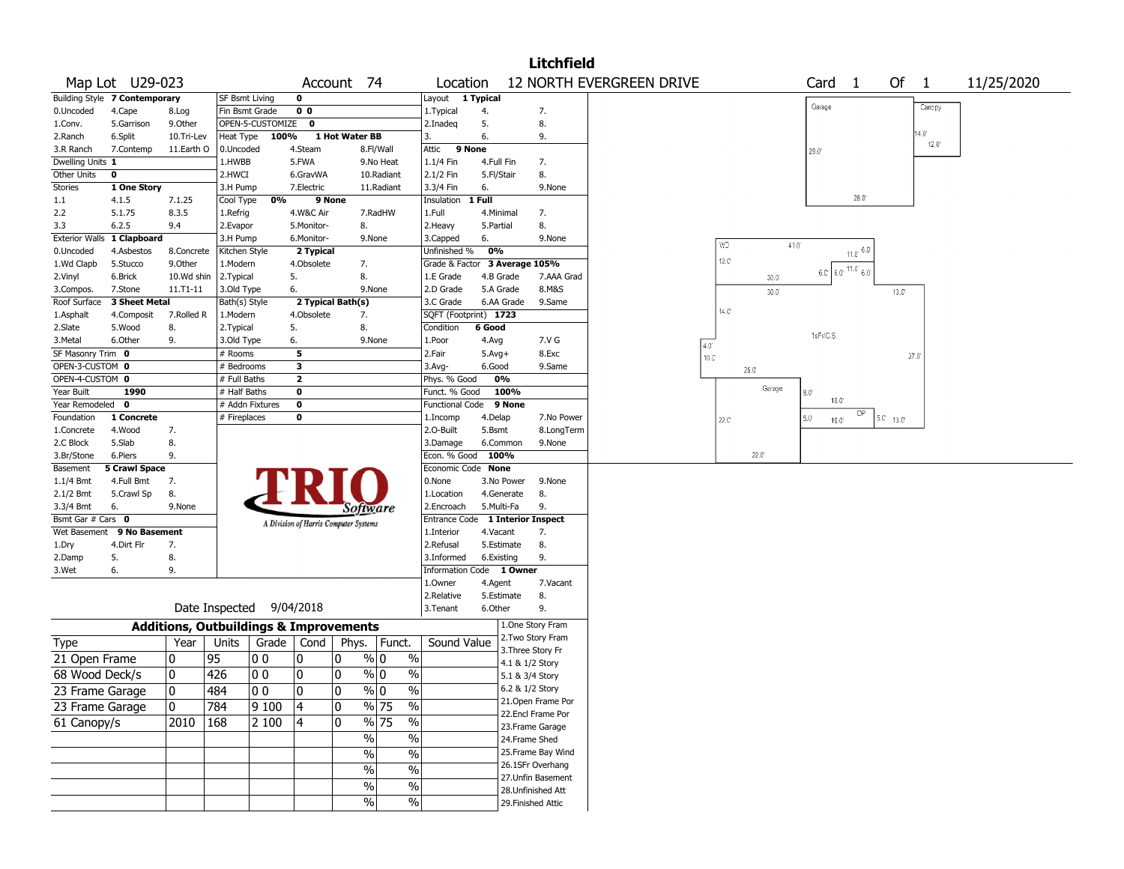|                                |                               |                                                   |                          |                          |                                       |                |                  |               |                               |            |            | <b>Litchfield</b>                       |                          |                |                |      |                          |                |                |                         |            |
|--------------------------------|-------------------------------|---------------------------------------------------|--------------------------|--------------------------|---------------------------------------|----------------|------------------|---------------|-------------------------------|------------|------------|-----------------------------------------|--------------------------|----------------|----------------|------|--------------------------|----------------|----------------|-------------------------|------------|
|                                | Map Lot U29-023               |                                                   |                          |                          | Account 74                            |                |                  |               | Location                      |            |            |                                         | 12 NORTH EVERGREEN DRIVE |                |                |      | Card                     | $\overline{1}$ | Of 1           |                         | 11/25/2020 |
|                                | Building Style 7 Contemporary |                                                   | <b>SF Bsmt Living</b>    |                          | 0                                     |                |                  |               | Layout 1 Typical              |            |            |                                         |                          |                |                |      |                          |                |                |                         |            |
| 0.Uncoded                      | 4.Cape                        | 8.Log                                             | Fin Bsmt Grade           |                          | 0 <sub>0</sub>                        |                |                  |               | 1.Typical                     | 4.         |            | 7.                                      |                          |                |                |      | Garage                   |                |                | Canopy                  |            |
| 1.Conv.                        | 5.Garrison                    | 9.Other                                           |                          | OPEN-5-CUSTOMIZE         | 0                                     |                |                  |               | 2.Inadeq                      | 5.         |            | 8.                                      |                          |                |                |      |                          |                |                |                         |            |
| 2.Ranch                        | 6.Split                       | 10.Tri-Lev                                        | Heat Type                | 100%                     |                                       | 1 Hot Water BB |                  | 3.            |                               | 6.         |            | 9.                                      |                          |                |                |      |                          |                |                | 14.0'<br>$12.0^{\circ}$ |            |
| 3.R Ranch                      | 7.Contemp                     | 11.Earth O                                        | 0.Uncoded                |                          | 4.Steam                               |                | 8.Fl/Wall        |               | 9 None<br>Attic               |            |            |                                         |                          |                |                |      | 28.0                     |                |                |                         |            |
| Dwelling Units 1               |                               |                                                   | 1.HWBB                   |                          | 5.FWA                                 |                | 9.No Heat        |               | 1.1/4 Fin                     | 4.Full Fin |            | 7.                                      |                          |                |                |      |                          |                |                |                         |            |
| Other Units                    | 0                             |                                                   | 2.HWCI                   |                          | 6.GravWA                              |                | 10.Radiant       |               | 2.1/2 Fin                     | 5.Fl/Stair |            | 8.                                      |                          |                |                |      |                          |                |                |                         |            |
| Stories                        | 1 One Story                   |                                                   | 3.H Pump                 |                          | 7.Electric                            |                | 11.Radiant       |               | 3.3/4 Fin                     | 6.         |            | 9.None                                  |                          |                |                |      |                          |                |                |                         |            |
| 1.1                            | 4.1.5                         | 7.1.25                                            | Cool Type                | 0%                       | 9 None                                |                |                  |               | Insulation                    | 1 Full     |            |                                         |                          |                |                |      |                          | 28.0'          |                |                         |            |
| 2.2                            | 5.1.75                        | 8.3.5                                             | 1.Refrig                 |                          | 4.W&C Air                             |                | 7.RadHW          |               | 1.Full                        | 4.Minimal  |            | 7.                                      |                          |                |                |      |                          |                |                |                         |            |
| 3.3                            | 6.2.5                         | 9.4                                               | 2.Evapor                 |                          | 5.Monitor-                            |                | 8.               |               | 2. Heavy                      | 5.Partial  |            | 8.                                      |                          |                |                |      |                          |                |                |                         |            |
| <b>Exterior Walls</b>          | 1 Clapboard                   |                                                   | 3.H Pump                 |                          | 6.Monitor-                            |                | 9.None           |               | 3.Capped                      | 6.         |            | 9.None                                  |                          | WD             |                | 41.0 |                          |                |                |                         |            |
| 0.Uncoded                      | 4.Asbestos                    | 8.Concrete                                        | Kitchen Style            |                          | 2 Typical                             |                |                  |               | Unfinished %                  | 0%         |            |                                         |                          | 12.C           |                |      |                          | $11.0^{6.0}$   |                |                         |            |
| 1.Wd Clapb                     | 5.Stucco                      | 9.0ther                                           | 1.Modern                 |                          | 4.Obsolete                            |                | 7.               |               | Grade & Factor 3 Average 105% |            |            |                                         |                          |                |                |      | $6.0$ $6.0$ $11.0$ $6.0$ |                |                |                         |            |
| 2.Vinyl                        | 6.Brick<br>7.Stone            | 10.Wd shin<br>11.T1-11                            | 2. Typical<br>3.Old Type |                          | 5.<br>6.                              |                | 8.<br>9.None     |               | 1.E Grade<br>2.D Grade        | 4.B Grade  | 5.A Grade  | 7.AAA Grad<br>8.M&S                     |                          |                | 30.0           |      |                          |                |                |                         |            |
| 3.Compos.<br>Roof Surface      | 3 Sheet Metal                 |                                                   | Bath(s) Style            |                          | 2 Typical Bath(s)                     |                |                  |               | 3.C Grade                     |            | 6.AA Grade | 9.Same                                  |                          |                | $30.0^{\circ}$ |      |                          |                | $13.0^{\circ}$ |                         |            |
| 1.Asphalt                      | 4.Composit                    | 7.Rolled R                                        | 1.Modern                 |                          | 4.Obsolete                            |                | 7.               |               | SQFT (Footprint) 1723         |            |            |                                         |                          | $14.0^{\circ}$ |                |      |                          |                |                |                         |            |
| 2.Slate                        | 5.Wood                        | 8.                                                | 2.Typical                |                          | 5.                                    |                | 8.               |               | Condition                     | 6 Good     |            |                                         |                          |                |                |      |                          |                |                |                         |            |
| 3.Metal                        | 6.Other                       | 9.                                                | 3.Old Type               |                          | 6.                                    |                | 9.None           |               | 1.Poor                        | 4.Avg      |            | 7.V G                                   |                          |                |                |      | 1sFr/C.S                 |                |                |                         |            |
| SF Masonry Trim 0              |                               |                                                   | # Rooms                  |                          | 5                                     |                |                  |               | 2.Fair                        | $5.Avg+$   |            | 8.Exc                                   | $4.0^\circ$              |                |                |      |                          |                |                | 37.0                    |            |
| OPEN-3-CUSTOM 0                |                               |                                                   | # Bedrooms               |                          | 3                                     |                |                  |               | 3.Avg-                        | 6.Good     |            | 9.Same                                  | $10.0^\circ$             |                | 26.0'          |      |                          |                |                |                         |            |
| OPEN-4-CUSTOM 0                |                               |                                                   | # Full Baths             |                          | $\mathbf{z}$                          |                |                  |               | Phys. % Good                  |            | 0%         |                                         |                          |                |                |      |                          |                |                |                         |            |
| Year Built                     | 1990                          |                                                   | # Half Baths             |                          | $\mathbf 0$                           |                |                  |               | Funct. % Good                 |            | 100%       |                                         |                          |                | Garage         |      | 8.0                      |                |                |                         |            |
| Year Remodeled 0               |                               |                                                   |                          | # Addn Fixtures          | $\mathbf 0$                           |                |                  |               | Functional Code               |            | 9 None     |                                         |                          |                |                |      | 19.0                     |                |                |                         |            |
| Foundation                     | 1 Concrete                    |                                                   | # Fireplaces             |                          | 0                                     |                |                  |               | 1.Incomp                      | 4.Delap    |            | 7.No Power                              |                          | 22.C           |                |      | $5.0^{\circ}$<br>19.0    | ОP             | $5.0 - 13.0$   |                         |            |
| 1.Concrete                     | 4.Wood                        | 7.                                                |                          |                          |                                       |                |                  |               | 2.O-Built                     | 5.Bsmt     |            | 8.LongTerm                              |                          |                |                |      |                          |                |                |                         |            |
| 2.C Block                      | 5.Slab                        | 8.                                                |                          |                          |                                       |                |                  |               | 3.Damage                      |            | 6.Common   | 9.None                                  |                          |                |                |      |                          |                |                |                         |            |
| 3.Br/Stone                     | 6.Piers                       | 9.                                                |                          |                          |                                       |                |                  |               | Econ. % Good                  | 100%       |            |                                         |                          |                | $22.0^{\circ}$ |      |                          |                |                |                         |            |
| Basement                       | <b>5 Crawl Space</b>          |                                                   |                          |                          |                                       |                |                  |               | Economic Code None            |            |            |                                         |                          |                |                |      |                          |                |                |                         |            |
| $1.1/4$ Bmt                    | 4.Full Bmt                    | 7.                                                |                          |                          |                                       |                |                  |               | 0.None                        |            | 3.No Power | 9.None                                  |                          |                |                |      |                          |                |                |                         |            |
| 2.1/2 Bmt                      | 5.Crawl Sp                    | 8.                                                |                          |                          |                                       |                |                  |               | 1.Location                    |            | 4.Generate | 8.<br>9.                                |                          |                |                |      |                          |                |                |                         |            |
| 3.3/4 Bmt<br>Bsmt Gar # Cars 0 | 6.                            | 9.None                                            |                          |                          |                                       |                | Software         |               | 2.Encroach<br>Entrance Code   | 5.Multi-Fa |            | <b>1 Interior Inspect</b>               |                          |                |                |      |                          |                |                |                         |            |
| Wet Basement                   | 9 No Basement                 |                                                   |                          |                          | A Division of Harris Computer Systems |                |                  |               | 1.Interior                    | 4.Vacant   |            | 7.                                      |                          |                |                |      |                          |                |                |                         |            |
| 1.Dry                          | 4.Dirt Flr                    | 7.                                                |                          |                          |                                       |                |                  |               | 2.Refusal                     |            | 5.Estimate | 8.                                      |                          |                |                |      |                          |                |                |                         |            |
| 2.Damp                         | 5.                            | 8.                                                |                          |                          |                                       |                |                  |               | 3.Informed                    | 6.Existing |            | 9.                                      |                          |                |                |      |                          |                |                |                         |            |
| 3.Wet                          | 6.                            | 9.                                                |                          |                          |                                       |                |                  |               | Information Code 1 Owner      |            |            |                                         |                          |                |                |      |                          |                |                |                         |            |
|                                |                               |                                                   |                          |                          |                                       |                |                  |               | 1.Owner                       | 4.Agent    |            | 7.Vacant                                |                          |                |                |      |                          |                |                |                         |            |
|                                |                               |                                                   |                          |                          |                                       |                |                  |               | 2.Relative                    |            | 5.Estimate | 8.                                      |                          |                |                |      |                          |                |                |                         |            |
|                                |                               |                                                   |                          | Date Inspected 9/04/2018 |                                       |                |                  |               | 3.Tenant                      | 6.Other    |            | 9.                                      |                          |                |                |      |                          |                |                |                         |            |
|                                |                               | <b>Additions, Outbuildings &amp; Improvements</b> |                          |                          |                                       |                |                  |               |                               |            |            | 1.One Story Fram                        |                          |                |                |      |                          |                |                |                         |            |
| Type                           |                               | Year                                              | Units                    | Grade   Cond             |                                       | Phys.          | Funct.           |               | Sound Value                   |            |            | 2. Two Story Fram                       |                          |                |                |      |                          |                |                |                         |            |
| 21 Open Frame                  |                               | 0                                                 | 95                       | O O                      | 0                                     | 0              | $\%$ 0           | $\%$          |                               |            |            | 3. Three Story Fr                       |                          |                |                |      |                          |                |                |                         |            |
|                                |                               |                                                   |                          |                          |                                       |                | $\%$ 0           |               |                               |            |            | 4.1 & 1/2 Story                         |                          |                |                |      |                          |                |                |                         |            |
| 68 Wood Deck/s                 |                               | 0                                                 | 426                      | 00                       | 0                                     | 0              |                  | $\%$          |                               |            |            | 5.1 & 3/4 Story                         |                          |                |                |      |                          |                |                |                         |            |
| 23 Frame Garage                |                               | $\overline{\mathbf{0}}$                           | 484                      | $\overline{)00}$         | $ 0\rangle$                           | $\overline{0}$ | $\sqrt[9]{0}$    | $\sqrt{96}$   |                               |            |            | 6.2 & 1/2 Story                         |                          |                |                |      |                          |                |                |                         |            |
| 23 Frame Garage                |                               | 0                                                 | 784                      | 9100                     | 4                                     | 0              | $\frac{9}{6}$ 75 | $\%$          |                               |            |            | 21. Open Frame Por<br>22.Encl Frame Por |                          |                |                |      |                          |                |                |                         |            |
| 61 Canopy/s                    |                               | 2010                                              | 168                      | 2 100                    | 14                                    | 0              | $\frac{9}{6}$ 75 | %             |                               |            |            | 23. Frame Garage                        |                          |                |                |      |                          |                |                |                         |            |
|                                |                               |                                                   |                          |                          |                                       |                | %                | %             |                               |            |            | 24.Frame Shed                           |                          |                |                |      |                          |                |                |                         |            |
|                                |                               |                                                   |                          |                          |                                       |                | $\frac{9}{6}$    | $\sqrt{6}$    |                               |            |            | 25.Frame Bay Wind                       |                          |                |                |      |                          |                |                |                         |            |
|                                |                               |                                                   |                          |                          |                                       |                | $\sqrt{6}$       | $\frac{0}{6}$ |                               |            |            | 26.1SFr Overhang                        |                          |                |                |      |                          |                |                |                         |            |
|                                |                               |                                                   |                          |                          |                                       |                |                  |               |                               |            |            | 27.Unfin Basement                       |                          |                |                |      |                          |                |                |                         |            |
|                                |                               |                                                   |                          |                          |                                       |                | $\frac{9}{6}$    | $\frac{0}{6}$ |                               |            |            | 28.Unfinished Att                       |                          |                |                |      |                          |                |                |                         |            |
|                                |                               |                                                   |                          |                          |                                       |                | $\%$             | $\frac{9}{6}$ |                               |            |            | 29. Finished Attic                      |                          |                |                |      |                          |                |                |                         |            |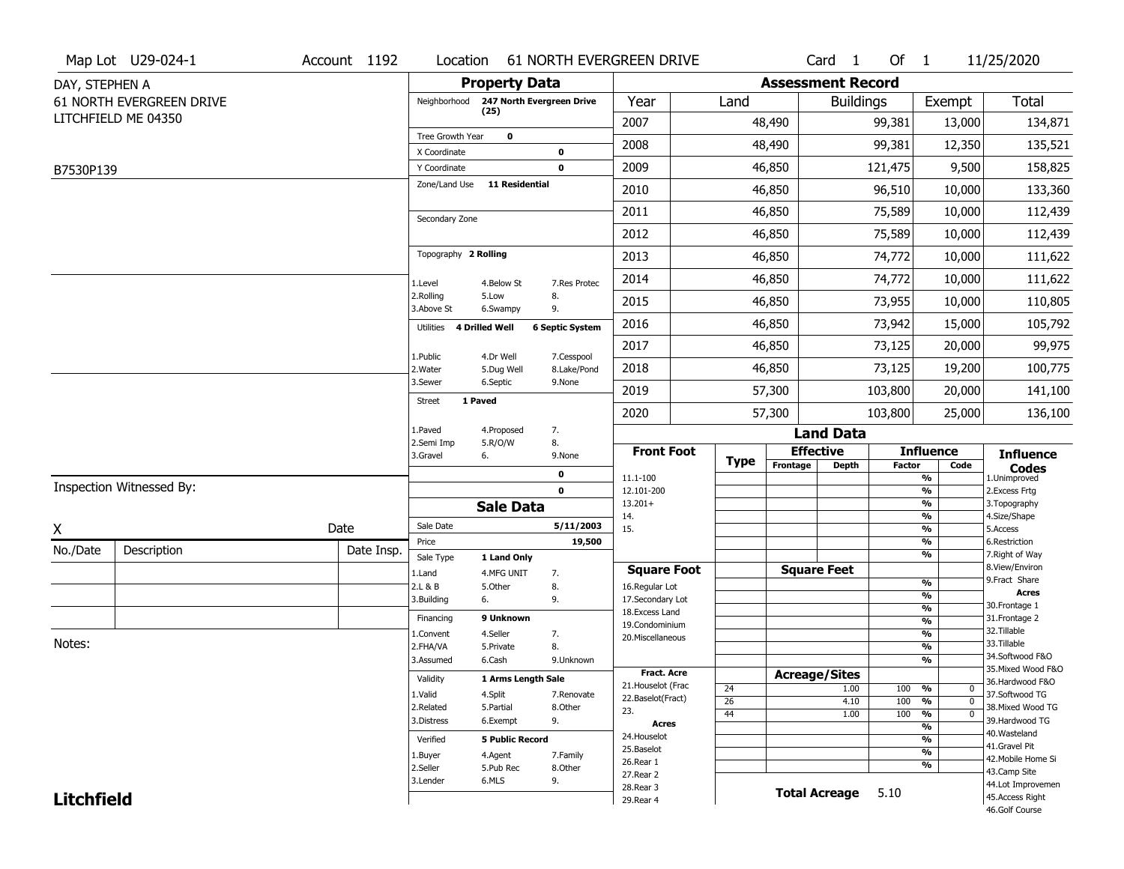|                   | Map Lot U29-024-1        | Account 1192 | Location                            |                           |                        | 61 NORTH EVERGREEN DRIVE         |             |                          | Card <sub>1</sub>            | Of $1$        |                                | 11/25/2020                           |
|-------------------|--------------------------|--------------|-------------------------------------|---------------------------|------------------------|----------------------------------|-------------|--------------------------|------------------------------|---------------|--------------------------------|--------------------------------------|
| DAY, STEPHEN A    |                          |              |                                     | <b>Property Data</b>      |                        |                                  |             | <b>Assessment Record</b> |                              |               |                                |                                      |
|                   | 61 NORTH EVERGREEN DRIVE |              | Neighborhood                        | 247 North Evergreen Drive |                        | Year                             | Land        |                          | <b>Buildings</b>             |               | Exempt                         | <b>Total</b>                         |
|                   | LITCHFIELD ME 04350      |              |                                     | (25)                      |                        | 2007                             |             | 48,490                   |                              | 99,381        | 13,000                         | 134,871                              |
|                   |                          |              | Tree Growth Year                    | $\mathbf 0$               |                        | 2008                             |             | 48,490                   |                              | 99,381        | 12,350                         | 135,521                              |
|                   |                          |              | X Coordinate                        |                           | $\mathbf 0$            |                                  |             |                          |                              |               |                                |                                      |
| B7530P139         |                          |              | Y Coordinate<br>Zone/Land Use       | 11 Residential            | $\mathbf 0$            | 2009                             |             | 46,850                   |                              | 121,475       | 9,500                          | 158,825                              |
|                   |                          |              |                                     |                           |                        | 2010                             |             | 46,850                   |                              | 96,510        | 10,000                         | 133,360                              |
|                   |                          |              | Secondary Zone                      |                           |                        | 2011                             |             | 46,850                   |                              | 75,589        | 10,000                         | 112,439                              |
|                   |                          |              |                                     |                           |                        | 2012                             |             | 46,850                   |                              | 75,589        | 10,000                         | 112,439                              |
|                   |                          |              | Topography 2 Rolling                |                           |                        | 2013                             |             | 46,850                   |                              | 74,772        | 10,000                         | 111,622                              |
|                   |                          |              | 1.Level                             | 4.Below St                | 7.Res Protec           | 2014                             |             | 46,850                   |                              | 74,772        | 10,000                         | 111,622                              |
|                   |                          |              | 2.Rolling<br>3.Above St             | 5.Low<br>6.Swampy         | 8.<br>9.               | 2015                             |             | 46,850                   |                              | 73,955        | 10,000                         | 110,805                              |
|                   |                          |              | Utilities 4 Drilled Well            |                           | <b>6 Septic System</b> | 2016                             |             | 46,850                   |                              | 73,942        | 15,000                         | 105,792                              |
|                   |                          |              | 1.Public                            | 4.Dr Well                 | 7.Cesspool             | 2017                             |             | 46,850                   |                              | 73,125        | 20,000                         | 99,975                               |
|                   |                          |              | 2. Water                            | 5.Dug Well                | 8.Lake/Pond            | 2018                             |             | 46,850                   |                              | 73,125        | 19,200                         | 100,775                              |
|                   |                          |              | 3.Sewer<br>1 Paved<br><b>Street</b> | 6.Septic                  | 9.None                 | 2019                             |             | 57,300                   |                              | 103,800       | 20,000                         | 141,100                              |
|                   |                          |              |                                     |                           |                        | 2020                             |             | 57,300                   |                              | 103,800       | 25,000                         | 136,100                              |
|                   |                          |              | 1.Paved<br>2.Semi Imp               | 4.Proposed                | 7.<br>8.               |                                  |             |                          | <b>Land Data</b>             |               |                                |                                      |
|                   |                          |              | 3.Gravel                            | 5.R/O/W<br>6.             | 9.None                 | <b>Front Foot</b>                | <b>Type</b> |                          | <b>Effective</b>             |               | <b>Influence</b>               | <b>Influence</b>                     |
|                   |                          |              |                                     |                           | 0                      | 11.1-100                         |             | Frontage                 | <b>Depth</b>                 | <b>Factor</b> | Code<br>%                      | <b>Codes</b><br>1.Unimproved         |
|                   | Inspection Witnessed By: |              |                                     |                           | $\mathbf 0$            | 12.101-200                       |             |                          |                              |               | $\frac{9}{6}$                  | 2.Excess Frtg                        |
|                   |                          |              |                                     | <b>Sale Data</b>          |                        | $13.201+$<br>14.                 |             |                          |                              |               | %<br>%                         | 3. Topography<br>4.Size/Shape        |
| X                 |                          | Date         | Sale Date                           |                           | 5/11/2003              | 15.                              |             |                          |                              |               | $\frac{9}{6}$                  | 5.Access                             |
| No./Date          | Description              | Date Insp.   | Price                               |                           | 19,500                 |                                  |             |                          |                              |               | %<br>%                         | 6.Restriction<br>7. Right of Way     |
|                   |                          |              | Sale Type<br>1.Land                 | 1 Land Only<br>4.MFG UNIT | 7.                     | <b>Square Foot</b>               |             |                          | <b>Square Feet</b>           |               |                                | 8.View/Environ                       |
|                   |                          |              | 2.L & B                             | 5.0ther                   | 8.                     | 16.Regular Lot                   |             |                          |                              |               | $\frac{9}{6}$                  | 9.Fract Share                        |
|                   |                          |              | 3.Building                          | 6.                        | 9.                     | 17.Secondary Lot                 |             |                          |                              |               | $\frac{9}{6}$<br>$\frac{9}{6}$ | <b>Acres</b><br>30. Frontage 1       |
|                   |                          |              | Financing                           | 9 Unknown                 |                        | 18.Excess Land<br>19.Condominium |             |                          |                              |               | $\frac{9}{6}$                  | 31. Frontage 2                       |
|                   |                          |              | 1.Convent                           | 4.Seller                  | 7.                     | 20.Miscellaneous                 |             |                          |                              |               | $\frac{9}{6}$                  | 32. Tillable                         |
| Notes:            |                          |              | 2.FHA/VA                            | 5.Private                 | 8.                     |                                  |             |                          |                              |               | $\frac{9}{6}$                  | 33.Tillable<br>34.Softwood F&O       |
|                   |                          |              | 3.Assumed                           | 6.Cash                    | 9.Unknown              | Fract. Acre                      |             |                          |                              |               | $\frac{9}{6}$                  | 35. Mixed Wood F&O                   |
|                   |                          |              | Validity                            | 1 Arms Length Sale        |                        | 21. Houselot (Frac               |             |                          | <b>Acreage/Sites</b><br>1.00 |               | %<br>0                         | 36.Hardwood F&O                      |
|                   |                          |              | 1.Valid                             | 4.Split                   | 7.Renovate             | 22.Baselot(Fract)                | 24<br>26    |                          | 4.10                         | 100<br>100    | %<br>$\mathbf 0$               | 37.Softwood TG                       |
|                   |                          |              | 2.Related                           | 5.Partial                 | 8.Other                | 23.                              | 44          |                          | 1.00                         | 100           | %<br>$\mathbf 0$               | 38. Mixed Wood TG                    |
|                   |                          |              | 3.Distress                          | 6.Exempt                  | 9.                     | <b>Acres</b>                     |             |                          |                              |               | $\frac{9}{6}$                  | 39.Hardwood TG<br>40. Wasteland      |
|                   |                          |              | Verified                            | <b>5 Public Record</b>    |                        | 24. Houselot                     |             |                          |                              |               | $\frac{9}{6}$                  | 41.Gravel Pit                        |
|                   |                          |              | 1.Buyer                             | 4.Agent                   | 7.Family               | 25.Baselot<br>26.Rear 1          |             |                          |                              |               | $\frac{9}{6}$                  | 42. Mobile Home Si                   |
|                   |                          |              | 2.Seller                            | 5.Pub Rec                 | 8.Other                |                                  |             |                          |                              |               | %                              | 43.Camp Site                         |
|                   |                          |              |                                     |                           |                        |                                  |             |                          |                              |               |                                |                                      |
| <b>Litchfield</b> |                          |              | 3.Lender                            | 6.MLS                     | 9.                     | 27.Rear 2<br>28. Rear 3          |             |                          | <b>Total Acreage</b>         | 5.10          |                                | 44.Lot Improvemen<br>45.Access Right |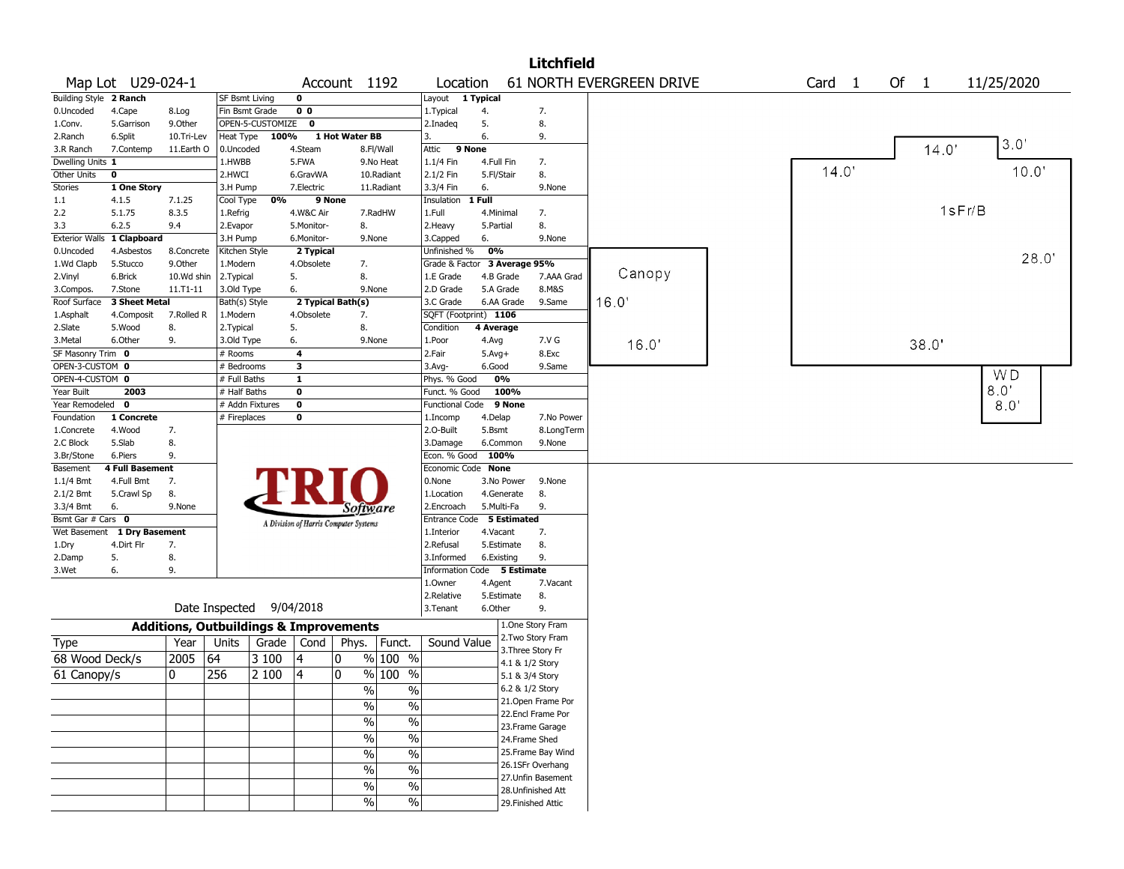|                        |                   |              |                                                   |                  |                |                                       |                          |                             |           |                    | <b>Litchfield</b>  |                          |                   |      |        |                |
|------------------------|-------------------|--------------|---------------------------------------------------|------------------|----------------|---------------------------------------|--------------------------|-----------------------------|-----------|--------------------|--------------------|--------------------------|-------------------|------|--------|----------------|
|                        | Map Lot U29-024-1 |              |                                                   |                  |                | Account 1192                          |                          | Location                    |           |                    |                    | 61 NORTH EVERGREEN DRIVE | Card <sub>1</sub> | Of 1 |        | 11/25/2020     |
| Building Style 2 Ranch |                   |              | SF Bsmt Living                                    |                  | $\mathbf 0$    |                                       |                          | Layout 1 Typical            |           |                    |                    |                          |                   |      |        |                |
| 0.Uncoded              | 4.Cape            | 8.Log        |                                                   | Fin Bsmt Grade   | 0 <sub>0</sub> |                                       |                          | 1. Typical                  | 4.        |                    | 7.                 |                          |                   |      |        |                |
| 1.Conv.                | 5.Garrison        | 9.Other      |                                                   | OPEN-5-CUSTOMIZE | $\mathbf 0$    |                                       |                          | 2.Inadeq                    | 5.        |                    | 8.                 |                          |                   |      |        |                |
| 2.Ranch                | 6.Split           | 10.Tri-Lev   | Heat Type                                         | 100%             |                | 1 Hot Water BB                        |                          | 3.                          | 6.        |                    | 9.                 |                          |                   |      |        | 3.0'           |
| 3.R Ranch              | 7.Contemp         | 11.Earth O   | 0.Uncoded                                         |                  | 4.Steam        |                                       | 8.Fl/Wall                | Attic                       | 9 None    |                    |                    |                          |                   |      | 14.0   |                |
| Dwelling Units 1       |                   |              | 1.HWBB                                            |                  | 5.FWA          |                                       | 9.No Heat                | 1.1/4 Fin                   |           | 4.Full Fin         | 7.                 |                          |                   |      |        |                |
| Other Units            | 0                 |              | 2.HWCI                                            |                  | 6.GravWA       |                                       | 10.Radiant               | 2.1/2 Fin                   |           | 5.Fl/Stair         | 8.                 |                          | 14.0'             |      |        | 10.0           |
| Stories                | 1 One Story       |              | 3.H Pump                                          |                  | 7.Electric     |                                       | 11.Radiant               | 3.3/4 Fin                   | 6.        |                    | 9.None             |                          |                   |      |        |                |
| 1.1                    | 4.1.5             | 7.1.25       | Cool Type                                         | 0%               |                | 9 None                                |                          | Insulation                  | 1 Full    |                    |                    |                          |                   |      |        |                |
| 2.2                    | 5.1.75            | 8.3.5        | 1.Refrig                                          |                  | 4.W&C Air      |                                       | 7.RadHW                  | 1.Full                      |           | 4.Minimal          | 7.                 |                          |                   |      | 1sFr/B |                |
| 3.3                    | 6.2.5             | 9.4          | 2.Evapor                                          |                  | 5.Monitor-     | 8.                                    |                          | 2. Heavy                    | 5.Partial |                    | 8.                 |                          |                   |      |        |                |
| <b>Exterior Walls</b>  | 1 Clapboard       |              | 3.H Pump                                          |                  | 6.Monitor-     |                                       | 9.None                   | 3.Capped                    | 6.        |                    | 9.None             |                          |                   |      |        |                |
| 0.Uncoded              | 4.Asbestos        | 8.Concrete   | Kitchen Style                                     |                  | 2 Typical      |                                       |                          | Unfinished %                | 0%        |                    |                    |                          |                   |      |        | 28.0           |
| 1.Wd Clapb             | 5.Stucco          | 9.Other      | 1.Modern                                          |                  | 4.Obsolete     | 7.                                    |                          | Grade & Factor              |           | 3 Average 95%      |                    |                          |                   |      |        |                |
| 2.Vinyl                | 6.Brick           | 10.Wd shin   | 2. Typical                                        |                  | 5.             | 8.                                    |                          | 1.E Grade                   |           | 4.B Grade          | 7.AAA Grad         | Canopy                   |                   |      |        |                |
| 3.Compos.              | 7.Stone           | $11.71 - 11$ | 3.Old Type                                        |                  | 6.             |                                       | 9.None                   | 2.D Grade                   |           | 5.A Grade          | 8.M&S              |                          |                   |      |        |                |
| Roof Surface           | 3 Sheet Metal     |              | Bath(s) Style                                     |                  |                | 2 Typical Bath(s)                     |                          | 3.C Grade                   |           | 6.AA Grade         | 9.Same             | 16.0"                    |                   |      |        |                |
| 1.Asphalt              | 4.Composit        | 7.Rolled R   | 1.Modern                                          |                  | 4.Obsolete     | 7.                                    |                          | SQFT (Footprint) 1106       |           |                    |                    |                          |                   |      |        |                |
| 2.Slate                | 5.Wood            | 8.           | 2. Typical                                        |                  | 5.             | 8.                                    |                          | Condition                   | 4 Average |                    |                    |                          |                   |      |        |                |
| 3.Metal                | 6.Other           | 9.           | 3.Old Type                                        |                  | 6.             |                                       | 9.None                   | 1.Poor                      | 4.Avg     |                    | 7.V G              | 16.0                     |                   |      | 38.0   |                |
| SF Masonry Trim 0      |                   |              | # Rooms                                           |                  | 4              |                                       |                          | 2.Fair                      | $5.Avg+$  |                    | 8.Exc              |                          |                   |      |        |                |
| OPEN-3-CUSTOM 0        |                   |              | # Bedrooms                                        |                  | 3              |                                       |                          | 3.Avg-                      | 6.Good    |                    | 9.Same             |                          |                   |      |        |                |
| OPEN-4-CUSTOM 0        |                   |              | # Full Baths                                      |                  | 1              |                                       |                          | Phys. % Good                |           | 0%                 |                    |                          |                   |      |        | W <sub>D</sub> |
| Year Built             | 2003              |              | # Half Baths                                      |                  | $\bf{0}$       |                                       |                          | Funct. % Good               |           | 100%               |                    |                          |                   |      |        | 8.0'           |
| Year Remodeled 0       |                   |              |                                                   | # Addn Fixtures  | $\bf{0}$       |                                       |                          | Functional Code             |           | 9 None             |                    |                          |                   |      |        | 8.0'           |
| Foundation             | 1 Concrete        |              | # Fireplaces                                      |                  | $\bf{0}$       |                                       |                          | 1.Incomp                    | 4.Delap   |                    | 7.No Power         |                          |                   |      |        |                |
| 1.Concrete             | 4.Wood            | 7.           |                                                   |                  |                |                                       |                          | 2.0-Built                   | 5.Bsmt    |                    | 8.LongTerm         |                          |                   |      |        |                |
| 2.C Block              | 5.Slab            | 8.           |                                                   |                  |                |                                       |                          | 3.Damage                    |           | 6.Common           | 9.None             |                          |                   |      |        |                |
| 3.Br/Stone             | 6.Piers           | 9.           |                                                   |                  |                |                                       |                          | Econ. % Good                |           | 100%               |                    |                          |                   |      |        |                |
| Basement               | 4 Full Basement   |              |                                                   |                  |                |                                       |                          | Economic Code None          |           |                    |                    |                          |                   |      |        |                |
| $1.1/4$ Bmt            | 4.Full Bmt        | 7.           |                                                   |                  |                |                                       |                          | 0.None                      |           | 3.No Power         | 9.None             |                          |                   |      |        |                |
| 2.1/2 Bmt              | 5.Crawl Sp        | 8.           |                                                   |                  |                |                                       |                          | 1.Location                  |           | 4.Generate         | 8.                 |                          |                   |      |        |                |
| 3.3/4 Bmt              | 6.                | 9.None       |                                                   |                  |                | Software                              |                          | 2.Encroach                  |           | 5.Multi-Fa         | 9.                 |                          |                   |      |        |                |
| Bsmt Gar # Cars 0      |                   |              |                                                   |                  |                | A Division of Harris Computer Systems |                          | <b>Entrance Code</b>        |           | <b>5 Estimated</b> |                    |                          |                   |      |        |                |
| Wet Basement           | 1 Dry Basement    |              |                                                   |                  |                |                                       |                          | 1.Interior                  |           | 4.Vacant           | 7.                 |                          |                   |      |        |                |
| 1.Dry                  | 4.Dirt Flr        | 7.           |                                                   |                  |                |                                       |                          | 2.Refusal                   |           | 5.Estimate         | 8.                 |                          |                   |      |        |                |
| 2.Damp                 | 5.                | 8.           |                                                   |                  |                |                                       |                          | 3.Informed                  |           | 6.Existing         | 9.                 |                          |                   |      |        |                |
| 3.Wet                  | 6.                | 9.           |                                                   |                  |                |                                       |                          | Information Code 5 Estimate |           |                    |                    |                          |                   |      |        |                |
|                        |                   |              |                                                   |                  |                |                                       |                          | 1.Owner                     | 4.Agent   |                    | 7.Vacant           |                          |                   |      |        |                |
|                        |                   |              |                                                   |                  |                |                                       |                          | 2.Relative                  |           | 5.Estimate         | 8.                 |                          |                   |      |        |                |
|                        |                   |              | Date Inspected                                    |                  | 9/04/2018      |                                       |                          | 3. Tenant                   | 6.Other   |                    | 9.                 |                          |                   |      |        |                |
|                        |                   |              | <b>Additions, Outbuildings &amp; Improvements</b> |                  |                |                                       |                          |                             |           |                    | 1.One Story Fram   |                          |                   |      |        |                |
| Type                   |                   | Year         | Units                                             | Grade            | Cond           |                                       | Phys.   Funct.           | Sound Value                 |           |                    | 2. Two Story Fram  |                          |                   |      |        |                |
| 68 Wood Deck/s         |                   | 2005         | 64                                                | 3 100            | 14             | 0                                     | % 100 %                  |                             |           |                    | 3. Three Story Fr  |                          |                   |      |        |                |
|                        |                   |              |                                                   |                  |                |                                       |                          |                             |           |                    | 4.1 & 1/2 Story    |                          |                   |      |        |                |
| $61$ Canopy/s          |                   | 0            | 256                                               | 2 100            | 14             | $\mathbf 0$                           | % 100<br>$\frac{0}{0}$   |                             |           | 5.1 & 3/4 Story    |                    |                          |                   |      |        |                |
|                        |                   |              |                                                   |                  |                | $\%$                                  | $\%$                     |                             |           | 6.2 & 1/2 Story    |                    |                          |                   |      |        |                |
|                        |                   |              |                                                   |                  |                | $\frac{0}{0}$                         | $\frac{0}{0}$            |                             |           |                    | 21. Open Frame Por |                          |                   |      |        |                |
|                        |                   |              |                                                   |                  |                | $\overline{\frac{0}{6}}$              | $\overline{\frac{0}{6}}$ |                             |           |                    | 22.Encl Frame Por  |                          |                   |      |        |                |
|                        |                   |              |                                                   |                  |                |                                       |                          |                             |           |                    | 23. Frame Garage   |                          |                   |      |        |                |
|                        |                   |              |                                                   |                  |                | $\%$                                  | $\%$                     |                             |           | 24.Frame Shed      |                    |                          |                   |      |        |                |
|                        |                   |              |                                                   |                  |                | $\%$                                  | $\overline{\frac{0}{0}}$ |                             |           |                    | 25. Frame Bay Wind |                          |                   |      |        |                |
|                        |                   |              |                                                   |                  |                | $\%$                                  | $\overline{\frac{0}{0}}$ |                             |           |                    | 26.1SFr Overhang   |                          |                   |      |        |                |
|                        |                   |              |                                                   |                  |                | $\%$                                  | $\overline{\frac{0}{0}}$ |                             |           |                    | 27. Unfin Basement |                          |                   |      |        |                |
|                        |                   |              |                                                   |                  |                |                                       |                          |                             |           |                    | 28. Unfinished Att |                          |                   |      |        |                |
|                        |                   |              |                                                   |                  |                | $\frac{0}{0}$                         | $\frac{1}{2}$            |                             |           |                    | 29. Finished Attic |                          |                   |      |        |                |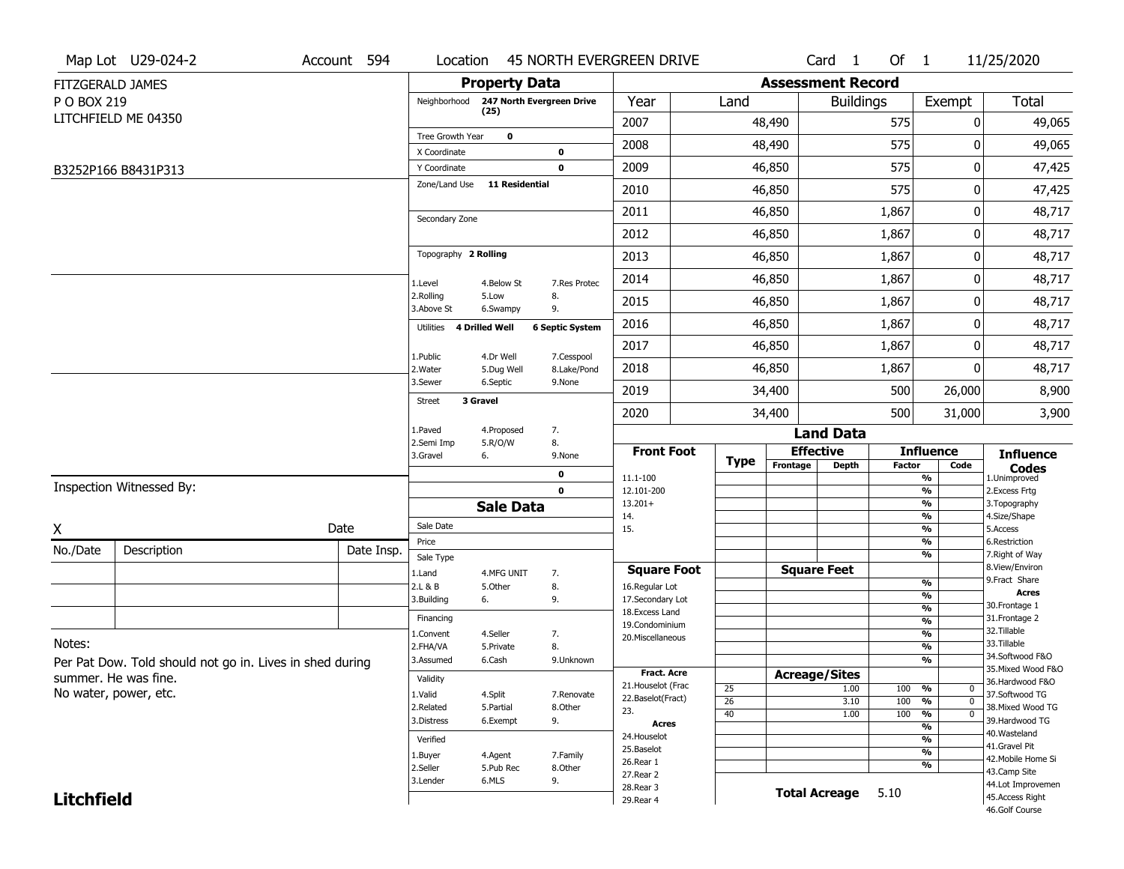|                   | Map Lot U29-024-2                                        | Account 594 | Location                                     |                       | <b>45 NORTH EVERGREEN DRIVE</b> |                                    |                       |                          | Card <sub>1</sub>    | Of $1$        |                                             | 11/25/2020                          |
|-------------------|----------------------------------------------------------|-------------|----------------------------------------------|-----------------------|---------------------------------|------------------------------------|-----------------------|--------------------------|----------------------|---------------|---------------------------------------------|-------------------------------------|
|                   | FITZGERALD JAMES                                         |             |                                              | <b>Property Data</b>  |                                 |                                    |                       | <b>Assessment Record</b> |                      |               |                                             |                                     |
| P O BOX 219       |                                                          |             | Neighborhood                                 |                       | 247 North Evergreen Drive       | Year                               | Land                  |                          | <b>Buildings</b>     |               | Exempt                                      | Total                               |
|                   | LITCHFIELD ME 04350                                      |             |                                              | (25)                  |                                 | 2007                               |                       | 48,490                   |                      | 575           | 0                                           | 49,065                              |
|                   |                                                          |             | Tree Growth Year                             | $\mathbf 0$           |                                 | 2008                               |                       | 48,490                   |                      | 575           | 0                                           | 49,065                              |
|                   |                                                          |             | X Coordinate                                 |                       | 0                               | 2009                               |                       | 46,850                   |                      | 575           | 0                                           |                                     |
|                   | B3252P166 B8431P313                                      |             | Y Coordinate<br>Zone/Land Use 11 Residential |                       | 0                               |                                    |                       |                          |                      |               |                                             | 47,425                              |
|                   |                                                          |             |                                              |                       |                                 | 2010                               |                       | 46,850                   |                      | 575           | 0                                           | 47,425                              |
|                   |                                                          |             | Secondary Zone                               |                       |                                 | 2011                               |                       | 46,850                   |                      | 1,867         | 0                                           | 48,717                              |
|                   |                                                          |             |                                              |                       |                                 | 2012                               |                       | 46,850                   |                      | 1,867         | 0                                           | 48,717                              |
|                   |                                                          |             | Topography 2 Rolling                         |                       |                                 | 2013                               |                       | 46,850                   |                      | 1,867         | 0                                           | 48,717                              |
|                   |                                                          |             | 1.Level                                      | 4.Below St            | 7.Res Protec                    | 2014                               |                       | 46,850                   |                      | 1,867         | 0                                           | 48,717                              |
|                   |                                                          |             | 2.Rolling<br>3.Above St                      | 5.Low<br>6.Swampy     | 8.<br>9.                        | 2015                               |                       | 46,850                   |                      | 1,867         | 0                                           | 48,717                              |
|                   |                                                          |             | Utilities                                    | <b>4 Drilled Well</b> | <b>6 Septic System</b>          | 2016                               |                       | 46,850                   |                      | 1,867         | 0                                           | 48,717                              |
|                   |                                                          |             | 1.Public                                     | 4.Dr Well             | 7.Cesspool                      | 2017                               |                       | 46,850                   |                      | 1,867         | 0                                           | 48,717                              |
|                   |                                                          |             | 2. Water                                     | 5.Dug Well            | 8.Lake/Pond                     | 2018                               |                       | 46,850                   |                      | 1,867         | 0                                           | 48,717                              |
|                   |                                                          |             | 3.Sewer<br>Street                            | 6.Septic<br>3 Gravel  | 9.None                          | 2019                               |                       | 34,400                   |                      | 500           | 26,000                                      | 8,900                               |
|                   |                                                          |             |                                              |                       |                                 | 2020                               |                       | 34,400                   |                      | 500           | 31,000                                      | 3,900                               |
|                   |                                                          |             | 1.Paved<br>2.Semi Imp                        | 4.Proposed<br>5.R/O/W | 7.<br>8.                        |                                    |                       |                          | <b>Land Data</b>     |               |                                             |                                     |
|                   |                                                          |             | 3.Gravel                                     | 6.                    | 9.None                          | <b>Front Foot</b>                  | <b>Type</b>           |                          | <b>Effective</b>     |               | <b>Influence</b>                            | <b>Influence</b>                    |
|                   |                                                          |             |                                              |                       | 0                               | 11.1-100                           |                       | Frontage                 | <b>Depth</b>         | <b>Factor</b> | Code<br>%                                   | <b>Codes</b><br>1.Unimproved        |
|                   | Inspection Witnessed By:                                 |             |                                              |                       | $\mathbf 0$                     | 12.101-200                         |                       |                          |                      |               | $\overline{\frac{9}{6}}$                    | 2. Excess Frtg                      |
|                   |                                                          |             |                                              | <b>Sale Data</b>      |                                 | $13.201+$<br>14.                   |                       |                          |                      |               | %<br>%                                      | 3. Topography<br>4.Size/Shape       |
| X                 |                                                          | Date        | Sale Date                                    |                       |                                 | 15.                                |                       |                          |                      |               | %<br>%                                      | 5.Access<br>6.Restriction           |
| No./Date          | Description                                              | Date Insp.  | Price<br>Sale Type                           |                       |                                 |                                    |                       |                          |                      |               | %                                           | 7. Right of Way                     |
|                   |                                                          |             | 1.Land                                       | 4.MFG UNIT            | 7.                              | <b>Square Foot</b>                 |                       |                          | <b>Square Feet</b>   |               |                                             | 8.View/Environ<br>9. Fract Share    |
|                   |                                                          |             | 2.L & B                                      | 5.Other               | 8.                              | 16.Regular Lot                     |                       |                          |                      |               | $\frac{9}{6}$<br>$\overline{\frac{9}{6}}$   | <b>Acres</b>                        |
|                   |                                                          |             | 3.Building                                   | 6.                    | 9.                              | 17.Secondary Lot<br>18.Excess Land |                       |                          |                      |               | $\frac{9}{6}$                               | 30.Frontage 1                       |
|                   |                                                          |             | Financing                                    |                       |                                 | 19.Condominium                     |                       |                          |                      |               | $\frac{9}{6}$                               | 31. Frontage 2<br>32. Tillable      |
| Notes:            |                                                          |             | 1.Convent<br>2.FHA/VA                        | 4.Seller<br>5.Private | 7.<br>8.                        | 20.Miscellaneous                   |                       |                          |                      |               | $\frac{9}{6}$<br>$\frac{9}{6}$              | 33.Tillable                         |
|                   | Per Pat Dow. Told should not go in. Lives in shed during |             | 3.Assumed                                    | 6.Cash                | 9.Unknown                       |                                    |                       |                          |                      |               | %                                           | 34.Softwood F&O                     |
|                   | summer. He was fine.                                     |             | Validity                                     |                       |                                 | Fract. Acre                        |                       | <b>Acreage/Sites</b>     |                      |               |                                             | 35. Mixed Wood F&O                  |
|                   | No water, power, etc.                                    |             | 1.Valid                                      | 4.Split               | 7.Renovate                      | 21. Houselot (Frac                 | 25                    |                          | 1.00                 | 100           | %<br>0                                      | 36.Hardwood F&O<br>37.Softwood TG   |
|                   |                                                          |             | 2.Related                                    | 5.Partial             | 8.Other                         | 22.Baselot(Fract)<br>23.           | $\overline{26}$<br>40 |                          | 3.10                 | 100<br>100    | $\frac{9}{6}$<br>$\mathbf 0$<br>$\mathbf 0$ | 38. Mixed Wood TG                   |
|                   |                                                          |             | 3.Distress                                   | 6.Exempt              | 9.                              | <b>Acres</b>                       |                       |                          | 1.00                 |               | %<br>$\frac{9}{6}$                          | 39.Hardwood TG                      |
|                   |                                                          |             | Verified                                     |                       |                                 | 24. Houselot                       |                       |                          |                      |               | %                                           | 40. Wasteland                       |
|                   |                                                          |             | 1.Buyer                                      | 4.Agent               | 7.Family                        | 25.Baselot                         |                       |                          |                      |               | %                                           | 41.Gravel Pit<br>42. Mobile Home Si |
|                   |                                                          |             | 2.Seller                                     | 5.Pub Rec             | 8.Other                         | 26.Rear 1<br>27. Rear 2            |                       |                          |                      |               | %                                           | 43.Camp Site                        |
|                   |                                                          |             | 3.Lender                                     | 6.MLS                 | 9.                              | 28. Rear 3                         |                       |                          | <b>Total Acreage</b> | 5.10          |                                             | 44.Lot Improvemen                   |
| <b>Litchfield</b> |                                                          |             |                                              |                       |                                 | 29. Rear 4                         |                       |                          |                      |               |                                             | 45.Access Right                     |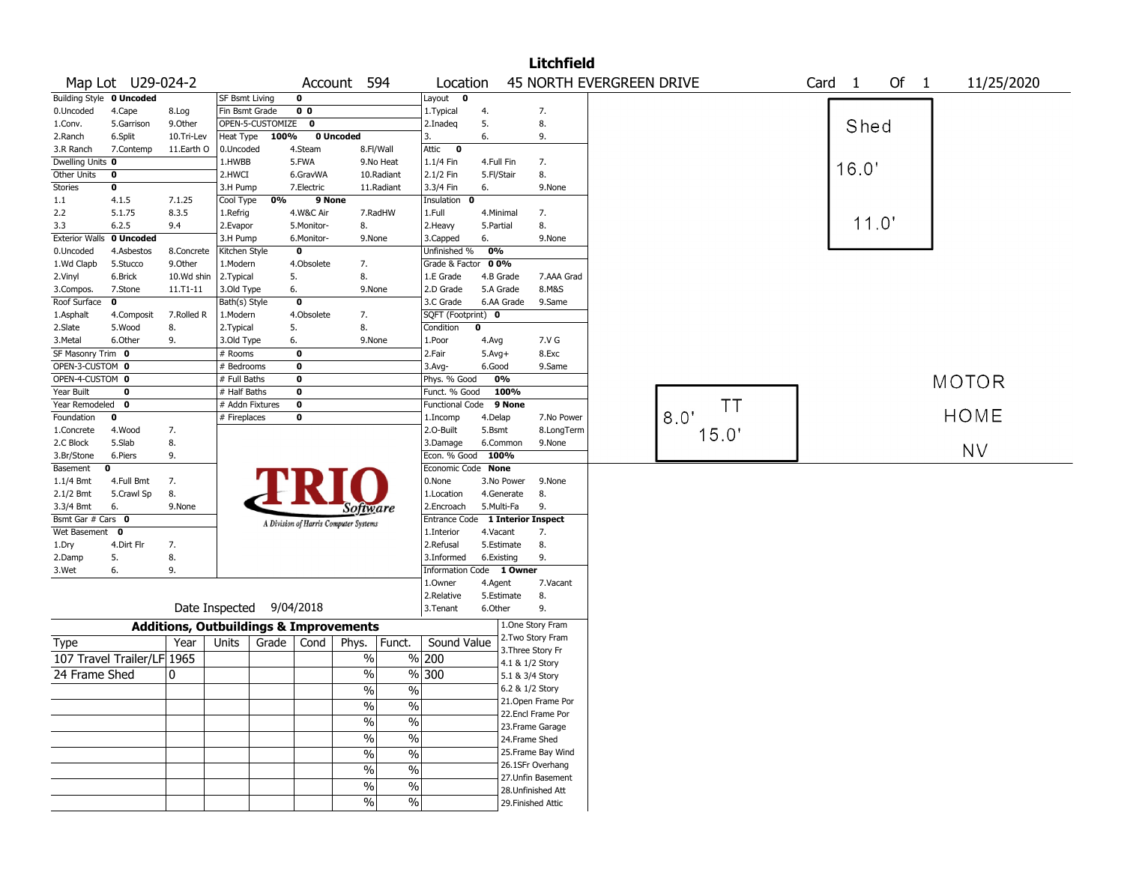|                       |                            |                                                   |                       |                  |                |                                       |                          |                          |             |                 | <b>Litchfield</b>                    |                                 |      |       |                   |       |        |  |              |  |
|-----------------------|----------------------------|---------------------------------------------------|-----------------------|------------------|----------------|---------------------------------------|--------------------------|--------------------------|-------------|-----------------|--------------------------------------|---------------------------------|------|-------|-------------------|-------|--------|--|--------------|--|
|                       | Map Lot U29-024-2          |                                                   |                       |                  |                | Account 594                           |                          | Location                 |             |                 |                                      | <b>45 NORTH EVERGREEN DRIVE</b> |      |       | Card <sub>1</sub> |       | Of $1$ |  | 11/25/2020   |  |
|                       | Building Style 0 Uncoded   |                                                   | <b>SF Bsmt Living</b> |                  | $\mathbf 0$    |                                       |                          | Layout<br>$\mathbf 0$    |             |                 |                                      |                                 |      |       |                   |       |        |  |              |  |
| 0.Uncoded             | 4.Cape                     | 8.Log                                             | Fin Bsmt Grade        |                  | 0 <sub>0</sub> |                                       |                          | 1.Typical                | 4.          |                 | 7.                                   |                                 |      |       |                   |       |        |  |              |  |
| 1.Conv.               | 5.Garrison                 | 9.0ther                                           |                       | OPEN-5-CUSTOMIZE | $\bf o$        |                                       |                          | 2.Inadeq                 | 5.          |                 | 8.                                   |                                 |      |       |                   | Shed  |        |  |              |  |
| 2.Ranch               | 6.Split                    | 10.Tri-Lev                                        | Heat Type             | 100%             |                | 0 Uncoded                             |                          | 3.                       | 6.          |                 | 9.                                   |                                 |      |       |                   |       |        |  |              |  |
| 3.R Ranch             | 7.Contemp                  | 11.Earth O                                        | 0.Uncoded             |                  | 4.Steam        |                                       | 8.Fl/Wall                | Attic<br>$\bf{0}$        |             |                 |                                      |                                 |      |       |                   |       |        |  |              |  |
| Dwelling Units 0      |                            |                                                   | 1.HWBB                |                  | 5.FWA          |                                       | 9.No Heat                | $1.1/4$ Fin              | 4.Full Fin  |                 | 7.                                   |                                 |      |       |                   | 16.0' |        |  |              |  |
| Other Units           | 0                          |                                                   | 2.HWCI                |                  | 6.GravWA       |                                       | 10.Radiant               | 2.1/2 Fin                | 5.Fl/Stair  |                 | 8.                                   |                                 |      |       |                   |       |        |  |              |  |
| Stories               | 0                          |                                                   | 3.H Pump              |                  | 7.Electric     |                                       | 11.Radiant               | 3.3/4 Fin                | 6.          |                 | 9.None                               |                                 |      |       |                   |       |        |  |              |  |
| 1.1                   | 4.1.5                      | 7.1.25                                            | Cool Type             | 0%               | 9 None         |                                       |                          | Insulation<br>0          |             |                 |                                      |                                 |      |       |                   |       |        |  |              |  |
| 2.2                   | 5.1.75                     | 8.3.5                                             | 1.Refrig              |                  | 4.W&C Air      |                                       | 7.RadHW                  | 1.Full                   | 4.Minimal   |                 | 7.                                   |                                 |      |       |                   |       |        |  |              |  |
| 3.3                   | 6.2.5                      | 9.4                                               | 2.Evapor              |                  | 5.Monitor-     | 8.                                    |                          | 2.Heavy                  | 5.Partial   |                 | 8.                                   |                                 |      |       |                   | 11.0' |        |  |              |  |
| <b>Exterior Walls</b> | 0 Uncoded                  |                                                   | 3.H Pump              |                  | 6.Monitor-     | 9.None                                |                          | 3.Capped                 | 6.          |                 | 9.None                               |                                 |      |       |                   |       |        |  |              |  |
| 0.Uncoded             | 4.Asbestos                 | 8.Concrete                                        | Kitchen Style         |                  | $\bf o$        |                                       |                          | Unfinished %             | 0%          |                 |                                      |                                 |      |       |                   |       |        |  |              |  |
| 1.Wd Clapb            | 5.Stucco                   | 9.Other                                           | 1.Modern              |                  | 4.Obsolete     | 7.                                    |                          | Grade & Factor           | 00%         |                 |                                      |                                 |      |       |                   |       |        |  |              |  |
| 2.Vinyl               | 6.Brick                    | 10.Wd shin                                        | 2. Typical            |                  | 5.             | 8.                                    |                          | 1.E Grade                | 4.B Grade   |                 | 7.AAA Grad                           |                                 |      |       |                   |       |        |  |              |  |
| 3.Compos.             | 7.Stone                    | $11. T1 - 11$                                     | 3.Old Type            |                  | 6.             | 9.None                                |                          | 2.D Grade                | 5.A Grade   |                 | 8.M&S                                |                                 |      |       |                   |       |        |  |              |  |
| Roof Surface          | $\mathbf 0$                |                                                   | Bath(s) Style         |                  | $\mathbf 0$    |                                       |                          | 3.C Grade                |             | 6.AA Grade      | 9.Same                               |                                 |      |       |                   |       |        |  |              |  |
| 1.Asphalt             | 4.Composit                 | 7.Rolled R                                        | 1.Modern              |                  | 4.Obsolete     | 7.                                    |                          | SQFT (Footprint) 0       |             |                 |                                      |                                 |      |       |                   |       |        |  |              |  |
| 2.Slate               | 5.Wood                     | 8.                                                | 2. Typical            |                  | 5.             | 8.                                    |                          | Condition                | $\mathbf 0$ |                 |                                      |                                 |      |       |                   |       |        |  |              |  |
| 3.Metal               | 6.Other                    | 9.                                                | 3.Old Type            |                  | 6.             | 9.None                                |                          | 1.Poor                   | 4.Avg       |                 | 7.V G                                |                                 |      |       |                   |       |        |  |              |  |
| SF Masonry Trim 0     |                            |                                                   | # Rooms               |                  | 0              |                                       |                          | 2.Fair                   | $5.Avg+$    |                 | 8.Exc                                |                                 |      |       |                   |       |        |  |              |  |
| OPEN-3-CUSTOM 0       |                            |                                                   | # Bedrooms            |                  | $\bf o$        |                                       |                          | 3.Avg-                   | 6.Good      |                 | 9.Same                               |                                 |      |       |                   |       |        |  |              |  |
| OPEN-4-CUSTOM 0       |                            |                                                   | # Full Baths          |                  | $\bf o$        |                                       |                          | Phys. % Good             |             | 0%              |                                      |                                 |      |       |                   |       |        |  | <b>MOTOR</b> |  |
| Year Built            | 0                          |                                                   | # Half Baths          |                  | $\pmb{0}$      |                                       |                          | Funct. % Good            |             | 100%            |                                      |                                 |      |       |                   |       |        |  |              |  |
| Year Remodeled        | $\mathbf 0$                |                                                   | # Addn Fixtures       |                  | $\pmb{0}$      |                                       |                          | <b>Functional Code</b>   |             | 9 None          |                                      |                                 |      | TΤ    |                   |       |        |  |              |  |
| Foundation            | 0                          |                                                   | # Fireplaces          |                  | $\pmb{0}$      |                                       |                          | 1.Incomp                 | 4.Delap     |                 | 7.No Power                           |                                 | 8.0' |       |                   |       |        |  | <b>HOME</b>  |  |
| 1.Concrete            | 4.Wood                     | 7.                                                |                       |                  |                |                                       |                          | 2.0-Built                | 5.Bsmt      |                 | 8.LongTerm                           |                                 |      | 15.0' |                   |       |        |  |              |  |
| 2.C Block             | 5.Slab                     | 8.                                                |                       |                  |                |                                       |                          | 3.Damage                 |             | 6.Common        | 9.None                               |                                 |      |       |                   |       |        |  | <b>NV</b>    |  |
| 3.Br/Stone            | 6.Piers                    | 9.                                                |                       |                  |                |                                       |                          | Econ. % Good 100%        |             |                 |                                      |                                 |      |       |                   |       |        |  |              |  |
| Basement              | 0                          |                                                   |                       |                  |                |                                       |                          | Economic Code None       |             |                 |                                      |                                 |      |       |                   |       |        |  |              |  |
| 1.1/4 Bmt             | 4.Full Bmt                 | 7.                                                |                       |                  |                |                                       |                          | 0.None                   |             | 3.No Power      | 9.None                               |                                 |      |       |                   |       |        |  |              |  |
| 2.1/2 Bmt             | 5.Crawl Sp                 | 8.                                                |                       |                  |                |                                       |                          | 1.Location               |             | 4.Generate      | 8.                                   |                                 |      |       |                   |       |        |  |              |  |
| 3.3/4 Bmt             | 6.                         | 9.None                                            |                       |                  |                | Software                              |                          | 2.Encroach               | 5.Multi-Fa  |                 | 9.                                   |                                 |      |       |                   |       |        |  |              |  |
| Bsmt Gar # Cars 0     |                            |                                                   |                       |                  |                | A Division of Harris Computer Systems |                          | <b>Entrance Code</b>     |             |                 | <b>1 Interior Inspect</b>            |                                 |      |       |                   |       |        |  |              |  |
| Wet Basement          | 0                          |                                                   |                       |                  |                |                                       |                          | 1.Interior               | 4.Vacant    |                 | 7.                                   |                                 |      |       |                   |       |        |  |              |  |
| 1.Dry                 | 4.Dirt Flr                 | 7.                                                |                       |                  |                |                                       |                          | 2.Refusal                |             | 5.Estimate      | 8.                                   |                                 |      |       |                   |       |        |  |              |  |
| 2.Damp                | 5.                         | 8.                                                |                       |                  |                |                                       |                          | 3.Informed               | 6.Existing  |                 | 9.                                   |                                 |      |       |                   |       |        |  |              |  |
| 3.Wet                 | 6.                         | 9.                                                |                       |                  |                |                                       |                          | Information Code 1 Owner |             |                 |                                      |                                 |      |       |                   |       |        |  |              |  |
|                       |                            |                                                   |                       |                  |                |                                       |                          | 1.Owner                  | 4.Agent     |                 | 7.Vacant                             |                                 |      |       |                   |       |        |  |              |  |
|                       |                            |                                                   |                       |                  |                |                                       |                          | 2.Relative               |             | 5.Estimate      | 8.                                   |                                 |      |       |                   |       |        |  |              |  |
|                       |                            |                                                   | Date Inspected        |                  | 9/04/2018      |                                       |                          | 3. Tenant                | 6.Other     |                 | 9.                                   |                                 |      |       |                   |       |        |  |              |  |
|                       |                            | <b>Additions, Outbuildings &amp; Improvements</b> |                       |                  |                |                                       |                          |                          |             |                 | 1.One Story Fram                     |                                 |      |       |                   |       |        |  |              |  |
| Type                  |                            | Year                                              | Units                 | Grade            | Cond           | Phys.                                 | Funct.                   | Sound Value              |             |                 | 2. Two Story Fram                    |                                 |      |       |                   |       |        |  |              |  |
|                       | 107 Travel Trailer/LF 1965 |                                                   |                       |                  |                | $\%$                                  |                          | % 200                    |             |                 | 3. Three Story Fr<br>4.1 & 1/2 Story |                                 |      |       |                   |       |        |  |              |  |
| 24 Frame Shed         |                            | 0                                                 |                       |                  |                | $\%$                                  |                          | % 300                    |             |                 | 5.1 & 3/4 Story                      |                                 |      |       |                   |       |        |  |              |  |
|                       |                            |                                                   |                       |                  |                |                                       |                          |                          |             | 6.2 & 1/2 Story |                                      |                                 |      |       |                   |       |        |  |              |  |
|                       |                            |                                                   |                       |                  |                | $\%$                                  | $\frac{0}{0}$            |                          |             |                 | 21.Open Frame Por                    |                                 |      |       |                   |       |        |  |              |  |
|                       |                            |                                                   |                       |                  |                | $\sqrt{20}$                           | $\frac{0}{0}$            |                          |             |                 | 22.Encl Frame Por                    |                                 |      |       |                   |       |        |  |              |  |
|                       |                            |                                                   |                       |                  |                | $\frac{0}{6}$                         | $\overline{\frac{0}{0}}$ |                          |             |                 | 23. Frame Garage                     |                                 |      |       |                   |       |        |  |              |  |
|                       |                            |                                                   |                       |                  |                | $\sqrt{6}$                            | $\overline{\frac{0}{0}}$ |                          |             |                 | 24.Frame Shed                        |                                 |      |       |                   |       |        |  |              |  |
|                       |                            |                                                   |                       |                  |                |                                       |                          |                          |             |                 | 25. Frame Bay Wind                   |                                 |      |       |                   |       |        |  |              |  |
|                       |                            |                                                   |                       |                  |                | $\frac{1}{2}$                         | $\overline{\frac{0}{0}}$ |                          |             |                 | 26.1SFr Overhang                     |                                 |      |       |                   |       |        |  |              |  |
|                       |                            |                                                   |                       |                  |                | $\sqrt{20}$                           | $\%$                     |                          |             |                 | 27. Unfin Basement                   |                                 |      |       |                   |       |        |  |              |  |
|                       |                            |                                                   |                       |                  |                | $\%$                                  | $\%$                     |                          |             |                 | 28. Unfinished Att                   |                                 |      |       |                   |       |        |  |              |  |
|                       |                            |                                                   |                       |                  |                | $\sqrt{20}$                           | $\%$                     |                          |             |                 | 29. Finished Attic                   |                                 |      |       |                   |       |        |  |              |  |
|                       |                            |                                                   |                       |                  |                |                                       |                          |                          |             |                 |                                      |                                 |      |       |                   |       |        |  |              |  |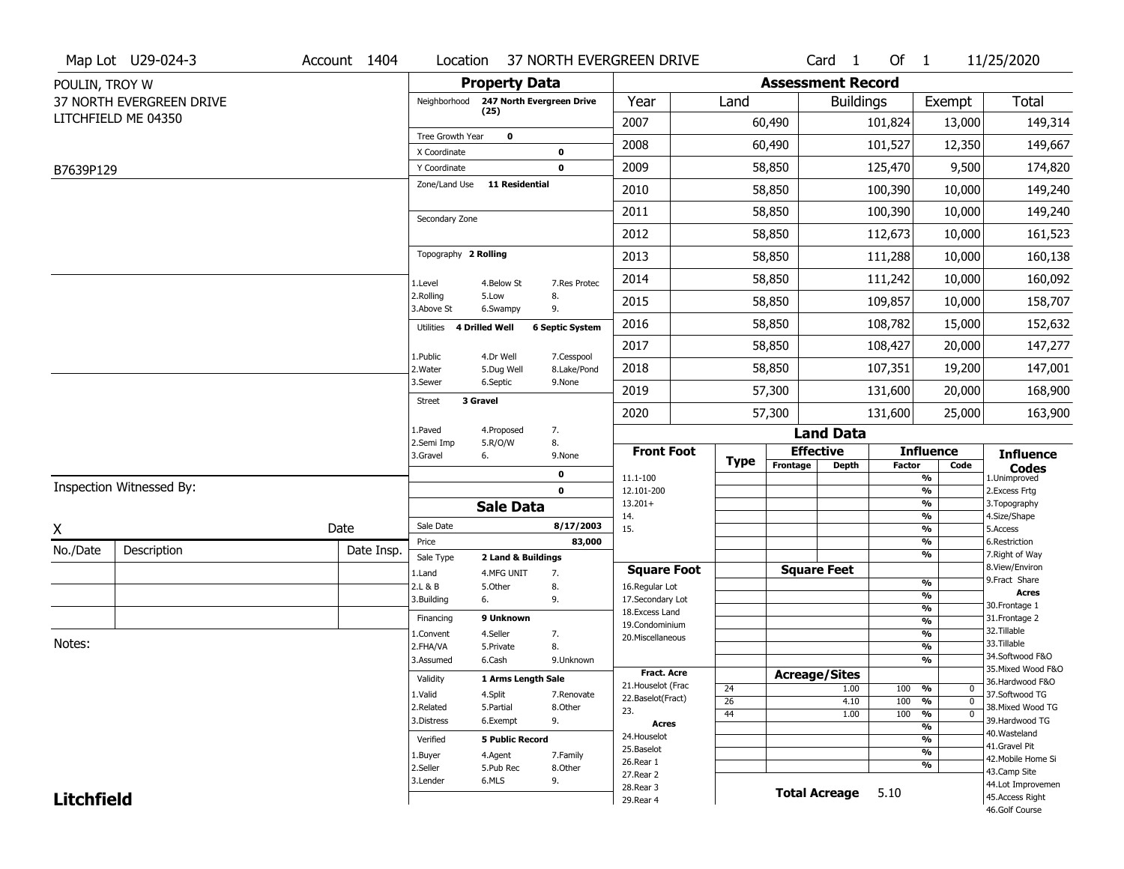|                   | Map Lot U29-024-3        | Account 1404 | Location                     |                           |                            | 37 NORTH EVERGREEN DRIVE                |             |                          | Card <sub>1</sub>    | Of $1$        |                                                  | 11/25/2020                            |
|-------------------|--------------------------|--------------|------------------------------|---------------------------|----------------------------|-----------------------------------------|-------------|--------------------------|----------------------|---------------|--------------------------------------------------|---------------------------------------|
| POULIN, TROY W    |                          |              |                              | <b>Property Data</b>      |                            |                                         |             | <b>Assessment Record</b> |                      |               |                                                  |                                       |
|                   | 37 NORTH EVERGREEN DRIVE |              | Neighborhood                 | 247 North Evergreen Drive |                            | Year                                    | Land        |                          | <b>Buildings</b>     |               | Exempt                                           | <b>Total</b>                          |
|                   | LITCHFIELD ME 04350      |              |                              | (25)                      |                            | 2007                                    |             | 60,490                   |                      | 101,824       | 13,000                                           | 149,314                               |
|                   |                          |              | Tree Growth Year             | $\mathbf 0$               |                            | 2008                                    |             | 60,490                   |                      | 101,527       | 12,350                                           | 149,667                               |
| B7639P129         |                          |              | X Coordinate<br>Y Coordinate |                           | $\mathbf 0$<br>$\mathbf 0$ | 2009                                    |             | 58,850                   |                      | 125,470       | 9,500                                            | 174,820                               |
|                   |                          |              | Zone/Land Use                | <b>11 Residential</b>     |                            | 2010                                    |             | 58,850                   |                      | 100,390       | 10,000                                           | 149,240                               |
|                   |                          |              |                              |                           |                            |                                         |             |                          |                      |               |                                                  |                                       |
|                   |                          |              | Secondary Zone               |                           |                            | 2011                                    |             | 58,850                   |                      | 100,390       | 10,000                                           | 149,240                               |
|                   |                          |              |                              |                           |                            | 2012                                    |             | 58,850                   |                      | 112,673       | 10,000                                           | 161,523                               |
|                   |                          |              | Topography 2 Rolling         |                           |                            | 2013                                    |             | 58,850                   |                      | 111,288       | 10,000                                           | 160,138                               |
|                   |                          |              | 1.Level                      | 4.Below St                | 7.Res Protec               | 2014                                    |             | 58,850                   |                      | 111,242       | 10,000                                           | 160,092                               |
|                   |                          |              | 2.Rolling<br>3.Above St      | 5.Low<br>6.Swampy         | 8.<br>9.                   | 2015                                    |             | 58,850                   |                      | 109,857       | 10,000                                           | 158,707                               |
|                   |                          |              | Utilities 4 Drilled Well     |                           | <b>6 Septic System</b>     | 2016                                    |             | 58,850                   |                      | 108,782       | 15,000                                           | 152,632                               |
|                   |                          |              | 1.Public                     | 4.Dr Well                 | 7.Cesspool                 | 2017                                    |             | 58,850                   |                      | 108,427       | 20,000                                           | 147,277                               |
|                   |                          |              | 2. Water                     | 5.Dug Well                | 8.Lake/Pond                | 2018                                    |             | 58,850                   |                      | 107,351       | 19,200                                           | 147,001                               |
|                   |                          |              | 3.Sewer                      | 6.Septic                  | 9.None                     | 2019                                    |             | 57,300                   |                      | 131,600       | 20,000                                           | 168,900                               |
|                   |                          |              | 3 Gravel<br><b>Street</b>    |                           |                            | 2020                                    |             | 57,300                   |                      | 131,600       | 25,000                                           | 163,900                               |
|                   |                          |              | 1.Paved                      | 4.Proposed                | 7.                         |                                         |             |                          | <b>Land Data</b>     |               |                                                  |                                       |
|                   |                          |              | 2.Semi Imp<br>3.Gravel       | 5.R/O/W<br>6.             | 8.<br>9.None               | <b>Front Foot</b>                       |             |                          | <b>Effective</b>     |               | <b>Influence</b>                                 | <b>Influence</b>                      |
|                   |                          |              |                              |                           | 0                          | 11.1-100                                | <b>Type</b> | Frontage                 | <b>Depth</b>         | <b>Factor</b> | Code<br>%                                        | <b>Codes</b><br>1.Unimproved          |
|                   | Inspection Witnessed By: |              |                              |                           | $\mathbf 0$                | 12.101-200                              |             |                          |                      |               | %                                                | 2.Excess Frtg                         |
|                   |                          |              |                              | <b>Sale Data</b>          |                            | $13.201+$<br>14.                        |             |                          |                      |               | $\frac{9}{6}$<br>%                               | 3. Topography<br>4.Size/Shape         |
| χ                 |                          | Date         | Sale Date                    |                           | 8/17/2003                  | 15.                                     |             |                          |                      |               | $\frac{9}{6}$                                    | 5.Access                              |
| No./Date          | Description              | Date Insp.   | Price                        |                           | 83,000                     |                                         |             |                          |                      |               | $\frac{9}{6}$<br>$\frac{9}{6}$                   | 6.Restriction<br>7. Right of Way      |
|                   |                          |              | Sale Type                    | 2 Land & Buildings        |                            | <b>Square Foot</b>                      |             |                          | <b>Square Feet</b>   |               |                                                  | 8.View/Environ                        |
|                   |                          |              | 1.Land<br>2.L & B            | 4.MFG UNIT<br>5.Other     | 7.<br>8.                   | 16.Regular Lot                          |             |                          |                      |               | $\frac{9}{6}$                                    | 9.Fract Share                         |
|                   |                          |              | 3.Building                   | 6.                        | 9.                         | 17.Secondary Lot                        |             |                          |                      |               | %                                                | <b>Acres</b><br>30.Frontage 1         |
|                   |                          |              | Financing                    | 9 Unknown                 |                            | 18. Excess Land                         |             |                          |                      |               | $\frac{9}{6}$<br>$\frac{9}{6}$                   | 31. Frontage 2                        |
|                   |                          |              | 1.Convent                    | 4.Seller                  | 7.                         | 19.Condominium<br>20.Miscellaneous      |             |                          |                      |               | $\frac{9}{6}$                                    | 32.Tillable                           |
| Notes:            |                          |              | 2.FHA/VA                     | 5.Private                 | 8.                         |                                         |             |                          |                      |               | $\frac{9}{6}$                                    | 33.Tillable                           |
|                   |                          |              | 3.Assumed                    | 6.Cash                    | 9.Unknown                  |                                         |             |                          |                      |               | %                                                | 34.Softwood F&O                       |
|                   |                          |              | Validity                     | 1 Arms Length Sale        |                            | Fract. Acre                             |             |                          | <b>Acreage/Sites</b> |               |                                                  | 35. Mixed Wood F&O<br>36.Hardwood F&O |
|                   |                          |              | 1.Valid                      | 4.Split                   | 7.Renovate                 | 21. Houselot (Frac<br>22.Baselot(Fract) | 24          |                          | 1.00                 | 100           | %<br>0                                           | 37.Softwood TG                        |
|                   |                          |              | 2.Related                    | 5.Partial                 | 8.Other                    | 23.                                     | 26          |                          | 4.10                 | 100           | %<br>$\mathbf 0$<br>$\frac{9}{6}$<br>$\mathbf 0$ | 38. Mixed Wood TG                     |
|                   |                          |              | 3.Distress                   | 6.Exempt                  | 9.                         | <b>Acres</b>                            | 44          |                          | 1.00                 | 100           | $\frac{9}{6}$                                    | 39.Hardwood TG                        |
|                   |                          |              | Verified                     | <b>5 Public Record</b>    |                            | 24. Houselot                            |             |                          |                      |               | %                                                | 40. Wasteland                         |
|                   |                          |              | 1.Buyer                      | 4.Agent                   | 7.Family                   | 25.Baselot                              |             |                          |                      |               | $\frac{9}{6}$                                    | 41.Gravel Pit<br>42. Mobile Home Si   |
|                   |                          |              | 2.Seller                     | 5.Pub Rec                 | 8.Other                    | 26.Rear 1                               |             |                          |                      |               | %                                                | 43.Camp Site                          |
|                   |                          |              | 3.Lender                     | 6.MLS                     | 9.                         | 27. Rear 2<br>28. Rear 3                |             |                          |                      |               |                                                  | 44.Lot Improvemen                     |
| <b>Litchfield</b> |                          |              |                              |                           |                            |                                         |             |                          |                      |               |                                                  |                                       |
|                   |                          |              |                              |                           |                            | 29. Rear 4                              |             |                          | <b>Total Acreage</b> | 5.10          |                                                  | 45.Access Right                       |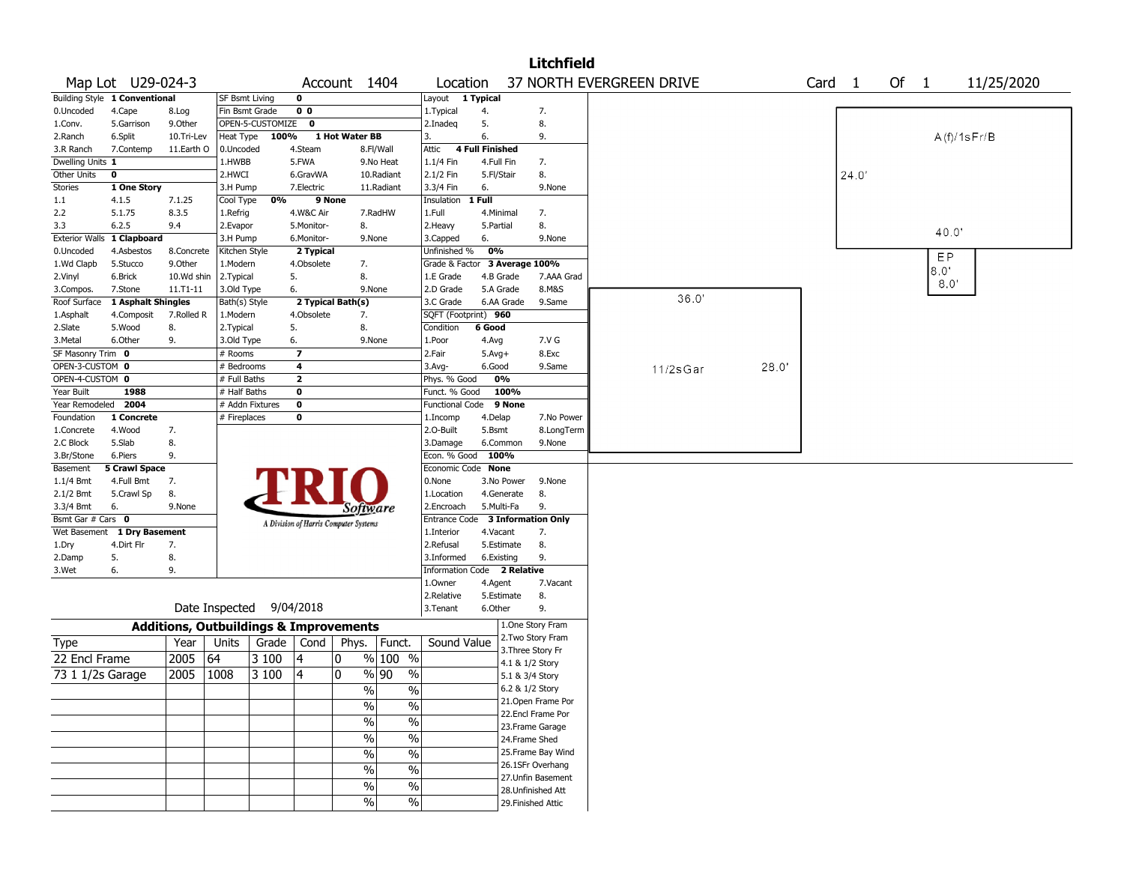| 37 NORTH EVERGREEN DRIVE<br>Of $1$<br>Map Lot U29-024-3<br>Account 1404<br>Location<br>Card <sub>1</sub><br>11/25/2020<br>Building Style 1 Conventional<br>0<br>1 Typical<br><b>SF Bsmt Living</b><br>Layout<br>0 <sub>0</sub><br>0.Uncoded<br>4.Cape<br>Fin Bsmt Grade<br>1. Typical<br>7.<br>8.Log<br>4.<br>OPEN-5-CUSTOMIZE<br>$\mathbf 0$<br>5.<br>8.<br>5.Garrison<br>9.0ther<br>2.Inadeq<br>1.Conv.<br>100%<br>1 Hot Water BB<br>6.<br>A(f)/1sFr/B<br>6.Split<br>10.Tri-Lev<br>Heat Type<br>9.<br>2.Ranch<br>3.<br><b>4 Full Finished</b><br>4.Steam<br>3.R Ranch<br>7.Contemp<br>11.Earth O<br>0.Uncoded<br>8.Fl/Wall<br>Attic<br>Dwelling Units 1<br>7.<br>1.HWBB<br>5.FWA<br>9.No Heat<br>1.1/4 Fin<br>4.Full Fin<br>8.<br>24.0'<br>Other Units<br>$\mathbf 0$<br>2.HWCI<br>6.GravWA<br>10.Radiant<br>2.1/2 Fin<br>5.Fl/Stair<br><b>Stories</b><br>9.None<br>1 One Story<br>3.H Pump<br>7.Electric<br>11.Radiant<br>3.3/4 Fin<br>6.<br>7.1.25<br>0%<br>9 None<br>1 Full<br>1.1<br>4.1.5<br>Cool Type<br>Insulation<br>8.3.5<br>2.2<br>5.1.75<br>4.W&C Air<br>7.RadHW<br>1.Full<br>4.Minimal<br>7.<br>1.Refrig<br>8.<br>5.Monitor-<br>8.<br>3.3<br>6.2.5<br>9.4<br>2.Evapor<br>2.Heavy<br>5.Partial<br>40.0'<br>1 Clapboard<br>9.None<br><b>Exterior Walls</b><br>3.H Pump<br>6.Monitor-<br>9.None<br>3.Capped<br>6.<br>0%<br>Unfinished %<br>0.Uncoded<br>4.Asbestos<br>8.Concrete<br>Kitchen Style<br>2 Typical<br>EP<br>3 Average 100%<br>1.Wd Clapb<br>5.Stucco<br>9.0ther<br>1.Modern<br>4.Obsolete<br>7.<br>Grade & Factor<br>8.0"<br>8.<br>6.Brick<br>10.Wd shin<br>2.Typical<br>5.<br>1.E Grade<br>4.B Grade<br>7.AAA Grad<br>2.Vinyl<br>8.0'<br>8.M&S<br>7.Stone<br>11.T1-11<br>3.Old Type<br>6.<br>9.None<br>2.D Grade<br>5.A Grade<br>3.Compos.<br>36.0'<br>2 Typical Bath(s)<br>Roof Surface<br>1 Asphalt Shingles<br>Bath(s) Style<br>3.C Grade<br>6.AA Grade<br>9.Same<br>SQFT (Footprint) 960<br>1.Asphalt<br>7.Rolled R<br>1.Modern<br>4.Obsolete<br>7.<br>4.Composit<br>8.<br>6 Good<br>2.Slate<br>5.Wood<br>8.<br>2. Typical<br>5.<br>Condition<br>9.<br>3.Metal<br>6.Other<br>3.Old Type<br>9.None<br>1.Poor<br>4.Avg<br>7.V G<br>6.<br>SF Masonry Trim 0<br>$\overline{\phantom{a}}$<br>8.Exc<br># Rooms<br>2.Fair<br>$5.$ Avg $+$<br>OPEN-3-CUSTOM 0<br># Bedrooms<br>4<br>3.Avg-<br>6.Good<br>9.Same<br>28.0'<br>11/2sGar<br>OPEN-4-CUSTOM 0<br>0%<br>$\mathbf{z}$<br># Full Baths<br>Phys. % Good<br>100%<br>Year Built<br>1988<br>Funct. % Good<br># Half Baths<br>0<br>2004<br># Addn Fixtures<br>9 None<br>Year Remodeled<br>0<br>Functional Code<br>Foundation<br>1 Concrete<br># Fireplaces<br>0<br>4.Delap<br>7.No Power<br>1.Incomp<br>4.Wood<br>7.<br>2.0-Built<br>5.Bsmt<br>8.LongTerm<br>1.Concrete<br>8.<br>2.C Block<br>5.Slab<br>3.Damage<br>6.Common<br>9.None<br>9.<br>Econ. % Good<br>100%<br>3.Br/Stone<br>6.Piers<br>Basement<br><b>5 Crawl Space</b><br>Economic Code None<br>7.<br>1.1/4 Bmt<br>4.Full Bmt<br>0.None<br>3.No Power<br>9.None<br>8.<br>8.<br>2.1/2 Bmt<br>5.Crawl Sp<br>1.Location<br>4.Generate<br>9.<br>5.Multi-Fa<br>3.3/4 Bmt<br>6.<br>9.None<br>2.Encroach<br>Software<br>Bsmt Gar # Cars 0<br>3 Information Only<br><b>Entrance Code</b><br>A Division of Harris Computer Systems<br>7.<br>Wet Basement<br>1 Dry Basement<br>1.Interior<br>4.Vacant<br>8.<br>4.Dirt Flr<br>7.<br>2.Refusal<br>5.Estimate<br>1.Dry<br>9.<br>8.<br>5.<br>3.Informed<br>6.Existing<br>2.Damp<br>9.<br>Information Code 2 Relative<br>3.Wet<br>6.<br>1.Owner<br>4.Agent<br>7.Vacant<br>2.Relative<br>5.Estimate<br>8.<br>Date Inspected<br>9/04/2018<br>9.<br>3. Tenant<br>6.Other<br>1.One Story Fram<br><b>Additions, Outbuildings &amp; Improvements</b><br>2. Two Story Fram<br>Grade $\vert$ Cond<br>Sound Value<br>Year<br>Units<br>Phys.<br>Funct.<br>Type<br>3. Three Story Fr<br>2005<br>64<br>% 100 %<br>22 Encl Frame<br>3 100<br>4<br>0<br>4.1 & 1/2 Story<br>0<br>2005<br>1008<br>3 100<br>4<br>%  90<br>$\%$<br>73 1 1/2s Garage<br>5.1 & 3/4 Story<br>6.2 & 1/2 Story<br>$\frac{9}{6}$<br>$\%$<br>21. Open Frame Por<br>$\%$<br>$\%$<br>22.Encl Frame Por<br>$\frac{1}{2}$<br>$\frac{1}{2}$<br>23. Frame Garage<br>$\frac{1}{2}$<br>$\frac{1}{2}$<br>24.Frame Shed |  |  |  |  |  | <b>Litchfield</b> |  |  |  |  |
|---------------------------------------------------------------------------------------------------------------------------------------------------------------------------------------------------------------------------------------------------------------------------------------------------------------------------------------------------------------------------------------------------------------------------------------------------------------------------------------------------------------------------------------------------------------------------------------------------------------------------------------------------------------------------------------------------------------------------------------------------------------------------------------------------------------------------------------------------------------------------------------------------------------------------------------------------------------------------------------------------------------------------------------------------------------------------------------------------------------------------------------------------------------------------------------------------------------------------------------------------------------------------------------------------------------------------------------------------------------------------------------------------------------------------------------------------------------------------------------------------------------------------------------------------------------------------------------------------------------------------------------------------------------------------------------------------------------------------------------------------------------------------------------------------------------------------------------------------------------------------------------------------------------------------------------------------------------------------------------------------------------------------------------------------------------------------------------------------------------------------------------------------------------------------------------------------------------------------------------------------------------------------------------------------------------------------------------------------------------------------------------------------------------------------------------------------------------------------------------------------------------------------------------------------------------------------------------------------------------------------------------------------------------------------------------------------------------------------------------------------------------------------------------------------------------------------------------------------------------------------------------------------------------------------------------------------------------------------------------------------------------------------------------------------------------------------------------------------------------------------------------------------------------------------------------------------------------------------------------------------------------------------------------------------------------------------------------------------------------------------------------------------------------------------------------------------------------------------------------------------------------------------------------------------------------------------------------------------------------------------------------------------------------------------------------------------------------------------------------------------------------------------------------------------------------------------------------------------------------------------------------------------------------------------------------------------------------------------------------------------------------------------------------------------------------------------------------------------------------------------------------------------------------------------------------------------------------------------------------|--|--|--|--|--|-------------------|--|--|--|--|
|                                                                                                                                                                                                                                                                                                                                                                                                                                                                                                                                                                                                                                                                                                                                                                                                                                                                                                                                                                                                                                                                                                                                                                                                                                                                                                                                                                                                                                                                                                                                                                                                                                                                                                                                                                                                                                                                                                                                                                                                                                                                                                                                                                                                                                                                                                                                                                                                                                                                                                                                                                                                                                                                                                                                                                                                                                                                                                                                                                                                                                                                                                                                                                                                                                                                                                                                                                                                                                                                                                                                                                                                                                                                                                                                                                                                                                                                                                                                                                                                                                                                                                                                                                                                                                       |  |  |  |  |  |                   |  |  |  |  |
|                                                                                                                                                                                                                                                                                                                                                                                                                                                                                                                                                                                                                                                                                                                                                                                                                                                                                                                                                                                                                                                                                                                                                                                                                                                                                                                                                                                                                                                                                                                                                                                                                                                                                                                                                                                                                                                                                                                                                                                                                                                                                                                                                                                                                                                                                                                                                                                                                                                                                                                                                                                                                                                                                                                                                                                                                                                                                                                                                                                                                                                                                                                                                                                                                                                                                                                                                                                                                                                                                                                                                                                                                                                                                                                                                                                                                                                                                                                                                                                                                                                                                                                                                                                                                                       |  |  |  |  |  |                   |  |  |  |  |
|                                                                                                                                                                                                                                                                                                                                                                                                                                                                                                                                                                                                                                                                                                                                                                                                                                                                                                                                                                                                                                                                                                                                                                                                                                                                                                                                                                                                                                                                                                                                                                                                                                                                                                                                                                                                                                                                                                                                                                                                                                                                                                                                                                                                                                                                                                                                                                                                                                                                                                                                                                                                                                                                                                                                                                                                                                                                                                                                                                                                                                                                                                                                                                                                                                                                                                                                                                                                                                                                                                                                                                                                                                                                                                                                                                                                                                                                                                                                                                                                                                                                                                                                                                                                                                       |  |  |  |  |  |                   |  |  |  |  |
|                                                                                                                                                                                                                                                                                                                                                                                                                                                                                                                                                                                                                                                                                                                                                                                                                                                                                                                                                                                                                                                                                                                                                                                                                                                                                                                                                                                                                                                                                                                                                                                                                                                                                                                                                                                                                                                                                                                                                                                                                                                                                                                                                                                                                                                                                                                                                                                                                                                                                                                                                                                                                                                                                                                                                                                                                                                                                                                                                                                                                                                                                                                                                                                                                                                                                                                                                                                                                                                                                                                                                                                                                                                                                                                                                                                                                                                                                                                                                                                                                                                                                                                                                                                                                                       |  |  |  |  |  |                   |  |  |  |  |
|                                                                                                                                                                                                                                                                                                                                                                                                                                                                                                                                                                                                                                                                                                                                                                                                                                                                                                                                                                                                                                                                                                                                                                                                                                                                                                                                                                                                                                                                                                                                                                                                                                                                                                                                                                                                                                                                                                                                                                                                                                                                                                                                                                                                                                                                                                                                                                                                                                                                                                                                                                                                                                                                                                                                                                                                                                                                                                                                                                                                                                                                                                                                                                                                                                                                                                                                                                                                                                                                                                                                                                                                                                                                                                                                                                                                                                                                                                                                                                                                                                                                                                                                                                                                                                       |  |  |  |  |  |                   |  |  |  |  |
|                                                                                                                                                                                                                                                                                                                                                                                                                                                                                                                                                                                                                                                                                                                                                                                                                                                                                                                                                                                                                                                                                                                                                                                                                                                                                                                                                                                                                                                                                                                                                                                                                                                                                                                                                                                                                                                                                                                                                                                                                                                                                                                                                                                                                                                                                                                                                                                                                                                                                                                                                                                                                                                                                                                                                                                                                                                                                                                                                                                                                                                                                                                                                                                                                                                                                                                                                                                                                                                                                                                                                                                                                                                                                                                                                                                                                                                                                                                                                                                                                                                                                                                                                                                                                                       |  |  |  |  |  |                   |  |  |  |  |
|                                                                                                                                                                                                                                                                                                                                                                                                                                                                                                                                                                                                                                                                                                                                                                                                                                                                                                                                                                                                                                                                                                                                                                                                                                                                                                                                                                                                                                                                                                                                                                                                                                                                                                                                                                                                                                                                                                                                                                                                                                                                                                                                                                                                                                                                                                                                                                                                                                                                                                                                                                                                                                                                                                                                                                                                                                                                                                                                                                                                                                                                                                                                                                                                                                                                                                                                                                                                                                                                                                                                                                                                                                                                                                                                                                                                                                                                                                                                                                                                                                                                                                                                                                                                                                       |  |  |  |  |  |                   |  |  |  |  |
|                                                                                                                                                                                                                                                                                                                                                                                                                                                                                                                                                                                                                                                                                                                                                                                                                                                                                                                                                                                                                                                                                                                                                                                                                                                                                                                                                                                                                                                                                                                                                                                                                                                                                                                                                                                                                                                                                                                                                                                                                                                                                                                                                                                                                                                                                                                                                                                                                                                                                                                                                                                                                                                                                                                                                                                                                                                                                                                                                                                                                                                                                                                                                                                                                                                                                                                                                                                                                                                                                                                                                                                                                                                                                                                                                                                                                                                                                                                                                                                                                                                                                                                                                                                                                                       |  |  |  |  |  |                   |  |  |  |  |
|                                                                                                                                                                                                                                                                                                                                                                                                                                                                                                                                                                                                                                                                                                                                                                                                                                                                                                                                                                                                                                                                                                                                                                                                                                                                                                                                                                                                                                                                                                                                                                                                                                                                                                                                                                                                                                                                                                                                                                                                                                                                                                                                                                                                                                                                                                                                                                                                                                                                                                                                                                                                                                                                                                                                                                                                                                                                                                                                                                                                                                                                                                                                                                                                                                                                                                                                                                                                                                                                                                                                                                                                                                                                                                                                                                                                                                                                                                                                                                                                                                                                                                                                                                                                                                       |  |  |  |  |  |                   |  |  |  |  |
|                                                                                                                                                                                                                                                                                                                                                                                                                                                                                                                                                                                                                                                                                                                                                                                                                                                                                                                                                                                                                                                                                                                                                                                                                                                                                                                                                                                                                                                                                                                                                                                                                                                                                                                                                                                                                                                                                                                                                                                                                                                                                                                                                                                                                                                                                                                                                                                                                                                                                                                                                                                                                                                                                                                                                                                                                                                                                                                                                                                                                                                                                                                                                                                                                                                                                                                                                                                                                                                                                                                                                                                                                                                                                                                                                                                                                                                                                                                                                                                                                                                                                                                                                                                                                                       |  |  |  |  |  |                   |  |  |  |  |
|                                                                                                                                                                                                                                                                                                                                                                                                                                                                                                                                                                                                                                                                                                                                                                                                                                                                                                                                                                                                                                                                                                                                                                                                                                                                                                                                                                                                                                                                                                                                                                                                                                                                                                                                                                                                                                                                                                                                                                                                                                                                                                                                                                                                                                                                                                                                                                                                                                                                                                                                                                                                                                                                                                                                                                                                                                                                                                                                                                                                                                                                                                                                                                                                                                                                                                                                                                                                                                                                                                                                                                                                                                                                                                                                                                                                                                                                                                                                                                                                                                                                                                                                                                                                                                       |  |  |  |  |  |                   |  |  |  |  |
|                                                                                                                                                                                                                                                                                                                                                                                                                                                                                                                                                                                                                                                                                                                                                                                                                                                                                                                                                                                                                                                                                                                                                                                                                                                                                                                                                                                                                                                                                                                                                                                                                                                                                                                                                                                                                                                                                                                                                                                                                                                                                                                                                                                                                                                                                                                                                                                                                                                                                                                                                                                                                                                                                                                                                                                                                                                                                                                                                                                                                                                                                                                                                                                                                                                                                                                                                                                                                                                                                                                                                                                                                                                                                                                                                                                                                                                                                                                                                                                                                                                                                                                                                                                                                                       |  |  |  |  |  |                   |  |  |  |  |
|                                                                                                                                                                                                                                                                                                                                                                                                                                                                                                                                                                                                                                                                                                                                                                                                                                                                                                                                                                                                                                                                                                                                                                                                                                                                                                                                                                                                                                                                                                                                                                                                                                                                                                                                                                                                                                                                                                                                                                                                                                                                                                                                                                                                                                                                                                                                                                                                                                                                                                                                                                                                                                                                                                                                                                                                                                                                                                                                                                                                                                                                                                                                                                                                                                                                                                                                                                                                                                                                                                                                                                                                                                                                                                                                                                                                                                                                                                                                                                                                                                                                                                                                                                                                                                       |  |  |  |  |  |                   |  |  |  |  |
|                                                                                                                                                                                                                                                                                                                                                                                                                                                                                                                                                                                                                                                                                                                                                                                                                                                                                                                                                                                                                                                                                                                                                                                                                                                                                                                                                                                                                                                                                                                                                                                                                                                                                                                                                                                                                                                                                                                                                                                                                                                                                                                                                                                                                                                                                                                                                                                                                                                                                                                                                                                                                                                                                                                                                                                                                                                                                                                                                                                                                                                                                                                                                                                                                                                                                                                                                                                                                                                                                                                                                                                                                                                                                                                                                                                                                                                                                                                                                                                                                                                                                                                                                                                                                                       |  |  |  |  |  |                   |  |  |  |  |
|                                                                                                                                                                                                                                                                                                                                                                                                                                                                                                                                                                                                                                                                                                                                                                                                                                                                                                                                                                                                                                                                                                                                                                                                                                                                                                                                                                                                                                                                                                                                                                                                                                                                                                                                                                                                                                                                                                                                                                                                                                                                                                                                                                                                                                                                                                                                                                                                                                                                                                                                                                                                                                                                                                                                                                                                                                                                                                                                                                                                                                                                                                                                                                                                                                                                                                                                                                                                                                                                                                                                                                                                                                                                                                                                                                                                                                                                                                                                                                                                                                                                                                                                                                                                                                       |  |  |  |  |  |                   |  |  |  |  |
|                                                                                                                                                                                                                                                                                                                                                                                                                                                                                                                                                                                                                                                                                                                                                                                                                                                                                                                                                                                                                                                                                                                                                                                                                                                                                                                                                                                                                                                                                                                                                                                                                                                                                                                                                                                                                                                                                                                                                                                                                                                                                                                                                                                                                                                                                                                                                                                                                                                                                                                                                                                                                                                                                                                                                                                                                                                                                                                                                                                                                                                                                                                                                                                                                                                                                                                                                                                                                                                                                                                                                                                                                                                                                                                                                                                                                                                                                                                                                                                                                                                                                                                                                                                                                                       |  |  |  |  |  |                   |  |  |  |  |
|                                                                                                                                                                                                                                                                                                                                                                                                                                                                                                                                                                                                                                                                                                                                                                                                                                                                                                                                                                                                                                                                                                                                                                                                                                                                                                                                                                                                                                                                                                                                                                                                                                                                                                                                                                                                                                                                                                                                                                                                                                                                                                                                                                                                                                                                                                                                                                                                                                                                                                                                                                                                                                                                                                                                                                                                                                                                                                                                                                                                                                                                                                                                                                                                                                                                                                                                                                                                                                                                                                                                                                                                                                                                                                                                                                                                                                                                                                                                                                                                                                                                                                                                                                                                                                       |  |  |  |  |  |                   |  |  |  |  |
|                                                                                                                                                                                                                                                                                                                                                                                                                                                                                                                                                                                                                                                                                                                                                                                                                                                                                                                                                                                                                                                                                                                                                                                                                                                                                                                                                                                                                                                                                                                                                                                                                                                                                                                                                                                                                                                                                                                                                                                                                                                                                                                                                                                                                                                                                                                                                                                                                                                                                                                                                                                                                                                                                                                                                                                                                                                                                                                                                                                                                                                                                                                                                                                                                                                                                                                                                                                                                                                                                                                                                                                                                                                                                                                                                                                                                                                                                                                                                                                                                                                                                                                                                                                                                                       |  |  |  |  |  |                   |  |  |  |  |
|                                                                                                                                                                                                                                                                                                                                                                                                                                                                                                                                                                                                                                                                                                                                                                                                                                                                                                                                                                                                                                                                                                                                                                                                                                                                                                                                                                                                                                                                                                                                                                                                                                                                                                                                                                                                                                                                                                                                                                                                                                                                                                                                                                                                                                                                                                                                                                                                                                                                                                                                                                                                                                                                                                                                                                                                                                                                                                                                                                                                                                                                                                                                                                                                                                                                                                                                                                                                                                                                                                                                                                                                                                                                                                                                                                                                                                                                                                                                                                                                                                                                                                                                                                                                                                       |  |  |  |  |  |                   |  |  |  |  |
|                                                                                                                                                                                                                                                                                                                                                                                                                                                                                                                                                                                                                                                                                                                                                                                                                                                                                                                                                                                                                                                                                                                                                                                                                                                                                                                                                                                                                                                                                                                                                                                                                                                                                                                                                                                                                                                                                                                                                                                                                                                                                                                                                                                                                                                                                                                                                                                                                                                                                                                                                                                                                                                                                                                                                                                                                                                                                                                                                                                                                                                                                                                                                                                                                                                                                                                                                                                                                                                                                                                                                                                                                                                                                                                                                                                                                                                                                                                                                                                                                                                                                                                                                                                                                                       |  |  |  |  |  |                   |  |  |  |  |
|                                                                                                                                                                                                                                                                                                                                                                                                                                                                                                                                                                                                                                                                                                                                                                                                                                                                                                                                                                                                                                                                                                                                                                                                                                                                                                                                                                                                                                                                                                                                                                                                                                                                                                                                                                                                                                                                                                                                                                                                                                                                                                                                                                                                                                                                                                                                                                                                                                                                                                                                                                                                                                                                                                                                                                                                                                                                                                                                                                                                                                                                                                                                                                                                                                                                                                                                                                                                                                                                                                                                                                                                                                                                                                                                                                                                                                                                                                                                                                                                                                                                                                                                                                                                                                       |  |  |  |  |  |                   |  |  |  |  |
|                                                                                                                                                                                                                                                                                                                                                                                                                                                                                                                                                                                                                                                                                                                                                                                                                                                                                                                                                                                                                                                                                                                                                                                                                                                                                                                                                                                                                                                                                                                                                                                                                                                                                                                                                                                                                                                                                                                                                                                                                                                                                                                                                                                                                                                                                                                                                                                                                                                                                                                                                                                                                                                                                                                                                                                                                                                                                                                                                                                                                                                                                                                                                                                                                                                                                                                                                                                                                                                                                                                                                                                                                                                                                                                                                                                                                                                                                                                                                                                                                                                                                                                                                                                                                                       |  |  |  |  |  |                   |  |  |  |  |
|                                                                                                                                                                                                                                                                                                                                                                                                                                                                                                                                                                                                                                                                                                                                                                                                                                                                                                                                                                                                                                                                                                                                                                                                                                                                                                                                                                                                                                                                                                                                                                                                                                                                                                                                                                                                                                                                                                                                                                                                                                                                                                                                                                                                                                                                                                                                                                                                                                                                                                                                                                                                                                                                                                                                                                                                                                                                                                                                                                                                                                                                                                                                                                                                                                                                                                                                                                                                                                                                                                                                                                                                                                                                                                                                                                                                                                                                                                                                                                                                                                                                                                                                                                                                                                       |  |  |  |  |  |                   |  |  |  |  |
|                                                                                                                                                                                                                                                                                                                                                                                                                                                                                                                                                                                                                                                                                                                                                                                                                                                                                                                                                                                                                                                                                                                                                                                                                                                                                                                                                                                                                                                                                                                                                                                                                                                                                                                                                                                                                                                                                                                                                                                                                                                                                                                                                                                                                                                                                                                                                                                                                                                                                                                                                                                                                                                                                                                                                                                                                                                                                                                                                                                                                                                                                                                                                                                                                                                                                                                                                                                                                                                                                                                                                                                                                                                                                                                                                                                                                                                                                                                                                                                                                                                                                                                                                                                                                                       |  |  |  |  |  |                   |  |  |  |  |
|                                                                                                                                                                                                                                                                                                                                                                                                                                                                                                                                                                                                                                                                                                                                                                                                                                                                                                                                                                                                                                                                                                                                                                                                                                                                                                                                                                                                                                                                                                                                                                                                                                                                                                                                                                                                                                                                                                                                                                                                                                                                                                                                                                                                                                                                                                                                                                                                                                                                                                                                                                                                                                                                                                                                                                                                                                                                                                                                                                                                                                                                                                                                                                                                                                                                                                                                                                                                                                                                                                                                                                                                                                                                                                                                                                                                                                                                                                                                                                                                                                                                                                                                                                                                                                       |  |  |  |  |  |                   |  |  |  |  |
|                                                                                                                                                                                                                                                                                                                                                                                                                                                                                                                                                                                                                                                                                                                                                                                                                                                                                                                                                                                                                                                                                                                                                                                                                                                                                                                                                                                                                                                                                                                                                                                                                                                                                                                                                                                                                                                                                                                                                                                                                                                                                                                                                                                                                                                                                                                                                                                                                                                                                                                                                                                                                                                                                                                                                                                                                                                                                                                                                                                                                                                                                                                                                                                                                                                                                                                                                                                                                                                                                                                                                                                                                                                                                                                                                                                                                                                                                                                                                                                                                                                                                                                                                                                                                                       |  |  |  |  |  |                   |  |  |  |  |
|                                                                                                                                                                                                                                                                                                                                                                                                                                                                                                                                                                                                                                                                                                                                                                                                                                                                                                                                                                                                                                                                                                                                                                                                                                                                                                                                                                                                                                                                                                                                                                                                                                                                                                                                                                                                                                                                                                                                                                                                                                                                                                                                                                                                                                                                                                                                                                                                                                                                                                                                                                                                                                                                                                                                                                                                                                                                                                                                                                                                                                                                                                                                                                                                                                                                                                                                                                                                                                                                                                                                                                                                                                                                                                                                                                                                                                                                                                                                                                                                                                                                                                                                                                                                                                       |  |  |  |  |  |                   |  |  |  |  |
|                                                                                                                                                                                                                                                                                                                                                                                                                                                                                                                                                                                                                                                                                                                                                                                                                                                                                                                                                                                                                                                                                                                                                                                                                                                                                                                                                                                                                                                                                                                                                                                                                                                                                                                                                                                                                                                                                                                                                                                                                                                                                                                                                                                                                                                                                                                                                                                                                                                                                                                                                                                                                                                                                                                                                                                                                                                                                                                                                                                                                                                                                                                                                                                                                                                                                                                                                                                                                                                                                                                                                                                                                                                                                                                                                                                                                                                                                                                                                                                                                                                                                                                                                                                                                                       |  |  |  |  |  |                   |  |  |  |  |
|                                                                                                                                                                                                                                                                                                                                                                                                                                                                                                                                                                                                                                                                                                                                                                                                                                                                                                                                                                                                                                                                                                                                                                                                                                                                                                                                                                                                                                                                                                                                                                                                                                                                                                                                                                                                                                                                                                                                                                                                                                                                                                                                                                                                                                                                                                                                                                                                                                                                                                                                                                                                                                                                                                                                                                                                                                                                                                                                                                                                                                                                                                                                                                                                                                                                                                                                                                                                                                                                                                                                                                                                                                                                                                                                                                                                                                                                                                                                                                                                                                                                                                                                                                                                                                       |  |  |  |  |  |                   |  |  |  |  |
|                                                                                                                                                                                                                                                                                                                                                                                                                                                                                                                                                                                                                                                                                                                                                                                                                                                                                                                                                                                                                                                                                                                                                                                                                                                                                                                                                                                                                                                                                                                                                                                                                                                                                                                                                                                                                                                                                                                                                                                                                                                                                                                                                                                                                                                                                                                                                                                                                                                                                                                                                                                                                                                                                                                                                                                                                                                                                                                                                                                                                                                                                                                                                                                                                                                                                                                                                                                                                                                                                                                                                                                                                                                                                                                                                                                                                                                                                                                                                                                                                                                                                                                                                                                                                                       |  |  |  |  |  |                   |  |  |  |  |
|                                                                                                                                                                                                                                                                                                                                                                                                                                                                                                                                                                                                                                                                                                                                                                                                                                                                                                                                                                                                                                                                                                                                                                                                                                                                                                                                                                                                                                                                                                                                                                                                                                                                                                                                                                                                                                                                                                                                                                                                                                                                                                                                                                                                                                                                                                                                                                                                                                                                                                                                                                                                                                                                                                                                                                                                                                                                                                                                                                                                                                                                                                                                                                                                                                                                                                                                                                                                                                                                                                                                                                                                                                                                                                                                                                                                                                                                                                                                                                                                                                                                                                                                                                                                                                       |  |  |  |  |  |                   |  |  |  |  |
|                                                                                                                                                                                                                                                                                                                                                                                                                                                                                                                                                                                                                                                                                                                                                                                                                                                                                                                                                                                                                                                                                                                                                                                                                                                                                                                                                                                                                                                                                                                                                                                                                                                                                                                                                                                                                                                                                                                                                                                                                                                                                                                                                                                                                                                                                                                                                                                                                                                                                                                                                                                                                                                                                                                                                                                                                                                                                                                                                                                                                                                                                                                                                                                                                                                                                                                                                                                                                                                                                                                                                                                                                                                                                                                                                                                                                                                                                                                                                                                                                                                                                                                                                                                                                                       |  |  |  |  |  |                   |  |  |  |  |
|                                                                                                                                                                                                                                                                                                                                                                                                                                                                                                                                                                                                                                                                                                                                                                                                                                                                                                                                                                                                                                                                                                                                                                                                                                                                                                                                                                                                                                                                                                                                                                                                                                                                                                                                                                                                                                                                                                                                                                                                                                                                                                                                                                                                                                                                                                                                                                                                                                                                                                                                                                                                                                                                                                                                                                                                                                                                                                                                                                                                                                                                                                                                                                                                                                                                                                                                                                                                                                                                                                                                                                                                                                                                                                                                                                                                                                                                                                                                                                                                                                                                                                                                                                                                                                       |  |  |  |  |  |                   |  |  |  |  |
|                                                                                                                                                                                                                                                                                                                                                                                                                                                                                                                                                                                                                                                                                                                                                                                                                                                                                                                                                                                                                                                                                                                                                                                                                                                                                                                                                                                                                                                                                                                                                                                                                                                                                                                                                                                                                                                                                                                                                                                                                                                                                                                                                                                                                                                                                                                                                                                                                                                                                                                                                                                                                                                                                                                                                                                                                                                                                                                                                                                                                                                                                                                                                                                                                                                                                                                                                                                                                                                                                                                                                                                                                                                                                                                                                                                                                                                                                                                                                                                                                                                                                                                                                                                                                                       |  |  |  |  |  |                   |  |  |  |  |
|                                                                                                                                                                                                                                                                                                                                                                                                                                                                                                                                                                                                                                                                                                                                                                                                                                                                                                                                                                                                                                                                                                                                                                                                                                                                                                                                                                                                                                                                                                                                                                                                                                                                                                                                                                                                                                                                                                                                                                                                                                                                                                                                                                                                                                                                                                                                                                                                                                                                                                                                                                                                                                                                                                                                                                                                                                                                                                                                                                                                                                                                                                                                                                                                                                                                                                                                                                                                                                                                                                                                                                                                                                                                                                                                                                                                                                                                                                                                                                                                                                                                                                                                                                                                                                       |  |  |  |  |  |                   |  |  |  |  |
|                                                                                                                                                                                                                                                                                                                                                                                                                                                                                                                                                                                                                                                                                                                                                                                                                                                                                                                                                                                                                                                                                                                                                                                                                                                                                                                                                                                                                                                                                                                                                                                                                                                                                                                                                                                                                                                                                                                                                                                                                                                                                                                                                                                                                                                                                                                                                                                                                                                                                                                                                                                                                                                                                                                                                                                                                                                                                                                                                                                                                                                                                                                                                                                                                                                                                                                                                                                                                                                                                                                                                                                                                                                                                                                                                                                                                                                                                                                                                                                                                                                                                                                                                                                                                                       |  |  |  |  |  |                   |  |  |  |  |
|                                                                                                                                                                                                                                                                                                                                                                                                                                                                                                                                                                                                                                                                                                                                                                                                                                                                                                                                                                                                                                                                                                                                                                                                                                                                                                                                                                                                                                                                                                                                                                                                                                                                                                                                                                                                                                                                                                                                                                                                                                                                                                                                                                                                                                                                                                                                                                                                                                                                                                                                                                                                                                                                                                                                                                                                                                                                                                                                                                                                                                                                                                                                                                                                                                                                                                                                                                                                                                                                                                                                                                                                                                                                                                                                                                                                                                                                                                                                                                                                                                                                                                                                                                                                                                       |  |  |  |  |  |                   |  |  |  |  |
|                                                                                                                                                                                                                                                                                                                                                                                                                                                                                                                                                                                                                                                                                                                                                                                                                                                                                                                                                                                                                                                                                                                                                                                                                                                                                                                                                                                                                                                                                                                                                                                                                                                                                                                                                                                                                                                                                                                                                                                                                                                                                                                                                                                                                                                                                                                                                                                                                                                                                                                                                                                                                                                                                                                                                                                                                                                                                                                                                                                                                                                                                                                                                                                                                                                                                                                                                                                                                                                                                                                                                                                                                                                                                                                                                                                                                                                                                                                                                                                                                                                                                                                                                                                                                                       |  |  |  |  |  |                   |  |  |  |  |
|                                                                                                                                                                                                                                                                                                                                                                                                                                                                                                                                                                                                                                                                                                                                                                                                                                                                                                                                                                                                                                                                                                                                                                                                                                                                                                                                                                                                                                                                                                                                                                                                                                                                                                                                                                                                                                                                                                                                                                                                                                                                                                                                                                                                                                                                                                                                                                                                                                                                                                                                                                                                                                                                                                                                                                                                                                                                                                                                                                                                                                                                                                                                                                                                                                                                                                                                                                                                                                                                                                                                                                                                                                                                                                                                                                                                                                                                                                                                                                                                                                                                                                                                                                                                                                       |  |  |  |  |  |                   |  |  |  |  |
|                                                                                                                                                                                                                                                                                                                                                                                                                                                                                                                                                                                                                                                                                                                                                                                                                                                                                                                                                                                                                                                                                                                                                                                                                                                                                                                                                                                                                                                                                                                                                                                                                                                                                                                                                                                                                                                                                                                                                                                                                                                                                                                                                                                                                                                                                                                                                                                                                                                                                                                                                                                                                                                                                                                                                                                                                                                                                                                                                                                                                                                                                                                                                                                                                                                                                                                                                                                                                                                                                                                                                                                                                                                                                                                                                                                                                                                                                                                                                                                                                                                                                                                                                                                                                                       |  |  |  |  |  |                   |  |  |  |  |
|                                                                                                                                                                                                                                                                                                                                                                                                                                                                                                                                                                                                                                                                                                                                                                                                                                                                                                                                                                                                                                                                                                                                                                                                                                                                                                                                                                                                                                                                                                                                                                                                                                                                                                                                                                                                                                                                                                                                                                                                                                                                                                                                                                                                                                                                                                                                                                                                                                                                                                                                                                                                                                                                                                                                                                                                                                                                                                                                                                                                                                                                                                                                                                                                                                                                                                                                                                                                                                                                                                                                                                                                                                                                                                                                                                                                                                                                                                                                                                                                                                                                                                                                                                                                                                       |  |  |  |  |  |                   |  |  |  |  |
|                                                                                                                                                                                                                                                                                                                                                                                                                                                                                                                                                                                                                                                                                                                                                                                                                                                                                                                                                                                                                                                                                                                                                                                                                                                                                                                                                                                                                                                                                                                                                                                                                                                                                                                                                                                                                                                                                                                                                                                                                                                                                                                                                                                                                                                                                                                                                                                                                                                                                                                                                                                                                                                                                                                                                                                                                                                                                                                                                                                                                                                                                                                                                                                                                                                                                                                                                                                                                                                                                                                                                                                                                                                                                                                                                                                                                                                                                                                                                                                                                                                                                                                                                                                                                                       |  |  |  |  |  |                   |  |  |  |  |
|                                                                                                                                                                                                                                                                                                                                                                                                                                                                                                                                                                                                                                                                                                                                                                                                                                                                                                                                                                                                                                                                                                                                                                                                                                                                                                                                                                                                                                                                                                                                                                                                                                                                                                                                                                                                                                                                                                                                                                                                                                                                                                                                                                                                                                                                                                                                                                                                                                                                                                                                                                                                                                                                                                                                                                                                                                                                                                                                                                                                                                                                                                                                                                                                                                                                                                                                                                                                                                                                                                                                                                                                                                                                                                                                                                                                                                                                                                                                                                                                                                                                                                                                                                                                                                       |  |  |  |  |  |                   |  |  |  |  |
|                                                                                                                                                                                                                                                                                                                                                                                                                                                                                                                                                                                                                                                                                                                                                                                                                                                                                                                                                                                                                                                                                                                                                                                                                                                                                                                                                                                                                                                                                                                                                                                                                                                                                                                                                                                                                                                                                                                                                                                                                                                                                                                                                                                                                                                                                                                                                                                                                                                                                                                                                                                                                                                                                                                                                                                                                                                                                                                                                                                                                                                                                                                                                                                                                                                                                                                                                                                                                                                                                                                                                                                                                                                                                                                                                                                                                                                                                                                                                                                                                                                                                                                                                                                                                                       |  |  |  |  |  |                   |  |  |  |  |
|                                                                                                                                                                                                                                                                                                                                                                                                                                                                                                                                                                                                                                                                                                                                                                                                                                                                                                                                                                                                                                                                                                                                                                                                                                                                                                                                                                                                                                                                                                                                                                                                                                                                                                                                                                                                                                                                                                                                                                                                                                                                                                                                                                                                                                                                                                                                                                                                                                                                                                                                                                                                                                                                                                                                                                                                                                                                                                                                                                                                                                                                                                                                                                                                                                                                                                                                                                                                                                                                                                                                                                                                                                                                                                                                                                                                                                                                                                                                                                                                                                                                                                                                                                                                                                       |  |  |  |  |  |                   |  |  |  |  |
|                                                                                                                                                                                                                                                                                                                                                                                                                                                                                                                                                                                                                                                                                                                                                                                                                                                                                                                                                                                                                                                                                                                                                                                                                                                                                                                                                                                                                                                                                                                                                                                                                                                                                                                                                                                                                                                                                                                                                                                                                                                                                                                                                                                                                                                                                                                                                                                                                                                                                                                                                                                                                                                                                                                                                                                                                                                                                                                                                                                                                                                                                                                                                                                                                                                                                                                                                                                                                                                                                                                                                                                                                                                                                                                                                                                                                                                                                                                                                                                                                                                                                                                                                                                                                                       |  |  |  |  |  |                   |  |  |  |  |
|                                                                                                                                                                                                                                                                                                                                                                                                                                                                                                                                                                                                                                                                                                                                                                                                                                                                                                                                                                                                                                                                                                                                                                                                                                                                                                                                                                                                                                                                                                                                                                                                                                                                                                                                                                                                                                                                                                                                                                                                                                                                                                                                                                                                                                                                                                                                                                                                                                                                                                                                                                                                                                                                                                                                                                                                                                                                                                                                                                                                                                                                                                                                                                                                                                                                                                                                                                                                                                                                                                                                                                                                                                                                                                                                                                                                                                                                                                                                                                                                                                                                                                                                                                                                                                       |  |  |  |  |  |                   |  |  |  |  |
|                                                                                                                                                                                                                                                                                                                                                                                                                                                                                                                                                                                                                                                                                                                                                                                                                                                                                                                                                                                                                                                                                                                                                                                                                                                                                                                                                                                                                                                                                                                                                                                                                                                                                                                                                                                                                                                                                                                                                                                                                                                                                                                                                                                                                                                                                                                                                                                                                                                                                                                                                                                                                                                                                                                                                                                                                                                                                                                                                                                                                                                                                                                                                                                                                                                                                                                                                                                                                                                                                                                                                                                                                                                                                                                                                                                                                                                                                                                                                                                                                                                                                                                                                                                                                                       |  |  |  |  |  |                   |  |  |  |  |
|                                                                                                                                                                                                                                                                                                                                                                                                                                                                                                                                                                                                                                                                                                                                                                                                                                                                                                                                                                                                                                                                                                                                                                                                                                                                                                                                                                                                                                                                                                                                                                                                                                                                                                                                                                                                                                                                                                                                                                                                                                                                                                                                                                                                                                                                                                                                                                                                                                                                                                                                                                                                                                                                                                                                                                                                                                                                                                                                                                                                                                                                                                                                                                                                                                                                                                                                                                                                                                                                                                                                                                                                                                                                                                                                                                                                                                                                                                                                                                                                                                                                                                                                                                                                                                       |  |  |  |  |  |                   |  |  |  |  |
|                                                                                                                                                                                                                                                                                                                                                                                                                                                                                                                                                                                                                                                                                                                                                                                                                                                                                                                                                                                                                                                                                                                                                                                                                                                                                                                                                                                                                                                                                                                                                                                                                                                                                                                                                                                                                                                                                                                                                                                                                                                                                                                                                                                                                                                                                                                                                                                                                                                                                                                                                                                                                                                                                                                                                                                                                                                                                                                                                                                                                                                                                                                                                                                                                                                                                                                                                                                                                                                                                                                                                                                                                                                                                                                                                                                                                                                                                                                                                                                                                                                                                                                                                                                                                                       |  |  |  |  |  |                   |  |  |  |  |
|                                                                                                                                                                                                                                                                                                                                                                                                                                                                                                                                                                                                                                                                                                                                                                                                                                                                                                                                                                                                                                                                                                                                                                                                                                                                                                                                                                                                                                                                                                                                                                                                                                                                                                                                                                                                                                                                                                                                                                                                                                                                                                                                                                                                                                                                                                                                                                                                                                                                                                                                                                                                                                                                                                                                                                                                                                                                                                                                                                                                                                                                                                                                                                                                                                                                                                                                                                                                                                                                                                                                                                                                                                                                                                                                                                                                                                                                                                                                                                                                                                                                                                                                                                                                                                       |  |  |  |  |  |                   |  |  |  |  |
|                                                                                                                                                                                                                                                                                                                                                                                                                                                                                                                                                                                                                                                                                                                                                                                                                                                                                                                                                                                                                                                                                                                                                                                                                                                                                                                                                                                                                                                                                                                                                                                                                                                                                                                                                                                                                                                                                                                                                                                                                                                                                                                                                                                                                                                                                                                                                                                                                                                                                                                                                                                                                                                                                                                                                                                                                                                                                                                                                                                                                                                                                                                                                                                                                                                                                                                                                                                                                                                                                                                                                                                                                                                                                                                                                                                                                                                                                                                                                                                                                                                                                                                                                                                                                                       |  |  |  |  |  |                   |  |  |  |  |
| $\frac{0}{6}$<br>25. Frame Bay Wind<br>$\%$                                                                                                                                                                                                                                                                                                                                                                                                                                                                                                                                                                                                                                                                                                                                                                                                                                                                                                                                                                                                                                                                                                                                                                                                                                                                                                                                                                                                                                                                                                                                                                                                                                                                                                                                                                                                                                                                                                                                                                                                                                                                                                                                                                                                                                                                                                                                                                                                                                                                                                                                                                                                                                                                                                                                                                                                                                                                                                                                                                                                                                                                                                                                                                                                                                                                                                                                                                                                                                                                                                                                                                                                                                                                                                                                                                                                                                                                                                                                                                                                                                                                                                                                                                                           |  |  |  |  |  |                   |  |  |  |  |
| 26.1SFr Overhang<br>$\%$<br>$\%$                                                                                                                                                                                                                                                                                                                                                                                                                                                                                                                                                                                                                                                                                                                                                                                                                                                                                                                                                                                                                                                                                                                                                                                                                                                                                                                                                                                                                                                                                                                                                                                                                                                                                                                                                                                                                                                                                                                                                                                                                                                                                                                                                                                                                                                                                                                                                                                                                                                                                                                                                                                                                                                                                                                                                                                                                                                                                                                                                                                                                                                                                                                                                                                                                                                                                                                                                                                                                                                                                                                                                                                                                                                                                                                                                                                                                                                                                                                                                                                                                                                                                                                                                                                                      |  |  |  |  |  |                   |  |  |  |  |
| 27. Unfin Basement<br>$\frac{1}{2}$<br>$\%$                                                                                                                                                                                                                                                                                                                                                                                                                                                                                                                                                                                                                                                                                                                                                                                                                                                                                                                                                                                                                                                                                                                                                                                                                                                                                                                                                                                                                                                                                                                                                                                                                                                                                                                                                                                                                                                                                                                                                                                                                                                                                                                                                                                                                                                                                                                                                                                                                                                                                                                                                                                                                                                                                                                                                                                                                                                                                                                                                                                                                                                                                                                                                                                                                                                                                                                                                                                                                                                                                                                                                                                                                                                                                                                                                                                                                                                                                                                                                                                                                                                                                                                                                                                           |  |  |  |  |  |                   |  |  |  |  |
|                                                                                                                                                                                                                                                                                                                                                                                                                                                                                                                                                                                                                                                                                                                                                                                                                                                                                                                                                                                                                                                                                                                                                                                                                                                                                                                                                                                                                                                                                                                                                                                                                                                                                                                                                                                                                                                                                                                                                                                                                                                                                                                                                                                                                                                                                                                                                                                                                                                                                                                                                                                                                                                                                                                                                                                                                                                                                                                                                                                                                                                                                                                                                                                                                                                                                                                                                                                                                                                                                                                                                                                                                                                                                                                                                                                                                                                                                                                                                                                                                                                                                                                                                                                                                                       |  |  |  |  |  |                   |  |  |  |  |
| 28. Unfinished Att                                                                                                                                                                                                                                                                                                                                                                                                                                                                                                                                                                                                                                                                                                                                                                                                                                                                                                                                                                                                                                                                                                                                                                                                                                                                                                                                                                                                                                                                                                                                                                                                                                                                                                                                                                                                                                                                                                                                                                                                                                                                                                                                                                                                                                                                                                                                                                                                                                                                                                                                                                                                                                                                                                                                                                                                                                                                                                                                                                                                                                                                                                                                                                                                                                                                                                                                                                                                                                                                                                                                                                                                                                                                                                                                                                                                                                                                                                                                                                                                                                                                                                                                                                                                                    |  |  |  |  |  |                   |  |  |  |  |
|                                                                                                                                                                                                                                                                                                                                                                                                                                                                                                                                                                                                                                                                                                                                                                                                                                                                                                                                                                                                                                                                                                                                                                                                                                                                                                                                                                                                                                                                                                                                                                                                                                                                                                                                                                                                                                                                                                                                                                                                                                                                                                                                                                                                                                                                                                                                                                                                                                                                                                                                                                                                                                                                                                                                                                                                                                                                                                                                                                                                                                                                                                                                                                                                                                                                                                                                                                                                                                                                                                                                                                                                                                                                                                                                                                                                                                                                                                                                                                                                                                                                                                                                                                                                                                       |  |  |  |  |  |                   |  |  |  |  |
| $\frac{9}{6}$<br>$\%$<br>29. Finished Attic                                                                                                                                                                                                                                                                                                                                                                                                                                                                                                                                                                                                                                                                                                                                                                                                                                                                                                                                                                                                                                                                                                                                                                                                                                                                                                                                                                                                                                                                                                                                                                                                                                                                                                                                                                                                                                                                                                                                                                                                                                                                                                                                                                                                                                                                                                                                                                                                                                                                                                                                                                                                                                                                                                                                                                                                                                                                                                                                                                                                                                                                                                                                                                                                                                                                                                                                                                                                                                                                                                                                                                                                                                                                                                                                                                                                                                                                                                                                                                                                                                                                                                                                                                                           |  |  |  |  |  |                   |  |  |  |  |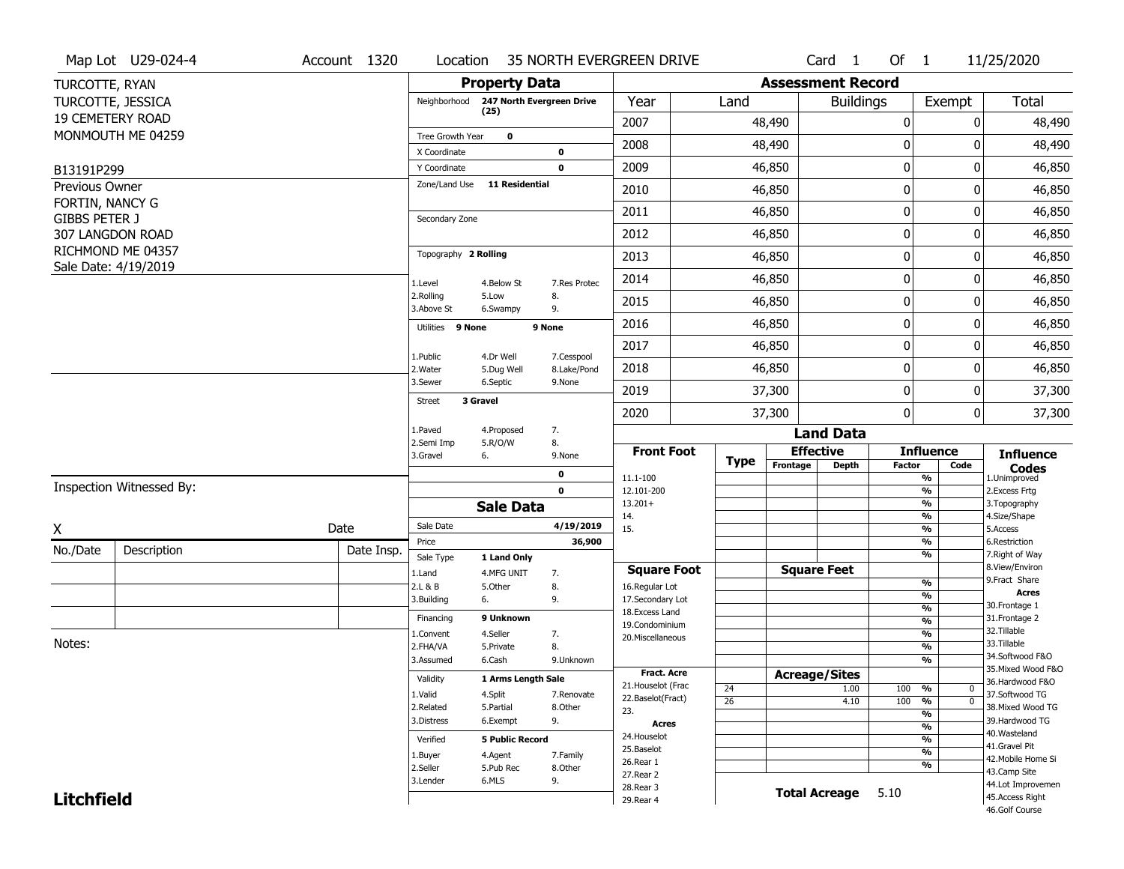|                                         | Map Lot U29-024-4        | Account 1320              | Location                |                           |              | 35 NORTH EVERGREEN DRIVE                |                 |                          | Card <sub>1</sub>        | Of $1$                                    |                                               | 11/25/2020                       |
|-----------------------------------------|--------------------------|---------------------------|-------------------------|---------------------------|--------------|-----------------------------------------|-----------------|--------------------------|--------------------------|-------------------------------------------|-----------------------------------------------|----------------------------------|
| TURCOTTE, RYAN                          |                          |                           |                         | <b>Property Data</b>      |              |                                         |                 | <b>Assessment Record</b> |                          |                                           |                                               |                                  |
|                                         | TURCOTTE, JESSICA        |                           | Neighborhood            | 247 North Evergreen Drive |              | Year                                    | Land            |                          | <b>Buildings</b>         |                                           | Exempt                                        | <b>Total</b>                     |
|                                         | <b>19 CEMETERY ROAD</b>  |                           |                         | (25)                      |              | 2007                                    |                 | 48,490                   |                          | 0                                         | $\mathbf{0}$                                  | 48,490                           |
|                                         | MONMOUTH ME 04259        |                           | Tree Growth Year        | $\mathbf 0$               |              | 2008                                    |                 | 48,490                   |                          | 0                                         | 0                                             | 48,490                           |
|                                         |                          |                           | X Coordinate            |                           | 0            |                                         |                 |                          |                          |                                           |                                               |                                  |
| B13191P299                              |                          |                           | Y Coordinate            |                           | $\mathbf 0$  | 2009                                    |                 | 46,850                   |                          | $\pmb{0}$                                 | $\mathbf{0}$                                  | 46,850                           |
| Previous Owner                          |                          |                           | Zone/Land Use           | <b>11 Residential</b>     |              | 2010                                    |                 | 46,850                   |                          | 0                                         | 0                                             | 46,850                           |
| FORTIN, NANCY G<br><b>GIBBS PETER J</b> |                          |                           | Secondary Zone          |                           |              | 2011                                    |                 | 46,850                   |                          | $\mathbf 0$                               | $\mathbf{0}$                                  | 46,850                           |
|                                         | 307 LANGDON ROAD         |                           |                         |                           |              | 2012                                    |                 | 46,850                   |                          | 0                                         | 0                                             | 46,850                           |
|                                         | RICHMOND ME 04357        |                           | Topography 2 Rolling    |                           |              | 2013                                    |                 | 46,850                   |                          | $\mathbf 0$                               | 0                                             | 46,850                           |
|                                         | Sale Date: 4/19/2019     |                           | 1.Level                 | 4.Below St                | 7.Res Protec | 2014                                    |                 | 46,850                   |                          | 0                                         | 0                                             | 46,850                           |
|                                         |                          |                           | 2.Rolling<br>3.Above St | 5.Low<br>6.Swampy         | 8.<br>9.     | 2015                                    |                 | 46,850                   |                          | 0                                         | 0                                             | 46,850                           |
|                                         |                          |                           | Utilities 9 None        |                           | 9 None       | 2016                                    |                 | 46,850                   |                          | $\pmb{0}$                                 | 0                                             | 46,850                           |
|                                         |                          |                           |                         |                           |              | 2017                                    |                 | 46,850                   |                          | $\pmb{0}$                                 | 0                                             | 46,850                           |
|                                         |                          | 1.Public<br>2. Water      | 4.Dr Well<br>5.Dug Well | 7.Cesspool<br>8.Lake/Pond | 2018         |                                         | 46,850          |                          | 0                        | 0                                         | 46,850                                        |                                  |
|                                         |                          | 3.Sewer                   | 6.Septic                | 9.None                    | 2019         |                                         | 37,300          |                          | $\mathbf 0$              | 0                                         | 37,300                                        |                                  |
|                                         |                          | 3 Gravel<br><b>Street</b> |                         |                           | 2020         |                                         | 37,300          |                          | 0                        | 0                                         | 37,300                                        |                                  |
|                                         |                          | 1.Paved<br>2.Semi Imp     | 4.Proposed<br>5.R/O/W   | 7.<br>8.                  |              |                                         |                 | <b>Land Data</b>         |                          |                                           |                                               |                                  |
|                                         |                          |                           | 3.Gravel                | 6.                        | 9.None       | <b>Front Foot</b>                       | <b>Type</b>     | Frontage                 | <b>Effective</b>         | <b>Influence</b>                          |                                               | <b>Influence</b>                 |
|                                         |                          | 0<br>$\mathbf{0}$         |                         |                           | 11.1-100     |                                         |                 | <b>Depth</b>             | <b>Factor</b>            | Code<br>%                                 | <b>Codes</b><br>1.Unimproved<br>2.Excess Frtg |                                  |
|                                         | Inspection Witnessed By: |                           |                         |                           | 12.101-200   |                                         |                 |                          | $\overline{\frac{9}{6}}$ |                                           |                                               |                                  |
|                                         |                          |                           |                         | <b>Sale Data</b>          |              | $13.201+$<br>14.                        |                 |                          |                          | %<br>$\overline{\frac{9}{6}}$             |                                               | 3. Topography<br>4.Size/Shape    |
| X                                       |                          | Date                      | Sale Date               |                           | 4/19/2019    | 15.                                     |                 |                          |                          | $\overline{\frac{9}{6}}$                  |                                               | 5.Access                         |
| No./Date                                | Description              | Date Insp.                | Price<br>Sale Type      |                           | 36,900       |                                         |                 |                          |                          | %<br>%                                    |                                               | 6.Restriction<br>7. Right of Way |
|                                         |                          |                           | 1.Land                  | 1 Land Only<br>4.MFG UNIT | 7.           | <b>Square Foot</b>                      |                 |                          | <b>Square Feet</b>       |                                           |                                               | 8.View/Environ                   |
|                                         |                          |                           | 2.L & B                 | 5.Other                   | 8.           | 16.Regular Lot                          |                 |                          |                          | $\frac{9}{6}$                             |                                               | 9. Fract Share<br><b>Acres</b>   |
|                                         |                          |                           | 3.Building              | 6.                        | 9.           | 17.Secondary Lot                        |                 |                          |                          | $\overline{\frac{9}{6}}$<br>$\frac{9}{6}$ |                                               | 30. Frontage 1                   |
|                                         |                          |                           | Financing               | 9 Unknown                 |              | 18.Excess Land<br>19.Condominium        |                 |                          |                          | $\frac{9}{6}$                             |                                               | 31. Frontage 2                   |
|                                         |                          |                           | 1.Convent               | 4.Seller                  | 7.           | 20.Miscellaneous                        |                 |                          |                          | $\frac{9}{6}$                             |                                               | 32. Tillable                     |
| Notes:                                  |                          |                           | 2.FHA/VA                | 5.Private                 | 8.           |                                         |                 |                          |                          | $\overline{\frac{9}{6}}$                  |                                               | 33.Tillable<br>34.Softwood F&O   |
|                                         |                          |                           | 3.Assumed               | 6.Cash                    | 9.Unknown    |                                         |                 |                          |                          | $\overline{\frac{9}{6}}$                  |                                               | 35. Mixed Wood F&O               |
|                                         |                          |                           | Validity                | 1 Arms Length Sale        |              | <b>Fract. Acre</b>                      |                 |                          | <b>Acreage/Sites</b>     |                                           |                                               | 36.Hardwood F&O                  |
|                                         |                          |                           | 1.Valid                 | 4.Split                   | 7.Renovate   | 21. Houselot (Frac<br>22.Baselot(Fract) | 24              |                          | 1.00                     | 100<br>%                                  | 0                                             | 37.Softwood TG                   |
|                                         |                          |                           | 2.Related               | 5.Partial                 | 8.Other      | 23.                                     | $\overline{26}$ |                          | 4.10                     | 100<br>$\frac{9}{6}$<br>$\frac{9}{6}$     | $\overline{0}$                                | 38. Mixed Wood TG                |
|                                         |                          | 3.Distress                | 6.Exempt                | 9.                        | <b>Acres</b> |                                         |                 |                          | $\frac{9}{6}$            |                                           | 39.Hardwood TG                                |                                  |
|                                         |                          | Verified                  | <b>5 Public Record</b>  |                           | 24. Houselot |                                         |                 |                          | $\overline{\frac{9}{6}}$ |                                           | 40. Wasteland                                 |                                  |
|                                         |                          |                           | 1.Buyer                 | 4.Agent                   | 7.Family     | 25.Baselot                              |                 |                          |                          | $\overline{\frac{9}{6}}$                  |                                               | 41.Gravel Pit                    |
|                                         |                          |                           | 2.Seller                | 5.Pub Rec                 | 8.Other      | 26.Rear 1                               |                 |                          |                          | $\frac{9}{6}$                             |                                               | 42. Mobile Home Si               |
|                                         |                          |                           |                         |                           |              |                                         |                 |                          |                          |                                           | 43.Camp Site                                  |                                  |
|                                         |                          |                           | 3.Lender                | 6.MLS                     | 9.           | 27.Rear 2                               |                 |                          |                          |                                           |                                               |                                  |
| <b>Litchfield</b>                       |                          |                           |                         |                           |              | 28. Rear 3<br>29. Rear 4                |                 |                          | <b>Total Acreage</b>     | 5.10                                      | 44.Lot Improvemen<br>45. Access Right         |                                  |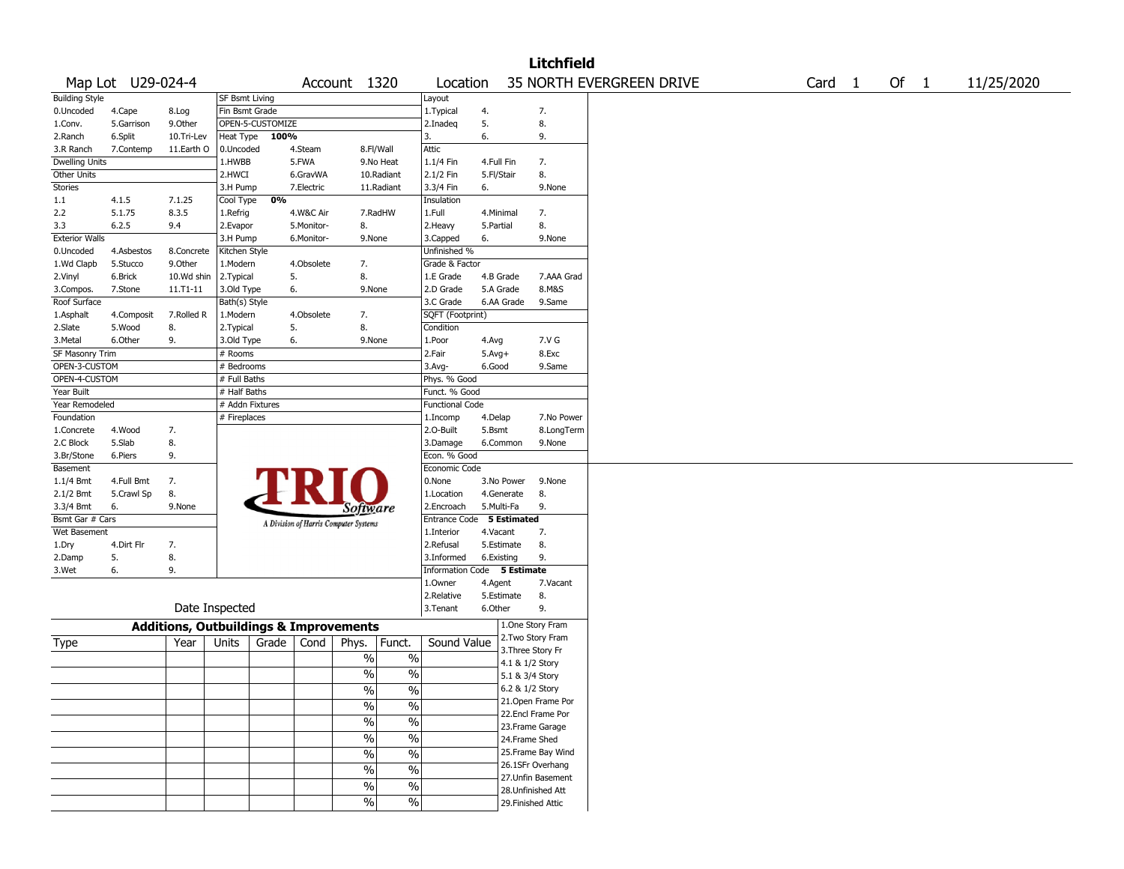| <b>Litchfield</b>                 |                   |               |                       |                                                   |            |                                       |               |                             |                  |                 |                    |                          |        |        |            |
|-----------------------------------|-------------------|---------------|-----------------------|---------------------------------------------------|------------|---------------------------------------|---------------|-----------------------------|------------------|-----------------|--------------------|--------------------------|--------|--------|------------|
|                                   | Map Lot U29-024-4 |               |                       |                                                   |            | Account 1320                          |               | Location                    |                  |                 |                    | 35 NORTH EVERGREEN DRIVE | Card 1 | Of $1$ | 11/25/2020 |
| <b>Building Style</b>             |                   |               | <b>SF Bsmt Living</b> |                                                   |            |                                       |               | Layout                      |                  |                 |                    |                          |        |        |            |
| 0.Uncoded                         | 4.Cape            | 8.Log         | Fin Bsmt Grade        |                                                   |            |                                       |               | 1. Typical                  | 4.               |                 | 7.                 |                          |        |        |            |
| 1.Conv.                           | 5.Garrison        | 9.0ther       |                       | OPEN-5-CUSTOMIZE                                  |            |                                       |               | 2.Inadeq                    | 5.               |                 | 8.                 |                          |        |        |            |
| 2.Ranch                           | 6.Split           | 10.Tri-Lev    | Heat Type             | 100%                                              |            |                                       |               | 3.                          | 6.               |                 | 9.                 |                          |        |        |            |
| 3.R Ranch                         | 7.Contemp         | 11.Earth O    | 0.Uncoded             |                                                   | 4.Steam    |                                       | 8.Fl/Wall     | Attic                       |                  |                 |                    |                          |        |        |            |
| <b>Dwelling Units</b>             |                   |               | 1.HWBB                |                                                   | 5.FWA      |                                       | 9.No Heat     | 1.1/4 Fin                   | 4.Full Fin       |                 | 7.                 |                          |        |        |            |
| <b>Other Units</b>                |                   |               | 2.HWCI                |                                                   | 6.GravWA   |                                       | 10.Radiant    | 2.1/2 Fin                   | 5.Fl/Stair       |                 | 8.                 |                          |        |        |            |
| Stories                           |                   |               | 3.H Pump              |                                                   | 7.Electric |                                       | 11.Radiant    | 3.3/4 Fin                   | 6.               |                 | 9.None             |                          |        |        |            |
| $1.1\,$                           | 4.1.5             | 7.1.25        | Cool Type             | 0%                                                |            |                                       |               | Insulation                  |                  |                 |                    |                          |        |        |            |
| 2.2                               | 5.1.75            | 8.3.5         | 1.Refrig              |                                                   | 4.W&C Air  |                                       | 7.RadHW       | 1.Full                      | 4.Minimal        |                 | 7.                 |                          |        |        |            |
| 3.3                               | 6.2.5             | 9.4           | 2.Evapor              |                                                   | 5.Monitor- | 8.                                    |               | 2. Heavy                    | 5.Partial        |                 | 8.                 |                          |        |        |            |
| <b>Exterior Walls</b>             |                   |               | 3.H Pump              |                                                   | 6.Monitor- | 9.None                                |               | 3.Capped                    | 6.               |                 | 9.None             |                          |        |        |            |
| 0.Uncoded                         | 4.Asbestos        | 8.Concrete    | Kitchen Style         |                                                   |            |                                       |               | Unfinished %                |                  |                 |                    |                          |        |        |            |
| 1.Wd Clapb                        | 5.Stucco          | 9.0ther       | 1.Modern              |                                                   | 4.Obsolete | 7.                                    |               | Grade & Factor              |                  |                 |                    |                          |        |        |            |
| 2.Vinyl                           | 6.Brick           | 10.Wd shin    | 2. Typical            |                                                   | 5.         | 8.                                    |               | 1.E Grade                   | 4.B Grade        |                 | 7.AAA Grad         |                          |        |        |            |
| 3.Compos.                         | 7.Stone           | $11. T1 - 11$ | 3.Old Type            |                                                   | 6.         | 9.None                                |               | 2.D Grade                   | 5.A Grade        |                 | 8.M&S              |                          |        |        |            |
| Roof Surface                      |                   |               | Bath(s) Style         |                                                   |            |                                       |               | 3.C Grade                   |                  | 6.AA Grade      | 9.Same             |                          |        |        |            |
| 1.Asphalt                         | 4.Composit        | 7.Rolled R    | 1.Modern              |                                                   | 4.Obsolete | 7.                                    |               | SQFT (Footprint)            |                  |                 |                    |                          |        |        |            |
| 2.Slate                           | 5.Wood            | 8.            | 2. Typical            |                                                   | 5.         | 8.                                    |               | Condition                   |                  |                 |                    |                          |        |        |            |
| 3.Metal                           | 6.Other           | 9.            | 3.Old Type            |                                                   | 6.         | 9.None                                |               | 1.Poor                      | 4.Avg            |                 | 7.V G              |                          |        |        |            |
| <b>SF Masonry Trim</b>            |                   |               | # Rooms               |                                                   |            |                                       |               | 2.Fair                      | $5.$ Avg $+$     |                 | 8.Exc              |                          |        |        |            |
| OPEN-3-CUSTOM                     |                   |               | # Bedrooms            |                                                   |            |                                       |               | 3.Avg-                      | 6.Good           |                 | 9.Same             |                          |        |        |            |
| OPEN-4-CUSTOM<br># Full Baths     |                   |               |                       | Phys. % Good                                      |            |                                       |               |                             |                  |                 |                    |                          |        |        |            |
| Year Built<br># Half Baths        |                   |               |                       | Funct. % Good                                     |            |                                       |               |                             |                  |                 |                    |                          |        |        |            |
| Year Remodeled<br># Addn Fixtures |                   |               |                       | <b>Functional Code</b>                            |            |                                       |               |                             |                  |                 |                    |                          |        |        |            |
| Foundation                        | # Fireplaces      |               |                       |                                                   |            | 1.Incomp                              | 4.Delap       |                             | 7.No Power       |                 |                    |                          |        |        |            |
| 1.Concrete                        | 4.Wood            | 7.            |                       |                                                   |            |                                       |               | 2.O-Built                   | 5.Bsmt           |                 | 8.LongTerm         |                          |        |        |            |
| 2.C Block                         | 5.Slab            | 8.            |                       |                                                   |            |                                       |               | 3.Damage                    |                  | 6.Common        | 9.None             |                          |        |        |            |
| 3.Br/Stone                        | 6.Piers<br>9.     |               | Econ. % Good          |                                                   |            |                                       |               |                             |                  |                 |                    |                          |        |        |            |
| Basement                          |                   |               |                       |                                                   |            |                                       |               | Economic Code               |                  |                 |                    |                          |        |        |            |
| 1.1/4 Bmt                         | 4.Full Bmt        | 7.            |                       |                                                   |            |                                       |               | 0.None                      |                  | 3.No Power      | 9.None             |                          |        |        |            |
| 2.1/2 Bmt                         | 5.Crawl Sp        | 8.            |                       |                                                   |            |                                       |               | 1.Location                  |                  | 4.Generate      | 8.                 |                          |        |        |            |
| 3.3/4 Bmt                         | 6.                | 9.None        |                       |                                                   |            | Software                              |               | 2.Encroach                  | 5.Multi-Fa       |                 | 9.                 |                          |        |        |            |
| Bsmt Gar # Cars                   |                   |               |                       |                                                   |            | A Division of Harris Computer Systems |               | Entrance Code               |                  | 5 Estimated     |                    |                          |        |        |            |
| Wet Basement                      |                   |               |                       |                                                   |            |                                       |               | 1.Interior                  | 4.Vacant         |                 | 7.                 |                          |        |        |            |
| 1.Dry                             | 4.Dirt Flr        | 7.            |                       |                                                   |            |                                       |               | 2.Refusal                   |                  | 5.Estimate      | 8.                 |                          |        |        |            |
| 2.Damp                            | 5.                | 8.            |                       |                                                   |            |                                       |               | 3.Informed                  | 6.Existing       |                 | 9.                 |                          |        |        |            |
| 3.Wet                             | 6.                | 9.            |                       |                                                   |            |                                       |               | Information Code 5 Estimate |                  |                 |                    |                          |        |        |            |
|                                   |                   |               |                       |                                                   |            |                                       |               | 1.0wner                     | 4.Agent          |                 | 7.Vacant           |                          |        |        |            |
|                                   |                   |               |                       |                                                   |            |                                       |               |                             |                  | 5.Estimate      | 8.                 |                          |        |        |            |
|                                   | Date Inspected    |               |                       |                                                   |            | 2.Relative<br>3.Tenant                | 6.Other       |                             | 9.               |                 |                    |                          |        |        |            |
|                                   |                   |               |                       | <b>Additions, Outbuildings &amp; Improvements</b> |            |                                       |               |                             | 1.One Story Fram |                 |                    |                          |        |        |            |
| Type                              |                   | Year          | Units                 | Grade                                             | Cond       | Phys.                                 | Funct.        | Sound Value                 |                  |                 | 2. Two Story Fram  |                          |        |        |            |
|                                   |                   |               |                       |                                                   |            |                                       |               |                             |                  |                 | 3. Three Story Fr  |                          |        |        |            |
|                                   |                   |               |                       |                                                   |            | $\sqrt{6}$                            | $\%$          |                             |                  | 4.1 & 1/2 Story |                    |                          |        |        |            |
|                                   |                   |               |                       |                                                   |            | $\frac{0}{0}$                         | $\%$          |                             |                  | 5.1 & 3/4 Story |                    |                          |        |        |            |
|                                   |                   |               |                       |                                                   |            | $\frac{9}{6}$                         | $\sqrt{20}$   |                             |                  |                 | 6.2 & 1/2 Story    |                          |        |        |            |
|                                   |                   |               |                       |                                                   |            | $\sqrt{20}$                           | $\%$          |                             |                  |                 | 21. Open Frame Por |                          |        |        |            |
|                                   |                   |               |                       |                                                   |            |                                       |               |                             |                  |                 | 22.Encl Frame Por  |                          |        |        |            |
|                                   |                   |               |                       |                                                   |            | %                                     | $\%$          |                             |                  |                 | 23. Frame Garage   |                          |        |        |            |
|                                   |                   |               |                       |                                                   |            | $\sqrt{6}$                            | $\%$          |                             |                  |                 | 24.Frame Shed      |                          |        |        |            |
|                                   |                   |               |                       |                                                   |            | $\sqrt{6}$                            | $\sqrt{6}$    |                             |                  |                 | 25. Frame Bay Wind |                          |        |        |            |
|                                   |                   |               |                       |                                                   |            |                                       |               |                             |                  |                 | 26.1SFr Overhang   |                          |        |        |            |
|                                   |                   |               |                       |                                                   |            | $\sqrt{6}$                            | $\%$          |                             |                  |                 | 27.Unfin Basement  |                          |        |        |            |
|                                   |                   |               |                       |                                                   |            | $\sqrt{6}$                            | $\frac{0}{6}$ |                             |                  |                 | 28. Unfinished Att |                          |        |        |            |
|                                   |                   |               |                       |                                                   |            | $\sqrt{2}$                            | $\%$          |                             |                  |                 | 29. Finished Attic |                          |        |        |            |
|                                   |                   |               |                       |                                                   |            |                                       |               |                             |                  |                 |                    |                          |        |        |            |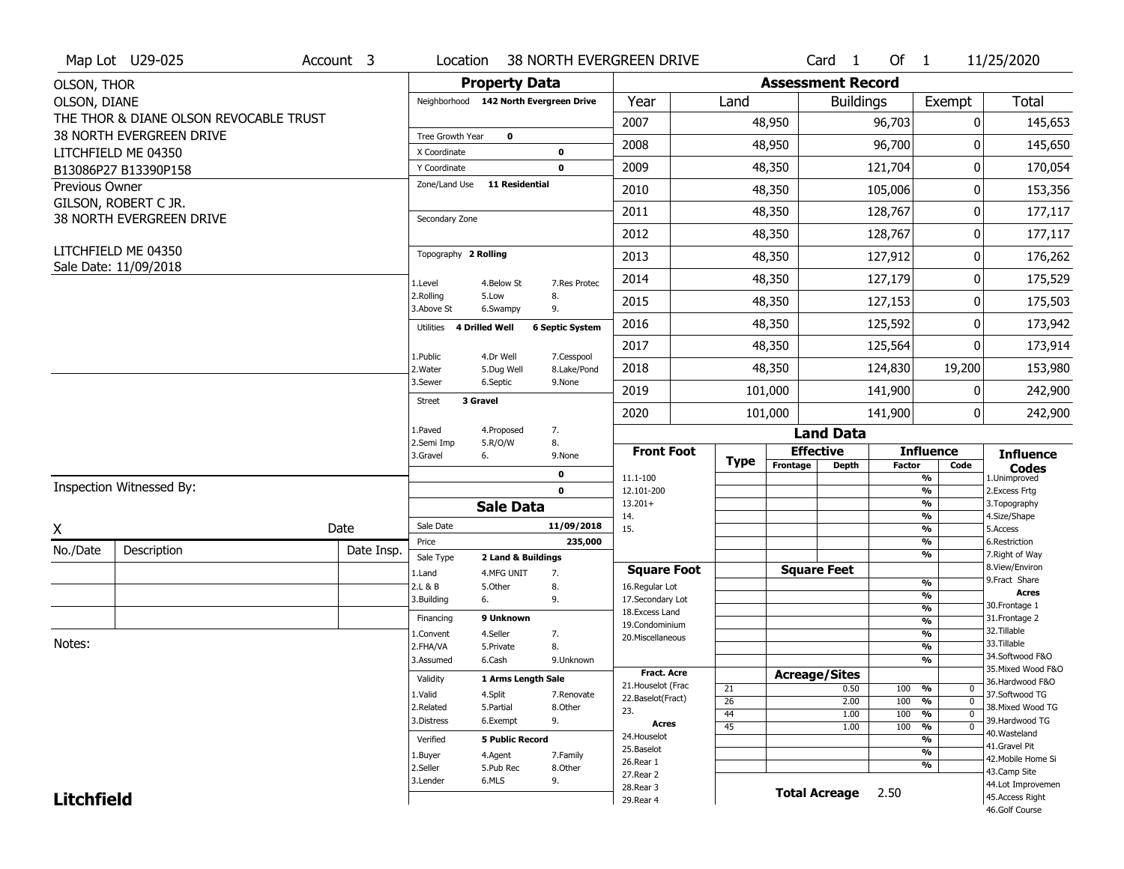|                       | Map Lot U29-025                        | Account 3                 | Location                               |                       |                                         | 38 NORTH EVERGREEN DRIVE           |                       |                          | Card 1               | Of 1                         |                                                   | 11/25/2020                            |
|-----------------------|----------------------------------------|---------------------------|----------------------------------------|-----------------------|-----------------------------------------|------------------------------------|-----------------------|--------------------------|----------------------|------------------------------|---------------------------------------------------|---------------------------------------|
| <b>OLSON, THOR</b>    |                                        |                           |                                        | <b>Property Data</b>  |                                         |                                    |                       | <b>Assessment Record</b> |                      |                              |                                                   |                                       |
| OLSON, DIANE          |                                        |                           | Neighborhood 142 North Evergreen Drive |                       |                                         | Year                               | Land                  |                          | <b>Buildings</b>     |                              | Exempt                                            | Total                                 |
|                       | THE THOR & DIANE OLSON REVOCABLE TRUST |                           |                                        |                       |                                         | 2007                               |                       | 48,950                   |                      | 96,703                       | 0                                                 | 145,653                               |
|                       | 38 NORTH EVERGREEN DRIVE               |                           | Tree Growth Year                       | $\mathbf 0$           |                                         | 2008                               |                       | 48,950                   |                      | 96,700                       | 0                                                 | 145,650                               |
|                       | LITCHFIELD ME 04350                    |                           | X Coordinate                           |                       | 0                                       |                                    |                       |                          |                      |                              |                                                   |                                       |
|                       | B13086P27 B13390P158                   |                           | Y Coordinate<br>Zone/Land Use          | <b>11 Residential</b> | $\mathbf 0$                             | 2009                               |                       | 48,350                   |                      | 121,704                      | $\mathbf 0$                                       | 170,054                               |
| <b>Previous Owner</b> | GILSON, ROBERT C JR.                   |                           |                                        |                       |                                         | 2010                               |                       | 48,350                   |                      | 105,006                      | 0                                                 | 153,356                               |
|                       | 38 NORTH EVERGREEN DRIVE               |                           | Secondary Zone                         |                       |                                         | 2011                               |                       | 48,350                   |                      | 128,767                      | 0                                                 | 177,117                               |
|                       |                                        |                           |                                        |                       |                                         | 2012                               |                       | 48,350                   |                      | 128,767                      | 0                                                 | 177,117                               |
|                       | LITCHFIELD ME 04350                    |                           | Topography 2 Rolling                   |                       |                                         | 2013                               |                       | 48,350                   |                      | 127,912                      | 0                                                 | 176,262                               |
|                       | Sale Date: 11/09/2018                  |                           | 1.Level                                | 4.Below St            | 7.Res Protec                            | 2014                               |                       | 48,350                   |                      | 127,179                      | 0                                                 | 175,529                               |
|                       |                                        |                           | 2.Rolling<br>3.Above St                | 5.Low<br>6.Swampy     | 8.<br>9.<br><b>6 Septic System</b>      | 2015                               |                       | 48,350                   | 127,153              |                              | 0                                                 | 175,503                               |
|                       |                                        |                           | 4 Drilled Well<br>Utilities            |                       |                                         | 2016                               |                       | 48,350                   | 125,592              |                              | 0                                                 | 173,942                               |
|                       |                                        |                           | 1.Public                               | 4.Dr Well             | 7.Cesspool                              | 2017                               |                       | 48,350                   | 125,564              |                              | 0                                                 | 173,914                               |
|                       |                                        |                           | 2. Water                               | 5.Dug Well            | 8.Lake/Pond                             | 2018                               |                       | 48,350                   |                      | 124,830                      | 19,200                                            | 153,980                               |
|                       |                                        | 3.Sewer                   | 6.Septic                               | 9.None                | 2019                                    |                                    | 101,000               | 141,900                  |                      | 0                            | 242,900                                           |                                       |
|                       |                                        | 3 Gravel<br><b>Street</b> |                                        |                       | 2020                                    |                                    | 101,000               |                          | 141,900              | $\mathbf{0}$                 | 242,900                                           |                                       |
|                       |                                        | 1.Paved                   | 4.Proposed                             | 7.                    |                                         |                                    |                       | <b>Land Data</b>         |                      |                              |                                                   |                                       |
|                       |                                        |                           | 2.Semi Imp<br>3.Gravel<br>6.           | 5.R/O/W               | 8.<br>9.None                            | <b>Front Foot</b>                  | <b>Type</b>           |                          | <b>Effective</b>     |                              | <b>Influence</b>                                  | <b>Influence</b>                      |
|                       |                                        |                           |                                        | 0                     |                                         | 11.1-100                           |                       | Frontage                 | <b>Depth</b>         | <b>Factor</b>                | Code<br>$\frac{9}{6}$                             | <b>Codes</b><br>1.Unimproved          |
|                       | Inspection Witnessed By:               |                           |                                        |                       | $\mathbf{0}$                            | 12.101-200                         |                       |                          |                      |                              | $\frac{9}{6}$                                     | 2.Excess Frtg                         |
|                       |                                        |                           |                                        | <b>Sale Data</b>      |                                         | $13.201+$<br>14.                   |                       |                          |                      |                              | $\frac{9}{6}$<br>$\frac{9}{6}$                    | 3. Topography<br>4.Size/Shape         |
| X                     |                                        | Date                      | Sale Date                              |                       | 11/09/2018                              | 15.                                |                       |                          |                      |                              | $\frac{9}{6}$                                     | 5.Access                              |
| No./Date              | Description                            | Date Insp.                | Price                                  |                       | 235,000                                 |                                    |                       |                          |                      |                              | $\frac{9}{6}$<br>%                                | 6.Restriction<br>7. Right of Way      |
|                       |                                        |                           | Sale Type<br>1.Land                    | 2 Land & Buildings    |                                         | <b>Square Foot</b>                 |                       |                          | <b>Square Feet</b>   |                              |                                                   | 8.View/Environ                        |
|                       |                                        |                           | 2.L & B                                | 4.MFG UNIT<br>5.0ther | 7.<br>8.                                | 16.Regular Lot                     |                       |                          |                      |                              | $\frac{9}{6}$                                     | 9. Fract Share                        |
|                       |                                        |                           | 3.Building<br>6.                       |                       | 9.                                      | 17.Secondary Lot                   |                       |                          |                      |                              | $\frac{9}{6}$                                     | Acres<br>30. Frontage 1               |
|                       |                                        |                           | Financing                              | 9 Unknown             |                                         | 18.Excess Land                     |                       |                          |                      |                              | $\frac{9}{6}$<br>$\frac{9}{6}$                    | 31. Frontage 2                        |
|                       |                                        |                           | 1.Convent                              | 4.Seller              | 7.                                      | 19.Condominium<br>20.Miscellaneous |                       |                          |                      |                              | $\frac{9}{6}$                                     | 32.Tillable                           |
| Notes:                |                                        |                           | 2.FHA/VA                               | 5.Private             | 8.                                      |                                    |                       |                          |                      |                              | $\frac{9}{6}$                                     | 33.Tillable                           |
|                       |                                        |                           | 3.Assumed                              | 6.Cash                | 9.Unknown                               |                                    |                       |                          |                      |                              | $\frac{9}{6}$                                     | 34.Softwood F&O<br>35. Mixed Wood F&O |
|                       |                                        |                           | Validity                               | 1 Arms Length Sale    |                                         | <b>Fract. Acre</b>                 |                       |                          | <b>Acreage/Sites</b> |                              |                                                   | 36.Hardwood F&O                       |
|                       |                                        | 1.Valid                   | 4.Split                                | 7.Renovate            | 21. Houselot (Frac<br>22.Baselot(Fract) | 21                                 |                       | 0.50                     | 100                  | %<br>0                       | 37.Softwood TG                                    |                                       |
|                       |                                        |                           | 2.Related                              | 5.Partial             | 8.Other                                 | 23.                                | $\overline{26}$<br>44 |                          | 100<br>2.00          |                              | %<br>$\mathbf{0}$<br>$\frac{9}{6}$<br>$\mathbf 0$ | 38. Mixed Wood TG                     |
|                       |                                        | 3.Distress                | 9.<br>6.Exempt                         |                       | <b>Acres</b>                            | $\overline{45}$                    |                       | 100<br>1.00<br>100       |                      | $\frac{9}{6}$<br>$\mathbf 0$ | 39.Hardwood TG                                    |                                       |
|                       |                                        | Verified                  | <b>5 Public Record</b>                 |                       | 24. Houselot                            |                                    |                       | 1.00                     |                      | %                            | 40. Wasteland                                     |                                       |
|                       |                                        |                           | 1.Buyer                                | 4.Agent               | 7.Family                                | 25.Baselot                         |                       |                          |                      |                              | $\frac{9}{6}$                                     | 41.Gravel Pit                         |
|                       |                                        |                           | 2.Seller                               | 5.Pub Rec             | 8.Other                                 | 26.Rear 1                          |                       |                          |                      |                              | $\frac{9}{6}$                                     | 42. Mobile Home Si<br>43.Camp Site    |
|                       |                                        |                           | 3.Lender                               | 6.MLS                 | 9.                                      | 27. Rear 2                         |                       |                          |                      |                              |                                                   |                                       |
|                       |                                        |                           |                                        |                       |                                         |                                    |                       |                          |                      |                              |                                                   | 44.Lot Improvemen                     |
| <b>Litchfield</b>     |                                        |                           |                                        |                       |                                         | 28. Rear 3<br>29. Rear 4           |                       |                          | <b>Total Acreage</b> | 2.50                         |                                                   | 45.Access Right                       |